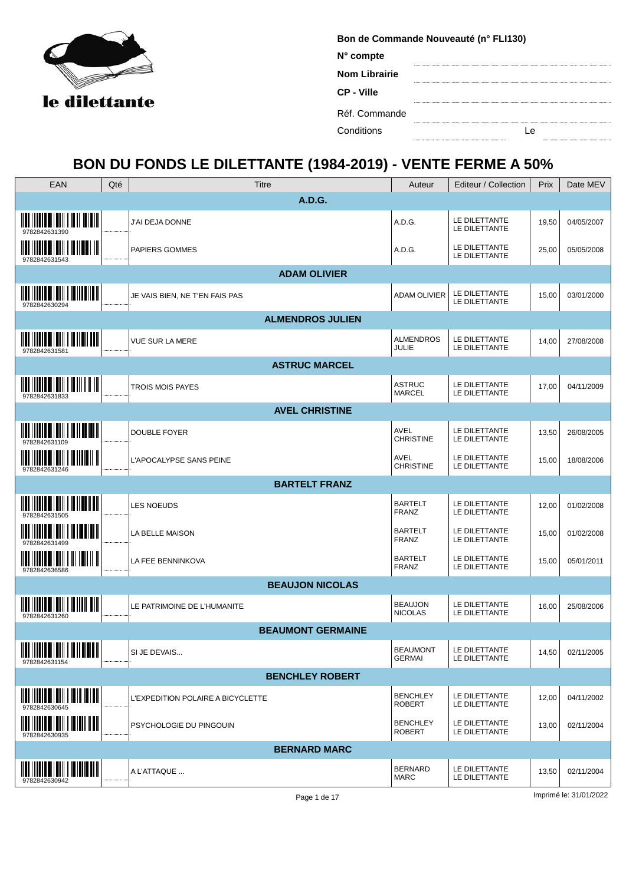

| Bon de Commande Nouveauté (n° FLI130) |  |  |  |  |  |  |  |  |  |  |  |
|---------------------------------------|--|--|--|--|--|--|--|--|--|--|--|
| N° compte                             |  |  |  |  |  |  |  |  |  |  |  |
| <b>Nom Librairie</b>                  |  |  |  |  |  |  |  |  |  |  |  |
| CP - Ville                            |  |  |  |  |  |  |  |  |  |  |  |
| Réf. Commande                         |  |  |  |  |  |  |  |  |  |  |  |
| Conditions                            |  |  |  |  |  |  |  |  |  |  |  |

## **BON DU FONDS LE DILETTANTE (1984-2019) - VENTE FERME A 50%**

| EAN                                                                                                                                                                                                                                                                                                                                  | Qté | Titre                             | Auteur                           | Editeur / Collection           | Prix  | Date MEV   |
|--------------------------------------------------------------------------------------------------------------------------------------------------------------------------------------------------------------------------------------------------------------------------------------------------------------------------------------|-----|-----------------------------------|----------------------------------|--------------------------------|-------|------------|
|                                                                                                                                                                                                                                                                                                                                      |     | A.D.G.                            |                                  |                                |       |            |
| <u> HER I I BIBE EI I BIH I BI BI BIBE EI H</u>                                                                                                                                                                                                                                                                                      |     | J'AI DEJA DONNE                   | A.D.G.                           | LE DILETTANTE<br>LE DILETTANTE | 19,50 | 04/05/2007 |
| $\frac{1}{2}$ $\frac{1}{2}$ $\frac{1}{2}$ $\frac{1}{2}$ $\frac{1}{2}$ $\frac{1}{2}$ $\frac{1}{2}$ $\frac{1}{2}$ $\frac{1}{2}$ $\frac{1}{2}$ $\frac{1}{2}$ $\frac{1}{2}$ $\frac{1}{2}$ $\frac{1}{2}$ $\frac{1}{2}$ $\frac{1}{2}$ $\frac{1}{2}$ $\frac{1}{2}$ $\frac{1}{2}$ $\frac{1}{2}$ $\frac{1}{2}$ $\frac{1}{2}$<br>9782842631543 |     | <b>PAPIERS GOMMES</b>             | A.D.G.                           | LE DILETTANTE<br>LE DILETTANTE | 25,00 | 05/05/2008 |
|                                                                                                                                                                                                                                                                                                                                      |     | <b>ADAM OLIVIER</b>               |                                  |                                |       |            |
| $\frac{1}{2}$ , $\frac{1}{2}$ , $\frac{1}{2}$ , $\frac{1}{2}$ , $\frac{1}{2}$ , $\frac{1}{2}$ , $\frac{1}{2}$ , $\frac{1}{2}$ , $\frac{1}{2}$ , $\frac{1}{2}$ , $\frac{1}{2}$<br>9782842630294                                                                                                                                       |     | JE VAIS BIEN, NE T'EN FAIS PAS    | ADAM OLIVIER                     | LE DILETTANTE<br>LE DILETTANTE | 15,00 | 03/01/2000 |
|                                                                                                                                                                                                                                                                                                                                      |     | <b>ALMENDROS JULIEN</b>           |                                  |                                |       |            |
| 978284263158                                                                                                                                                                                                                                                                                                                         |     | <b>VUE SUR LA MERE</b>            | <b>ALMENDROS</b><br>JULIE        | LE DILETTANTE<br>LE DILETTANTE | 14,00 | 27/08/2008 |
|                                                                                                                                                                                                                                                                                                                                      |     | <b>ASTRUC MARCEL</b>              |                                  |                                |       |            |
| <u> IIII    IIII    IIII    IIII    III    II</u><br>9782842631833                                                                                                                                                                                                                                                                   |     | <b>TROIS MOIS PAYES</b>           | <b>ASTRUC</b><br><b>MARCEL</b>   | LE DILETTANTE<br>LE DILETTANTE | 17,00 | 04/11/2009 |
|                                                                                                                                                                                                                                                                                                                                      |     | <b>AVEL CHRISTINE</b>             |                                  |                                |       |            |
| 9782842631109                                                                                                                                                                                                                                                                                                                        |     | <b>DOUBLE FOYER</b>               | AVEL<br><b>CHRISTINE</b>         | LE DILETTANTE<br>LE DILETTANTE | 13,50 | 26/08/2005 |
| <u> Marti Italia di Milli i Martia il II</u><br>9782842631246                                                                                                                                                                                                                                                                        |     | L'APOCALYPSE SANS PEINE           | AVEL<br><b>CHRISTINE</b>         | LE DILETTANTE<br>LE DILETTANTE | 15,00 | 18/08/2006 |
|                                                                                                                                                                                                                                                                                                                                      |     | <b>BARTELT FRANZ</b>              |                                  |                                |       |            |
| 9782842631505                                                                                                                                                                                                                                                                                                                        |     | <b>LES NOEUDS</b>                 | <b>BARTELT</b><br><b>FRANZ</b>   | LE DILETTANTE<br>LE DILETTANTE | 12,00 | 01/02/2008 |
| <u> III   IIII   IIIII   IIII   III   III   III</u><br>9782842631499                                                                                                                                                                                                                                                                 |     | LA BELLE MAISON                   | <b>BARTELT</b><br>FRANZ          | LE DILETTANTE<br>LE DILETTANTE | 15,00 | 01/02/2008 |
| 9782842636586                                                                                                                                                                                                                                                                                                                        |     | LA FEE BENNINKOVA                 | <b>BARTELT</b><br><b>FRANZ</b>   | LE DILETTANTE<br>LE DILETTANTE | 15,00 | 05/01/2011 |
|                                                                                                                                                                                                                                                                                                                                      |     | <b>BEAUJON NICOLAS</b>            |                                  |                                |       |            |
| <u> IIII IIIIIII IIIIIIII I IIIIIII III</u><br>9782842631260                                                                                                                                                                                                                                                                         |     | LE PATRIMOINE DE L'HUMANITE       | <b>BEAUJON</b><br><b>NICOLAS</b> | LE DILETTANTE<br>LE DILETTANTE | 16,00 | 25/08/2006 |
|                                                                                                                                                                                                                                                                                                                                      |     | <b>BEAUMONT GERMAINE</b>          |                                  |                                |       |            |
| <b>WALLING BITHIN I NEWSTERN</b><br>9782842631154                                                                                                                                                                                                                                                                                    |     | SI JE DEVAIS                      | <b>BEAUMONT</b><br><b>GERMAI</b> | LE DILETTANTE<br>LE DILETTANTE | 14,50 | 02/11/2005 |
|                                                                                                                                                                                                                                                                                                                                      |     | <b>BENCHLEY ROBERT</b>            |                                  |                                |       |            |
| $\mathop{\mathtt{min}}\limits_{} \mathop{\mathtt{min}}\limits_{} \mathop{\mathtt{min}}\limits_{} \mathop{\mathtt{min}}\limits_{} \mathop{\mathtt{min}}\limits_{} \mathop{\mathtt{min}}\limits_{}$<br>9782842630645                                                                                                                   |     | L'EXPEDITION POLAIRE A BICYCLETTE | <b>BENCHLEY</b><br><b>ROBERT</b> | LE DILETTANTE<br>LE DILETTANTE | 12,00 | 04/11/2002 |
| <u> IIII    IIII    IIIII    IIII    III</u><br>9782842630935                                                                                                                                                                                                                                                                        |     | PSYCHOLOGIE DU PINGOUIN           | <b>BENCHLEY</b><br><b>ROBERT</b> | LE DILETTANTE<br>LE DILETTANTE | 13,00 | 02/11/2004 |
|                                                                                                                                                                                                                                                                                                                                      |     | <b>BERNARD MARC</b>               |                                  |                                |       |            |
| 9782842630942                                                                                                                                                                                                                                                                                                                        |     | A L'ATTAQUE                       | <b>BERNARD</b><br>MARC           | LE DILETTANTE<br>LE DILETTANTE | 13,50 | 02/11/2004 |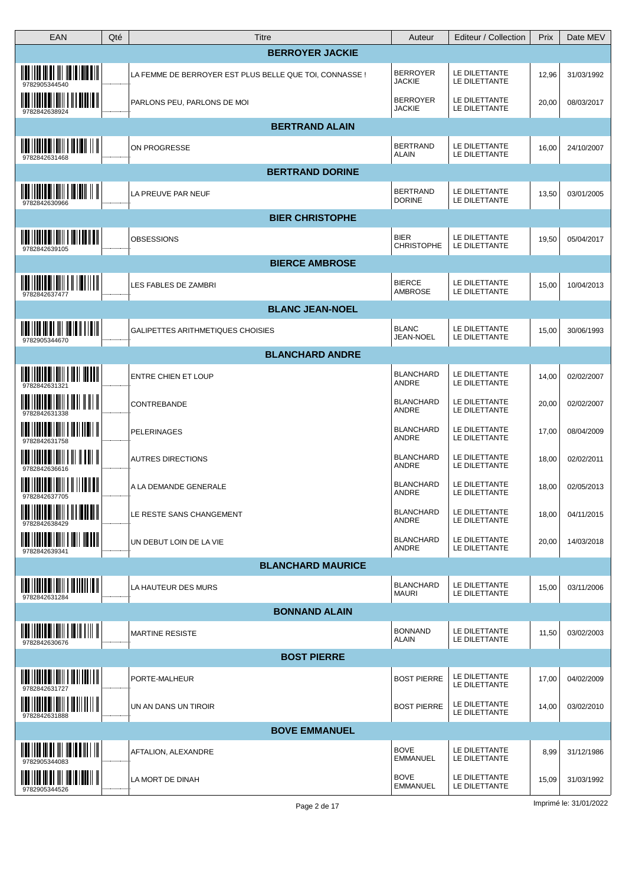| EAN                                                                                                                                                                                                                                                                                                                                  | Qté | Titre                                                   | Auteur                           | Editeur / Collection           | Prix  | Date MEV   |
|--------------------------------------------------------------------------------------------------------------------------------------------------------------------------------------------------------------------------------------------------------------------------------------------------------------------------------------|-----|---------------------------------------------------------|----------------------------------|--------------------------------|-------|------------|
|                                                                                                                                                                                                                                                                                                                                      |     | <b>BERROYER JACKIE</b>                                  |                                  |                                |       |            |
|                                                                                                                                                                                                                                                                                                                                      |     | LA FEMME DE BERROYER EST PLUS BELLE QUE TOI, CONNASSE ! | <b>BERROYER</b><br><b>JACKIE</b> | LE DILETTANTE<br>LE DILETTANTE | 12,96 | 31/03/1992 |
| <u> IIII I IIIII IIIIIII I III IIIIIII</u><br>9782842638924                                                                                                                                                                                                                                                                          |     | PARLONS PEU, PARLONS DE MOI                             | <b>BERROYER</b><br><b>JACKIE</b> | LE DILETTANTE<br>LE DILETTANTE | 20,00 | 08/03/2017 |
|                                                                                                                                                                                                                                                                                                                                      |     | <b>BERTRAND ALAIN</b>                                   |                                  |                                |       |            |
| $\overline{\mathbf{u}}$ in the set of $\mathbf{u}$<br>9782842631468                                                                                                                                                                                                                                                                  |     | ON PROGRESSE                                            | <b>BERTRAND</b><br><b>ALAIN</b>  | LE DILETTANTE<br>LE DILETTANTE | 16,00 | 24/10/2007 |
|                                                                                                                                                                                                                                                                                                                                      |     | <b>BERTRAND DORINE</b>                                  |                                  |                                |       |            |
| <u> IIII    IIII    IIIII    III IIII    II</u><br>9782842630966                                                                                                                                                                                                                                                                     |     | LA PREUVE PAR NEUF                                      | <b>BERTRAND</b><br><b>DORINE</b> | LE DILETTANTE<br>LE DILETTANTE | 13,50 | 03/01/2005 |
|                                                                                                                                                                                                                                                                                                                                      |     | <b>BIER CHRISTOPHE</b>                                  |                                  |                                |       |            |
| <u> IIII    IIIII    IIIII    III    III    III</u><br>9782842639105                                                                                                                                                                                                                                                                 |     | OBSESSIONS                                              | <b>BIER</b><br><b>CHRISTOPHE</b> | LE DILETTANTE<br>LE DILETTANTE | 19,50 | 05/04/2017 |
|                                                                                                                                                                                                                                                                                                                                      |     | <b>BIERCE AMBROSE</b>                                   |                                  |                                |       |            |
| $\frac{1}{2}$ $\frac{1}{2}$ $\frac{1}{2}$ $\frac{1}{2}$ $\frac{1}{2}$ $\frac{1}{2}$ $\frac{1}{2}$ $\frac{1}{2}$ $\frac{1}{2}$ $\frac{1}{2}$ $\frac{1}{2}$ $\frac{1}{2}$ $\frac{1}{2}$ $\frac{1}{2}$ $\frac{1}{2}$ $\frac{1}{2}$ $\frac{1}{2}$ $\frac{1}{2}$ $\frac{1}{2}$ $\frac{1}{2}$ $\frac{1}{2}$ $\frac{1}{2}$<br>9782842637477 |     | LES FABLES DE ZAMBRI                                    | <b>BIERCE</b><br>AMBROSE         | LE DILETTANTE<br>LE DILETTANTE | 15,00 | 10/04/2013 |
|                                                                                                                                                                                                                                                                                                                                      |     | <b>BLANC JEAN-NOEL</b>                                  |                                  |                                |       |            |
| $\frac{1}{2}$ $\frac{1}{2}$ $\frac{1}{2}$ $\frac{1}{2}$ $\frac{1}{2}$ $\frac{1}{2}$ $\frac{1}{2}$ $\frac{1}{2}$ $\frac{1}{2}$ $\frac{1}{2}$ $\frac{1}{2}$ $\frac{1}{2}$ $\frac{1}{2}$ $\frac{1}{2}$ $\frac{1}{2}$ $\frac{1}{2}$ $\frac{1}{2}$ $\frac{1}{2}$ $\frac{1}{2}$ $\frac{1}{2}$ $\frac{1}{2}$ $\frac{1}{2}$<br>9782905344670 |     | GALIPETTES ARITHMETIQUES CHOISIES                       | <b>BLANC</b><br>JEAN-NOEL        | LE DILETTANTE<br>LE DILETTANTE | 15,00 | 30/06/1993 |
|                                                                                                                                                                                                                                                                                                                                      |     | <b>BLANCHARD ANDRE</b>                                  |                                  |                                |       |            |
| $\frac{1}{2}$ , $\frac{1}{2}$ , $\frac{1}{2}$ , $\frac{1}{2}$ , $\frac{1}{2}$ , $\frac{1}{2}$ , $\frac{1}{2}$ , $\frac{1}{2}$ , $\frac{1}{2}$ , $\frac{1}{2}$ , $\frac{1}{2}$ , $\frac{1}{2}$ , $\frac{1}{2}$<br>978284263132                                                                                                        |     | <b>ENTRE CHIEN ET LOUP</b>                              | <b>BLANCHARD</b><br>ANDRE        | LE DILETTANTE<br>LE DILETTANTE | 14,00 | 02/02/2007 |
| <u> III IIIII IIIIII IIII IIIII</u>                                                                                                                                                                                                                                                                                                  |     | <b>CONTREBANDE</b>                                      | <b>BLANCHARD</b><br>ANDRE        | LE DILETTANTE<br>LE DILETTANTE | 20,00 | 02/02/2007 |
| <u> IIII IIIIII IIIIIIII I IIIIIIIIII</u>                                                                                                                                                                                                                                                                                            |     | <b>PELERINAGES</b>                                      | <b>BLANCHARD</b><br>ANDRE        | LE DILETTANTE<br>LE DILETTANTE | 17,00 | 08/04/2009 |
| 9782842636616                                                                                                                                                                                                                                                                                                                        |     | <b>AUTRES DIRECTIONS</b>                                | <b>BLANCHARD</b><br>ANDRE        | LE DILETTANTE<br>LE DILETTANTE | 18,00 | 02/02/2011 |
| <u> IIII I IIIII IIIIIIII I II II IIIIII</u><br>9782842637705                                                                                                                                                                                                                                                                        |     | A LA DEMANDE GENERALE                                   | <b>BLANCHARD</b><br>ANDRE        | LE DILETTANTE<br>LE DILETTANTE | 18,00 | 02/05/2013 |
| <u> IIII IIIIIII IIIIIIII I III IIIIIII</u>                                                                                                                                                                                                                                                                                          |     | LE RESTE SANS CHANGEMENT                                | <b>BLANCHARD</b><br><b>ANDRE</b> | LE DILETTANTE<br>LE DILETTANTE | 18,00 | 04/11/2015 |
| <u> IIII    IIII    IIIII    IIII    III</u><br>9782842639341                                                                                                                                                                                                                                                                        |     | UN DEBUT LOIN DE LA VIE                                 | <b>BLANCHARD</b><br>ANDRE        | LE DILETTANTE<br>LE DILETTANTE | 20,00 | 14/03/2018 |
|                                                                                                                                                                                                                                                                                                                                      |     | <b>BLANCHARD MAURICE</b>                                |                                  |                                |       |            |
| <u> HALITIIN OITIIN I HALITIIN</u><br>9782842631284                                                                                                                                                                                                                                                                                  |     | LA HAUTEUR DES MURS                                     | <b>BLANCHARD</b><br><b>MAURI</b> | LE DILETTANTE<br>LE DILETTANTE | 15,00 | 03/11/2006 |
|                                                                                                                                                                                                                                                                                                                                      |     | <b>BONNAND ALAIN</b>                                    |                                  |                                |       |            |
| 9782842630676                                                                                                                                                                                                                                                                                                                        |     | <b>MARTINE RESISTE</b>                                  | <b>BONNAND</b><br><b>ALAIN</b>   | LE DILETTANTE<br>LE DILETTANTE | 11,50 | 03/02/2003 |
|                                                                                                                                                                                                                                                                                                                                      |     | <b>BOST PIERRE</b>                                      |                                  |                                |       |            |
| $\mathop{\mathtt{min}}\limits_{} \mathop{\mathtt{min}}\limits_{} \mathop{\mathtt{min}}\limits_{} \mathop{\mathtt{min}}\limits_{} \mathop{\mathtt{min}}\limits_{} \mathop{\mathtt{min}}\limits_{} \mathop{\mathtt{min}}\limits_{}$<br>9782842631727                                                                                   |     | PORTE-MALHEUR                                           | <b>BOST PIERRE</b>               | LE DILETTANTE<br>LE DILETTANTE | 17,00 | 04/02/2009 |
| <u> HALITIKA OITUIN I HALITTIIN</u><br>9782842631888                                                                                                                                                                                                                                                                                 |     | UN AN DANS UN TIROIR                                    | <b>BOST PIERRE</b>               | LE DILETTANTE<br>LE DILETTANTE | 14,00 | 03/02/2010 |
|                                                                                                                                                                                                                                                                                                                                      |     | <b>BOVE EMMANUEL</b>                                    |                                  |                                |       |            |
|                                                                                                                                                                                                                                                                                                                                      |     | AFTALION, ALEXANDRE                                     | <b>BOVE</b><br><b>EMMANUEL</b>   | LE DILETTANTE<br>LE DILETTANTE | 8,99  | 31/12/1986 |
| <u> 1100   1110   111   111   111   111   111   11</u><br>9782905344526                                                                                                                                                                                                                                                              |     | LA MORT DE DINAH                                        | <b>BOVE</b><br><b>EMMANUEL</b>   | LE DILETTANTE<br>LE DILETTANTE | 15,09 | 31/03/1992 |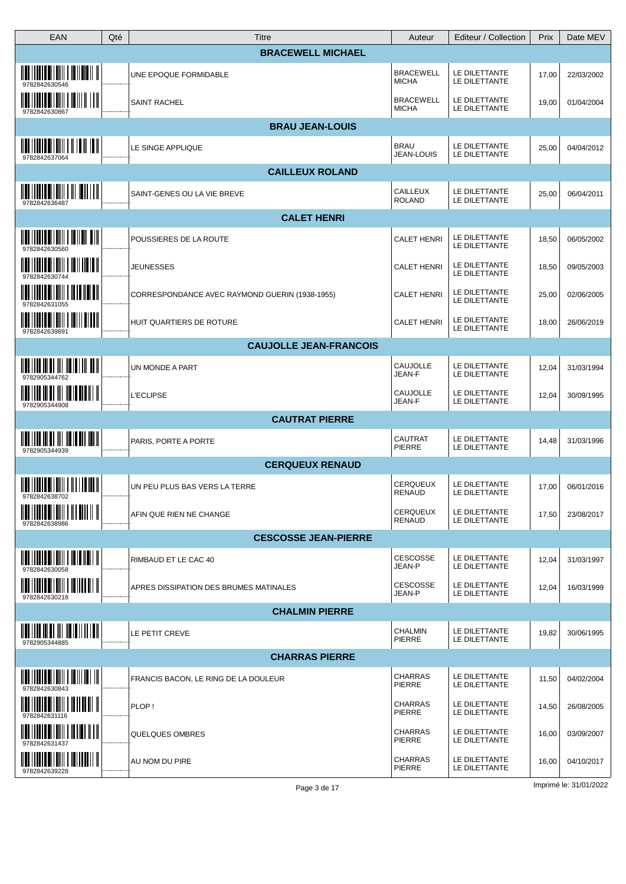| <b>EAN</b>                                                                                                                                                                                                                                                                                                                           | Qté | Titre                                          | Auteur                           | Editeur / Collection           | Prix  | Date MEV   |
|--------------------------------------------------------------------------------------------------------------------------------------------------------------------------------------------------------------------------------------------------------------------------------------------------------------------------------------|-----|------------------------------------------------|----------------------------------|--------------------------------|-------|------------|
|                                                                                                                                                                                                                                                                                                                                      |     | <b>BRACEWELL MICHAEL</b>                       |                                  |                                |       |            |
| <u> IIII IIIIII IIIIIIII I IIIIIIII I</u><br>9782842630546                                                                                                                                                                                                                                                                           |     | UNE EPOQUE FORMIDABLE                          | <b>BRACEWELL</b><br><b>MICHA</b> | LE DILETTANTE<br>LE DILETTANTE | 17,00 | 22/03/2002 |
| <u> 1111    1111    111111   111    111  </u><br>9782842630867                                                                                                                                                                                                                                                                       |     | <b>SAINT RACHEL</b>                            | <b>BRACEWELL</b><br><b>MICHA</b> | LE DILETTANTE<br>LE DILETTANTE | 19,00 | 01/04/2004 |
|                                                                                                                                                                                                                                                                                                                                      |     | <b>BRAU JEAN-LOUIS</b>                         |                                  |                                |       |            |
| 9782842637064                                                                                                                                                                                                                                                                                                                        |     | LE SINGE APPLIQUE                              | <b>BRAU</b><br><b>JEAN-LOUIS</b> | LE DILETTANTE<br>LE DILETTANTE | 25,00 | 04/04/2012 |
|                                                                                                                                                                                                                                                                                                                                      |     | <b>CAILLEUX ROLAND</b>                         |                                  |                                |       |            |
| $\frac{1}{2}$ $\frac{1}{2}$ $\frac{1}{2}$ $\frac{1}{2}$ $\frac{1}{2}$ $\frac{1}{2}$ $\frac{1}{2}$ $\frac{1}{2}$ $\frac{1}{2}$ $\frac{1}{2}$ $\frac{1}{2}$ $\frac{1}{2}$ $\frac{1}{2}$ $\frac{1}{2}$ $\frac{1}{2}$ $\frac{1}{2}$ $\frac{1}{2}$ $\frac{1}{2}$ $\frac{1}{2}$ $\frac{1}{2}$ $\frac{1}{2}$ $\frac{1}{2}$<br>9782842636487 |     | SAINT-GENES OU LA VIE BREVE                    | <b>CAILLEUX</b><br><b>ROLAND</b> | LE DILETTANTE<br>LE DILETTANTE | 25,00 | 06/04/2011 |
|                                                                                                                                                                                                                                                                                                                                      |     | <b>CALET HENRI</b>                             |                                  |                                |       |            |
| <u> IIII IIIIIII IIIIIIII I IIIIIIII IIII</u><br>978284263056                                                                                                                                                                                                                                                                        |     | POUSSIERES DE LA ROUTE                         | <b>CALET HENRI</b>               | LE DILETTANTE<br>LE DILETTANTE | 18,50 | 06/05/2002 |
| <u> IIII    IIII III IIII    III II    III</u><br>9782842630744                                                                                                                                                                                                                                                                      |     | <b>JEUNESSES</b>                               | <b>CALET HENRI</b>               | LE DILETTANTE<br>LE DILETTANTE | 18,50 | 09/05/2003 |
| <u> IIII IIIIIII IIIIIIIII IIIIIIIIIII</u><br>9782842631055                                                                                                                                                                                                                                                                          |     | CORRESPONDANCE AVEC RAYMOND GUERIN (1938-1955) | <b>CALET HENRI</b>               | LE DILETTANTE<br>LE DILETTANTE | 25,00 | 02/06/2005 |
| <u> IIII    IIII III IIIII   IIII II III</u><br>9782842639891                                                                                                                                                                                                                                                                        |     | HUIT QUARTIERS DE ROTURE                       | <b>CALET HENRI</b>               | LE DILETTANTE<br>LE DILETTANTE | 18,00 | 26/06/2019 |
|                                                                                                                                                                                                                                                                                                                                      |     | <b>CAUJOLLE JEAN-FRANCOIS</b>                  |                                  |                                |       |            |
| $\mathop{\mathtt{min}}\limits_{} \mathop{\mathtt{min}}\limits_{} \mathop{\mathtt{min}}\limits_{} \mathop{\mathtt{min}}\limits_{} \mathop{\mathtt{min}}\limits_{} \mathop{\mathtt{min}}\limits_{} \mathop{\mathtt{min}}\limits_{}$<br>9782905344762                                                                                   |     | UN MONDE A PART                                | <b>CAUJOLLE</b><br>JEAN-F        | LE DILETTANTE<br>LE DILETTANTE | 12,04 | 31/03/1994 |
| <u>ilah 1110 ini ah ilil ila ia ala lil il</u><br>9782905344908                                                                                                                                                                                                                                                                      |     | <b>L'ECLIPSE</b>                               | CAUJOLLE<br>JEAN-F               | LE DILETTANTE<br>LE DILETTANTE | 12,04 | 30/09/1995 |
|                                                                                                                                                                                                                                                                                                                                      |     | <b>CAUTRAT PIERRE</b>                          |                                  |                                |       |            |
| 9782905344939                                                                                                                                                                                                                                                                                                                        |     | PARIS, PORTE A PORTE                           | <b>CAUTRAT</b><br>PIERRE         | LE DILETTANTE<br>LE DILETTANTE | 14,48 | 31/03/1996 |
|                                                                                                                                                                                                                                                                                                                                      |     | <b>CERQUEUX RENAUD</b>                         |                                  |                                |       |            |
| $\frac{1}{2}$ $\frac{1}{2}$ $\frac{1}{2}$ $\frac{1}{2}$ $\frac{1}{2}$ $\frac{1}{2}$ $\frac{1}{2}$ $\frac{1}{2}$ $\frac{1}{2}$ $\frac{1}{2}$ $\frac{1}{2}$ $\frac{1}{2}$ $\frac{1}{2}$ $\frac{1}{2}$ $\frac{1}{2}$ $\frac{1}{2}$ $\frac{1}{2}$ $\frac{1}{2}$ $\frac{1}{2}$ $\frac{1}{2}$ $\frac{1}{2}$ $\frac{1}{2}$                  |     | UN PEU PLUS BAS VERS LA TERRE                  | CERQUEUX<br>RENAUD               | LE DILETTANTE<br>LE DILETTANTE | 17,00 | 06/01/2016 |
| $\frac{1}{2}$ $\frac{1}{2}$ $\frac{1}{2}$ $\frac{1}{2}$ $\frac{1}{2}$ $\frac{1}{2}$ $\frac{1}{2}$ $\frac{1}{2}$ $\frac{1}{2}$ $\frac{1}{2}$ $\frac{1}{2}$ $\frac{1}{2}$ $\frac{1}{2}$ $\frac{1}{2}$ $\frac{1}{2}$ $\frac{1}{2}$ $\frac{1}{2}$ $\frac{1}{2}$ $\frac{1}{2}$ $\frac{1}{2}$ $\frac{1}{2}$ $\frac{1}{2}$<br>9782842638986 |     | AFIN QUE RIEN NE CHANGE                        | <b>CERQUEUX</b><br>RENAUD        | LE DILETTANTE<br>LE DILETTANTE | 17,50 | 23/08/2017 |
|                                                                                                                                                                                                                                                                                                                                      |     | <b>CESCOSSE JEAN-PIERRE</b>                    |                                  |                                |       |            |
| $\  \  \ $<br>9782842630058                                                                                                                                                                                                                                                                                                          |     | RIMBAUD ET LE CAC 40                           | <b>CESCOSSE</b><br>JEAN-P        | LE DILETTANTE<br>LE DILETTANTE | 12,04 | 31/03/1997 |
| $\frac{1}{2}$ $\frac{1}{2}$ $\frac{1}{2}$ $\frac{1}{2}$ $\frac{1}{2}$ $\frac{1}{2}$ $\frac{1}{2}$ $\frac{1}{2}$ $\frac{1}{2}$ $\frac{1}{2}$ $\frac{1}{2}$ $\frac{1}{2}$ $\frac{1}{2}$ $\frac{1}{2}$ $\frac{1}{2}$ $\frac{1}{2}$ $\frac{1}{2}$ $\frac{1}{2}$ $\frac{1}{2}$ $\frac{1}{2}$ $\frac{1}{2}$ $\frac{1}{2}$<br>9782842630218 |     | APRES DISSIPATION DES BRUMES MATINALES         | <b>CESCOSSE</b><br>JEAN-P        | LE DILETTANTE<br>LE DILETTANTE | 12,04 | 16/03/1999 |
|                                                                                                                                                                                                                                                                                                                                      |     | <b>CHALMIN PIERRE</b>                          |                                  |                                |       |            |
| 9782905344885                                                                                                                                                                                                                                                                                                                        |     | LE PETIT CREVE                                 | CHALMIN<br>PIERRE                | LE DILETTANTE<br>LE DILETTANTE | 19,82 | 30/06/1995 |
|                                                                                                                                                                                                                                                                                                                                      |     | <b>CHARRAS PIERRE</b>                          |                                  |                                |       |            |
|                                                                                                                                                                                                                                                                                                                                      |     | FRANCIS BACON, LE RING DE LA DOULEUR           | <b>CHARRAS</b><br>PIERRE         | LE DILETTANTE<br>LE DILETTANTE | 11,50 | 04/02/2004 |
| <u> IIII    IIIII OIIIIII    II II II III</u><br>9782842631116                                                                                                                                                                                                                                                                       |     | PLOP!                                          | <b>CHARRAS</b><br>PIERRE         | LE DILETTANTE<br>LE DILETTANTE | 14,50 | 26/08/2005 |
| 9782842631437                                                                                                                                                                                                                                                                                                                        |     | QUELQUES OMBRES                                | <b>CHARRAS</b><br>PIERRE         | LE DILETTANTE<br>LE DILETTANTE | 16,00 | 03/09/2007 |
| <u> IIII    IIII    IIIII    IIIIII    I</u><br>9782842639228                                                                                                                                                                                                                                                                        |     | AU NOM DU PIRE                                 | <b>CHARRAS</b><br>PIERRE         | LE DILETTANTE<br>LE DILETTANTE | 16,00 | 04/10/2017 |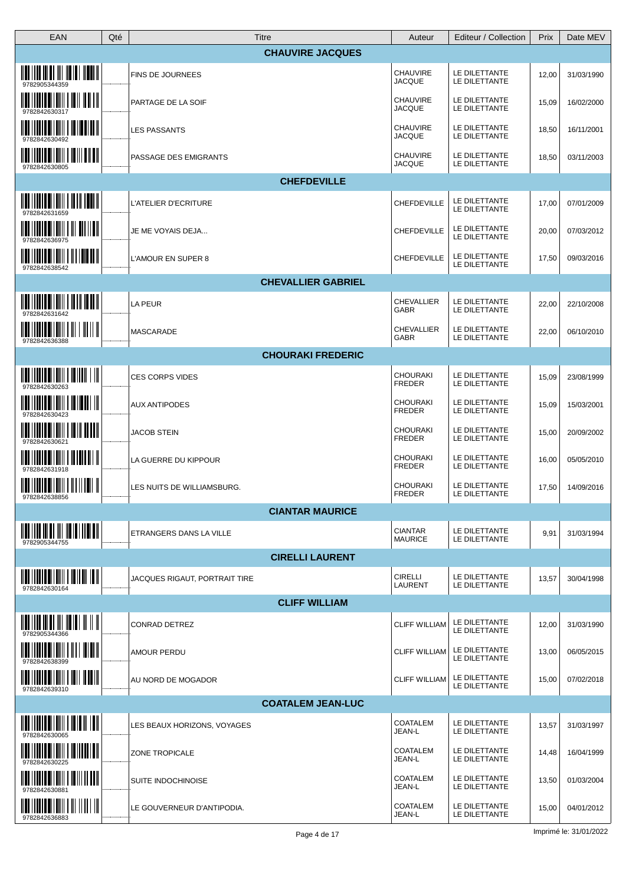| <b>CHAUVIRE JACQUES</b><br>CHAUVIRE<br>LE DILETTANTE<br>FINS DE JOURNEES<br>12,00<br>31/03/1990<br><b>JACQUE</b><br>LE DILETTANTE<br>$\begin{array}{c} 1 & 0 & 0 \\ 0 & 0 & 0 \\ 0 & 0 & 0 \\ 0 & 0 & 0 \\ 0 & 0 & 0 \\ 0 & 0 & 0 \\ 0 & 0 & 0 \\ 0 & 0 & 0 \\ 0 & 0 & 0 \\ 0 & 0 & 0 \\ 0 & 0 & 0 \\ 0 & 0 & 0 \\ 0 & 0 & 0 \\ 0 & 0 & 0 \\ 0 & 0 & 0 & 0 \\ 0 & 0 & 0 & 0 \\ 0 & 0 & 0 & 0 \\ 0 & 0 & 0 & 0 & 0 \\ 0 & 0 & 0 & 0 & 0 \\ 0 & 0 & 0 & 0 & 0 \\ 0 & 0 &$<br><b>CHAUVIRE</b><br>LE DILETTANTE<br>PARTAGE DE LA SOIF<br>15,09<br>16/02/2000<br><b>JACQUE</b><br>LE DILETTANTE<br>CHAUVIRE<br>LE DILETTANTE<br><b>LES PASSANTS</b><br>18,50<br>16/11/2001<br><b>JACQUE</b><br>LE DILETTANTE<br>9782842630492<br><u> IIII   IIII III IIII   III II IIIII</u><br>CHAUVIRE<br>LE DILETTANTE<br>PASSAGE DES EMIGRANTS<br>18,50<br>03/11/2003<br><b>JACQUE</b><br>LE DILETTANTE<br>9782842630805<br><b>CHEFDEVILLE</b><br>LE DILETTANTE<br>L'ATELIER D'ECRITURE<br>CHEFDEVILLE<br>17,00<br>07/01/2009<br>LE DILETTANTE<br>9782842631659<br><u> IIII I IIIII IIIIIIII I III III IIII</u><br>LE DILETTANTE<br>CHEFDEVILLE<br>JE ME VOYAIS DEJA<br>20,00<br>07/03/2012<br>LE DILETTANTE<br>9782842636975<br><u> IIII    IIII    IIII    III    III   </u><br>LE DILETTANTE<br>CHEFDEVILLE<br>17,50<br>L'AMOUR EN SUPER 8<br>09/03/2016<br>LE DILETTANTE<br>9782842638542<br><b>CHEVALLIER GABRIEL</b><br><b>CHEVALLIER</b><br>LE DILETTANTE<br>LA PEUR<br>22,00<br>22/10/2008<br>LE DILETTANTE<br>GABR<br>9782842631642<br><b>CHEVALLIER</b><br>LE DILETTANTE<br><b>MASCARADE</b><br>22,00<br>06/10/2010<br>GABR<br>LE DILETTANTE<br>9782842636388<br><b>CHOURAKI FREDERIC</b><br><b>CHOURAKI</b><br>LE DILETTANTE<br><b>CES CORPS VIDES</b><br>15,09<br>23/08/1999<br>LE DILETTANTE<br><b>FREDER</b><br>9782842630263<br><b>CHOURAKI</b><br>LE DILETTANTE<br><b>AUX ANTIPODES</b><br>15,09<br>15/03/2001<br>FREDER<br>LE DILETTANTE<br>9782842630423<br><b>CHOURAKI</b><br>LE DILETTANTE<br><b>JACOB STEIN</b><br>20/09/2002<br>15,00<br><b>FREDER</b><br>LE DILETTANTE<br>9782842630621<br><b>CHOURAKI</b><br>LE DILETTANTE<br>LA GUERRE DU KIPPOUR<br>16,00<br>05/05/2010<br><b>FREDER</b><br>LE DILETTANTE<br>9782842631918<br><b>CHOURAKI</b><br>LE DILETTANTE<br>17,50<br>LES NUITS DE WILLIAMSBURG.<br>14/09/2016<br><b>FREDER</b><br>LE DILETTANTE<br>9782842638856<br><b>CIANTAR MAURICE</b><br><b>CIANTAR</b><br>LE DILETTANTE<br>ETRANGERS DANS LA VILLE<br>9,91<br>31/03/1994<br><b>MAURICE</b><br>LE DILETTANTE<br>9782905344755<br><b>CIRELLI LAURENT</b><br><b>CIRELLI</b><br>LE DILETTANTE<br>JACQUES RIGAUT, PORTRAIT TIRE<br>13,57<br>30/04/1998<br>LAURENT<br>LE DILETTANTE<br>9782842630164<br><b>CLIFF WILLIAM</b><br>LE DILETTANTE<br><b>CONRAD DETREZ</b><br><b>CLIFF WILLIAM</b><br>12,00<br>31/03/1990<br>LE DILETTANTE<br>LE DILETTANTE<br><b>CLIFF WILLIAM</b><br><b>AMOUR PERDU</b><br>13,00<br>06/05/2015<br>LE DILETTANTE<br>LE DILETTANTE<br><b>CLIFF WILLIAM</b><br>AU NORD DE MOGADOR<br>15,00<br>07/02/2018<br>LE DILETTANTE<br>9782842639310<br><b>COATALEM JEAN-LUC</b><br><b>COATALEM</b><br>LE DILETTANTE<br>LES BEAUX HORIZONS, VOYAGES<br>13,57<br>31/03/1997<br>JEAN-L<br>LE DILETTANTE<br>COATALEM<br>LE DILETTANTE<br><b>ZONE TROPICALE</b><br>14,48<br>16/04/1999<br>LE DILETTANTE<br>JEAN-L<br>9782842630225<br><b>COATALEM</b><br>LE DILETTANTE<br><b>SUITE INDOCHINOISE</b><br>13,50<br>01/03/2004<br>LE DILETTANTE<br>JEAN-L<br><u> IIII   IIII IIIIIII   III       III</u><br>LE DILETTANTE<br><b>COATALEM</b><br>15,00<br>04/01/2012<br>LE GOUVERNEUR D'ANTIPODIA.<br>LE DILETTANTE<br>JEAN-L<br>9782842636883 | EAN<br>Qté                                                                                                                                                                                                                                                                                                          | <b>Titre</b> | Auteur | Editeur / Collection | Prix | Date MEV |
|----------------------------------------------------------------------------------------------------------------------------------------------------------------------------------------------------------------------------------------------------------------------------------------------------------------------------------------------------------------------------------------------------------------------------------------------------------------------------------------------------------------------------------------------------------------------------------------------------------------------------------------------------------------------------------------------------------------------------------------------------------------------------------------------------------------------------------------------------------------------------------------------------------------------------------------------------------------------------------------------------------------------------------------------------------------------------------------------------------------------------------------------------------------------------------------------------------------------------------------------------------------------------------------------------------------------------------------------------------------------------------------------------------------------------------------------------------------------------------------------------------------------------------------------------------------------------------------------------------------------------------------------------------------------------------------------------------------------------------------------------------------------------------------------------------------------------------------------------------------------------------------------------------------------------------------------------------------------------------------------------------------------------------------------------------------------------------------------------------------------------------------------------------------------------------------------------------------------------------------------------------------------------------------------------------------------------------------------------------------------------------------------------------------------------------------------------------------------------------------------------------------------------------------------------------------------------------------------------------------------------------------------------------------------------------------------------------------------------------------------------------------------------------------------------------------------------------------------------------------------------------------------------------------------------------------------------------------------------------------------------------------------------------------------------------------------------------------------------------------------------------------------------------------------------------------------------------------------------------------------------------------------------------------------------------------------------------------------------------------------------------------------------------------------------------------------------------------------------------------------------------------------------------------------------------------------------------------------------------------------------------------------------------------------|---------------------------------------------------------------------------------------------------------------------------------------------------------------------------------------------------------------------------------------------------------------------------------------------------------------------|--------------|--------|----------------------|------|----------|
|                                                                                                                                                                                                                                                                                                                                                                                                                                                                                                                                                                                                                                                                                                                                                                                                                                                                                                                                                                                                                                                                                                                                                                                                                                                                                                                                                                                                                                                                                                                                                                                                                                                                                                                                                                                                                                                                                                                                                                                                                                                                                                                                                                                                                                                                                                                                                                                                                                                                                                                                                                                                                                                                                                                                                                                                                                                                                                                                                                                                                                                                                                                                                                                                                                                                                                                                                                                                                                                                                                                                                                                                                                                                      |                                                                                                                                                                                                                                                                                                                     |              |        |                      |      |          |
|                                                                                                                                                                                                                                                                                                                                                                                                                                                                                                                                                                                                                                                                                                                                                                                                                                                                                                                                                                                                                                                                                                                                                                                                                                                                                                                                                                                                                                                                                                                                                                                                                                                                                                                                                                                                                                                                                                                                                                                                                                                                                                                                                                                                                                                                                                                                                                                                                                                                                                                                                                                                                                                                                                                                                                                                                                                                                                                                                                                                                                                                                                                                                                                                                                                                                                                                                                                                                                                                                                                                                                                                                                                                      | <u> IIII IIII III III III IIII II IIIII III</u>                                                                                                                                                                                                                                                                     |              |        |                      |      |          |
|                                                                                                                                                                                                                                                                                                                                                                                                                                                                                                                                                                                                                                                                                                                                                                                                                                                                                                                                                                                                                                                                                                                                                                                                                                                                                                                                                                                                                                                                                                                                                                                                                                                                                                                                                                                                                                                                                                                                                                                                                                                                                                                                                                                                                                                                                                                                                                                                                                                                                                                                                                                                                                                                                                                                                                                                                                                                                                                                                                                                                                                                                                                                                                                                                                                                                                                                                                                                                                                                                                                                                                                                                                                                      |                                                                                                                                                                                                                                                                                                                     |              |        |                      |      |          |
|                                                                                                                                                                                                                                                                                                                                                                                                                                                                                                                                                                                                                                                                                                                                                                                                                                                                                                                                                                                                                                                                                                                                                                                                                                                                                                                                                                                                                                                                                                                                                                                                                                                                                                                                                                                                                                                                                                                                                                                                                                                                                                                                                                                                                                                                                                                                                                                                                                                                                                                                                                                                                                                                                                                                                                                                                                                                                                                                                                                                                                                                                                                                                                                                                                                                                                                                                                                                                                                                                                                                                                                                                                                                      |                                                                                                                                                                                                                                                                                                                     |              |        |                      |      |          |
|                                                                                                                                                                                                                                                                                                                                                                                                                                                                                                                                                                                                                                                                                                                                                                                                                                                                                                                                                                                                                                                                                                                                                                                                                                                                                                                                                                                                                                                                                                                                                                                                                                                                                                                                                                                                                                                                                                                                                                                                                                                                                                                                                                                                                                                                                                                                                                                                                                                                                                                                                                                                                                                                                                                                                                                                                                                                                                                                                                                                                                                                                                                                                                                                                                                                                                                                                                                                                                                                                                                                                                                                                                                                      |                                                                                                                                                                                                                                                                                                                     |              |        |                      |      |          |
|                                                                                                                                                                                                                                                                                                                                                                                                                                                                                                                                                                                                                                                                                                                                                                                                                                                                                                                                                                                                                                                                                                                                                                                                                                                                                                                                                                                                                                                                                                                                                                                                                                                                                                                                                                                                                                                                                                                                                                                                                                                                                                                                                                                                                                                                                                                                                                                                                                                                                                                                                                                                                                                                                                                                                                                                                                                                                                                                                                                                                                                                                                                                                                                                                                                                                                                                                                                                                                                                                                                                                                                                                                                                      |                                                                                                                                                                                                                                                                                                                     |              |        |                      |      |          |
|                                                                                                                                                                                                                                                                                                                                                                                                                                                                                                                                                                                                                                                                                                                                                                                                                                                                                                                                                                                                                                                                                                                                                                                                                                                                                                                                                                                                                                                                                                                                                                                                                                                                                                                                                                                                                                                                                                                                                                                                                                                                                                                                                                                                                                                                                                                                                                                                                                                                                                                                                                                                                                                                                                                                                                                                                                                                                                                                                                                                                                                                                                                                                                                                                                                                                                                                                                                                                                                                                                                                                                                                                                                                      | <u> III   IIII   IIIII   IIII   IIII   III</u>                                                                                                                                                                                                                                                                      |              |        |                      |      |          |
|                                                                                                                                                                                                                                                                                                                                                                                                                                                                                                                                                                                                                                                                                                                                                                                                                                                                                                                                                                                                                                                                                                                                                                                                                                                                                                                                                                                                                                                                                                                                                                                                                                                                                                                                                                                                                                                                                                                                                                                                                                                                                                                                                                                                                                                                                                                                                                                                                                                                                                                                                                                                                                                                                                                                                                                                                                                                                                                                                                                                                                                                                                                                                                                                                                                                                                                                                                                                                                                                                                                                                                                                                                                                      |                                                                                                                                                                                                                                                                                                                     |              |        |                      |      |          |
|                                                                                                                                                                                                                                                                                                                                                                                                                                                                                                                                                                                                                                                                                                                                                                                                                                                                                                                                                                                                                                                                                                                                                                                                                                                                                                                                                                                                                                                                                                                                                                                                                                                                                                                                                                                                                                                                                                                                                                                                                                                                                                                                                                                                                                                                                                                                                                                                                                                                                                                                                                                                                                                                                                                                                                                                                                                                                                                                                                                                                                                                                                                                                                                                                                                                                                                                                                                                                                                                                                                                                                                                                                                                      |                                                                                                                                                                                                                                                                                                                     |              |        |                      |      |          |
|                                                                                                                                                                                                                                                                                                                                                                                                                                                                                                                                                                                                                                                                                                                                                                                                                                                                                                                                                                                                                                                                                                                                                                                                                                                                                                                                                                                                                                                                                                                                                                                                                                                                                                                                                                                                                                                                                                                                                                                                                                                                                                                                                                                                                                                                                                                                                                                                                                                                                                                                                                                                                                                                                                                                                                                                                                                                                                                                                                                                                                                                                                                                                                                                                                                                                                                                                                                                                                                                                                                                                                                                                                                                      |                                                                                                                                                                                                                                                                                                                     |              |        |                      |      |          |
|                                                                                                                                                                                                                                                                                                                                                                                                                                                                                                                                                                                                                                                                                                                                                                                                                                                                                                                                                                                                                                                                                                                                                                                                                                                                                                                                                                                                                                                                                                                                                                                                                                                                                                                                                                                                                                                                                                                                                                                                                                                                                                                                                                                                                                                                                                                                                                                                                                                                                                                                                                                                                                                                                                                                                                                                                                                                                                                                                                                                                                                                                                                                                                                                                                                                                                                                                                                                                                                                                                                                                                                                                                                                      | $\frac{1}{2}$ , $\frac{1}{2}$ , $\frac{1}{2}$ , $\frac{1}{2}$ , $\frac{1}{2}$ , $\frac{1}{2}$ , $\frac{1}{2}$ , $\frac{1}{2}$ , $\frac{1}{2}$ , $\frac{1}{2}$ , $\frac{1}{2}$ , $\frac{1}{2}$ , $\frac{1}{2}$                                                                                                       |              |        |                      |      |          |
|                                                                                                                                                                                                                                                                                                                                                                                                                                                                                                                                                                                                                                                                                                                                                                                                                                                                                                                                                                                                                                                                                                                                                                                                                                                                                                                                                                                                                                                                                                                                                                                                                                                                                                                                                                                                                                                                                                                                                                                                                                                                                                                                                                                                                                                                                                                                                                                                                                                                                                                                                                                                                                                                                                                                                                                                                                                                                                                                                                                                                                                                                                                                                                                                                                                                                                                                                                                                                                                                                                                                                                                                                                                                      | $\frac{1}{2}$ $\frac{1}{2}$ $\frac{1}{2}$ $\frac{1}{2}$ $\frac{1}{2}$ $\frac{1}{2}$ $\frac{1}{2}$ $\frac{1}{2}$ $\frac{1}{2}$ $\frac{1}{2}$ $\frac{1}{2}$ $\frac{1}{2}$ $\frac{1}{2}$ $\frac{1}{2}$ $\frac{1}{2}$ $\frac{1}{2}$ $\frac{1}{2}$ $\frac{1}{2}$ $\frac{1}{2}$ $\frac{1}{2}$ $\frac{1}{2}$ $\frac{1}{2}$ |              |        |                      |      |          |
|                                                                                                                                                                                                                                                                                                                                                                                                                                                                                                                                                                                                                                                                                                                                                                                                                                                                                                                                                                                                                                                                                                                                                                                                                                                                                                                                                                                                                                                                                                                                                                                                                                                                                                                                                                                                                                                                                                                                                                                                                                                                                                                                                                                                                                                                                                                                                                                                                                                                                                                                                                                                                                                                                                                                                                                                                                                                                                                                                                                                                                                                                                                                                                                                                                                                                                                                                                                                                                                                                                                                                                                                                                                                      |                                                                                                                                                                                                                                                                                                                     |              |        |                      |      |          |
|                                                                                                                                                                                                                                                                                                                                                                                                                                                                                                                                                                                                                                                                                                                                                                                                                                                                                                                                                                                                                                                                                                                                                                                                                                                                                                                                                                                                                                                                                                                                                                                                                                                                                                                                                                                                                                                                                                                                                                                                                                                                                                                                                                                                                                                                                                                                                                                                                                                                                                                                                                                                                                                                                                                                                                                                                                                                                                                                                                                                                                                                                                                                                                                                                                                                                                                                                                                                                                                                                                                                                                                                                                                                      |                                                                                                                                                                                                                                                                                                                     |              |        |                      |      |          |
|                                                                                                                                                                                                                                                                                                                                                                                                                                                                                                                                                                                                                                                                                                                                                                                                                                                                                                                                                                                                                                                                                                                                                                                                                                                                                                                                                                                                                                                                                                                                                                                                                                                                                                                                                                                                                                                                                                                                                                                                                                                                                                                                                                                                                                                                                                                                                                                                                                                                                                                                                                                                                                                                                                                                                                                                                                                                                                                                                                                                                                                                                                                                                                                                                                                                                                                                                                                                                                                                                                                                                                                                                                                                      |                                                                                                                                                                                                                                                                                                                     |              |        |                      |      |          |
|                                                                                                                                                                                                                                                                                                                                                                                                                                                                                                                                                                                                                                                                                                                                                                                                                                                                                                                                                                                                                                                                                                                                                                                                                                                                                                                                                                                                                                                                                                                                                                                                                                                                                                                                                                                                                                                                                                                                                                                                                                                                                                                                                                                                                                                                                                                                                                                                                                                                                                                                                                                                                                                                                                                                                                                                                                                                                                                                                                                                                                                                                                                                                                                                                                                                                                                                                                                                                                                                                                                                                                                                                                                                      | <u> IIII    IIIII III    III    III    III   </u>                                                                                                                                                                                                                                                                   |              |        |                      |      |          |
|                                                                                                                                                                                                                                                                                                                                                                                                                                                                                                                                                                                                                                                                                                                                                                                                                                                                                                                                                                                                                                                                                                                                                                                                                                                                                                                                                                                                                                                                                                                                                                                                                                                                                                                                                                                                                                                                                                                                                                                                                                                                                                                                                                                                                                                                                                                                                                                                                                                                                                                                                                                                                                                                                                                                                                                                                                                                                                                                                                                                                                                                                                                                                                                                                                                                                                                                                                                                                                                                                                                                                                                                                                                                      |                                                                                                                                                                                                                                                                                                                     |              |        |                      |      |          |
|                                                                                                                                                                                                                                                                                                                                                                                                                                                                                                                                                                                                                                                                                                                                                                                                                                                                                                                                                                                                                                                                                                                                                                                                                                                                                                                                                                                                                                                                                                                                                                                                                                                                                                                                                                                                                                                                                                                                                                                                                                                                                                                                                                                                                                                                                                                                                                                                                                                                                                                                                                                                                                                                                                                                                                                                                                                                                                                                                                                                                                                                                                                                                                                                                                                                                                                                                                                                                                                                                                                                                                                                                                                                      |                                                                                                                                                                                                                                                                                                                     |              |        |                      |      |          |
|                                                                                                                                                                                                                                                                                                                                                                                                                                                                                                                                                                                                                                                                                                                                                                                                                                                                                                                                                                                                                                                                                                                                                                                                                                                                                                                                                                                                                                                                                                                                                                                                                                                                                                                                                                                                                                                                                                                                                                                                                                                                                                                                                                                                                                                                                                                                                                                                                                                                                                                                                                                                                                                                                                                                                                                                                                                                                                                                                                                                                                                                                                                                                                                                                                                                                                                                                                                                                                                                                                                                                                                                                                                                      |                                                                                                                                                                                                                                                                                                                     |              |        |                      |      |          |
|                                                                                                                                                                                                                                                                                                                                                                                                                                                                                                                                                                                                                                                                                                                                                                                                                                                                                                                                                                                                                                                                                                                                                                                                                                                                                                                                                                                                                                                                                                                                                                                                                                                                                                                                                                                                                                                                                                                                                                                                                                                                                                                                                                                                                                                                                                                                                                                                                                                                                                                                                                                                                                                                                                                                                                                                                                                                                                                                                                                                                                                                                                                                                                                                                                                                                                                                                                                                                                                                                                                                                                                                                                                                      |                                                                                                                                                                                                                                                                                                                     |              |        |                      |      |          |
|                                                                                                                                                                                                                                                                                                                                                                                                                                                                                                                                                                                                                                                                                                                                                                                                                                                                                                                                                                                                                                                                                                                                                                                                                                                                                                                                                                                                                                                                                                                                                                                                                                                                                                                                                                                                                                                                                                                                                                                                                                                                                                                                                                                                                                                                                                                                                                                                                                                                                                                                                                                                                                                                                                                                                                                                                                                                                                                                                                                                                                                                                                                                                                                                                                                                                                                                                                                                                                                                                                                                                                                                                                                                      |                                                                                                                                                                                                                                                                                                                     |              |        |                      |      |          |
|                                                                                                                                                                                                                                                                                                                                                                                                                                                                                                                                                                                                                                                                                                                                                                                                                                                                                                                                                                                                                                                                                                                                                                                                                                                                                                                                                                                                                                                                                                                                                                                                                                                                                                                                                                                                                                                                                                                                                                                                                                                                                                                                                                                                                                                                                                                                                                                                                                                                                                                                                                                                                                                                                                                                                                                                                                                                                                                                                                                                                                                                                                                                                                                                                                                                                                                                                                                                                                                                                                                                                                                                                                                                      |                                                                                                                                                                                                                                                                                                                     |              |        |                      |      |          |
|                                                                                                                                                                                                                                                                                                                                                                                                                                                                                                                                                                                                                                                                                                                                                                                                                                                                                                                                                                                                                                                                                                                                                                                                                                                                                                                                                                                                                                                                                                                                                                                                                                                                                                                                                                                                                                                                                                                                                                                                                                                                                                                                                                                                                                                                                                                                                                                                                                                                                                                                                                                                                                                                                                                                                                                                                                                                                                                                                                                                                                                                                                                                                                                                                                                                                                                                                                                                                                                                                                                                                                                                                                                                      |                                                                                                                                                                                                                                                                                                                     |              |        |                      |      |          |
|                                                                                                                                                                                                                                                                                                                                                                                                                                                                                                                                                                                                                                                                                                                                                                                                                                                                                                                                                                                                                                                                                                                                                                                                                                                                                                                                                                                                                                                                                                                                                                                                                                                                                                                                                                                                                                                                                                                                                                                                                                                                                                                                                                                                                                                                                                                                                                                                                                                                                                                                                                                                                                                                                                                                                                                                                                                                                                                                                                                                                                                                                                                                                                                                                                                                                                                                                                                                                                                                                                                                                                                                                                                                      |                                                                                                                                                                                                                                                                                                                     |              |        |                      |      |          |
|                                                                                                                                                                                                                                                                                                                                                                                                                                                                                                                                                                                                                                                                                                                                                                                                                                                                                                                                                                                                                                                                                                                                                                                                                                                                                                                                                                                                                                                                                                                                                                                                                                                                                                                                                                                                                                                                                                                                                                                                                                                                                                                                                                                                                                                                                                                                                                                                                                                                                                                                                                                                                                                                                                                                                                                                                                                                                                                                                                                                                                                                                                                                                                                                                                                                                                                                                                                                                                                                                                                                                                                                                                                                      | $\frac{1}{2}$ $\frac{1}{2}$ $\frac{1}{2}$ $\frac{1}{2}$ $\frac{1}{2}$ $\frac{1}{2}$ $\frac{1}{2}$ $\frac{1}{2}$ $\frac{1}{2}$ $\frac{1}{2}$ $\frac{1}{2}$ $\frac{1}{2}$ $\frac{1}{2}$ $\frac{1}{2}$ $\frac{1}{2}$ $\frac{1}{2}$ $\frac{1}{2}$ $\frac{1}{2}$ $\frac{1}{2}$ $\frac{1}{2}$ $\frac{1}{2}$ $\frac{1}{2}$ |              |        |                      |      |          |
|                                                                                                                                                                                                                                                                                                                                                                                                                                                                                                                                                                                                                                                                                                                                                                                                                                                                                                                                                                                                                                                                                                                                                                                                                                                                                                                                                                                                                                                                                                                                                                                                                                                                                                                                                                                                                                                                                                                                                                                                                                                                                                                                                                                                                                                                                                                                                                                                                                                                                                                                                                                                                                                                                                                                                                                                                                                                                                                                                                                                                                                                                                                                                                                                                                                                                                                                                                                                                                                                                                                                                                                                                                                                      | <u> IIII IIIIIII IIIIIIII I IIII IIIIII</u>                                                                                                                                                                                                                                                                         |              |        |                      |      |          |
|                                                                                                                                                                                                                                                                                                                                                                                                                                                                                                                                                                                                                                                                                                                                                                                                                                                                                                                                                                                                                                                                                                                                                                                                                                                                                                                                                                                                                                                                                                                                                                                                                                                                                                                                                                                                                                                                                                                                                                                                                                                                                                                                                                                                                                                                                                                                                                                                                                                                                                                                                                                                                                                                                                                                                                                                                                                                                                                                                                                                                                                                                                                                                                                                                                                                                                                                                                                                                                                                                                                                                                                                                                                                      |                                                                                                                                                                                                                                                                                                                     |              |        |                      |      |          |
|                                                                                                                                                                                                                                                                                                                                                                                                                                                                                                                                                                                                                                                                                                                                                                                                                                                                                                                                                                                                                                                                                                                                                                                                                                                                                                                                                                                                                                                                                                                                                                                                                                                                                                                                                                                                                                                                                                                                                                                                                                                                                                                                                                                                                                                                                                                                                                                                                                                                                                                                                                                                                                                                                                                                                                                                                                                                                                                                                                                                                                                                                                                                                                                                                                                                                                                                                                                                                                                                                                                                                                                                                                                                      | <u> IIII IIIIII IIIIIII I IIIIII IIII</u>                                                                                                                                                                                                                                                                           |              |        |                      |      |          |
|                                                                                                                                                                                                                                                                                                                                                                                                                                                                                                                                                                                                                                                                                                                                                                                                                                                                                                                                                                                                                                                                                                                                                                                                                                                                                                                                                                                                                                                                                                                                                                                                                                                                                                                                                                                                                                                                                                                                                                                                                                                                                                                                                                                                                                                                                                                                                                                                                                                                                                                                                                                                                                                                                                                                                                                                                                                                                                                                                                                                                                                                                                                                                                                                                                                                                                                                                                                                                                                                                                                                                                                                                                                                      |                                                                                                                                                                                                                                                                                                                     |              |        |                      |      |          |
|                                                                                                                                                                                                                                                                                                                                                                                                                                                                                                                                                                                                                                                                                                                                                                                                                                                                                                                                                                                                                                                                                                                                                                                                                                                                                                                                                                                                                                                                                                                                                                                                                                                                                                                                                                                                                                                                                                                                                                                                                                                                                                                                                                                                                                                                                                                                                                                                                                                                                                                                                                                                                                                                                                                                                                                                                                                                                                                                                                                                                                                                                                                                                                                                                                                                                                                                                                                                                                                                                                                                                                                                                                                                      | <u> IIII IIIIII IIIIIIII I IIIIIII III</u>                                                                                                                                                                                                                                                                          |              |        |                      |      |          |
|                                                                                                                                                                                                                                                                                                                                                                                                                                                                                                                                                                                                                                                                                                                                                                                                                                                                                                                                                                                                                                                                                                                                                                                                                                                                                                                                                                                                                                                                                                                                                                                                                                                                                                                                                                                                                                                                                                                                                                                                                                                                                                                                                                                                                                                                                                                                                                                                                                                                                                                                                                                                                                                                                                                                                                                                                                                                                                                                                                                                                                                                                                                                                                                                                                                                                                                                                                                                                                                                                                                                                                                                                                                                      |                                                                                                                                                                                                                                                                                                                     |              |        |                      |      |          |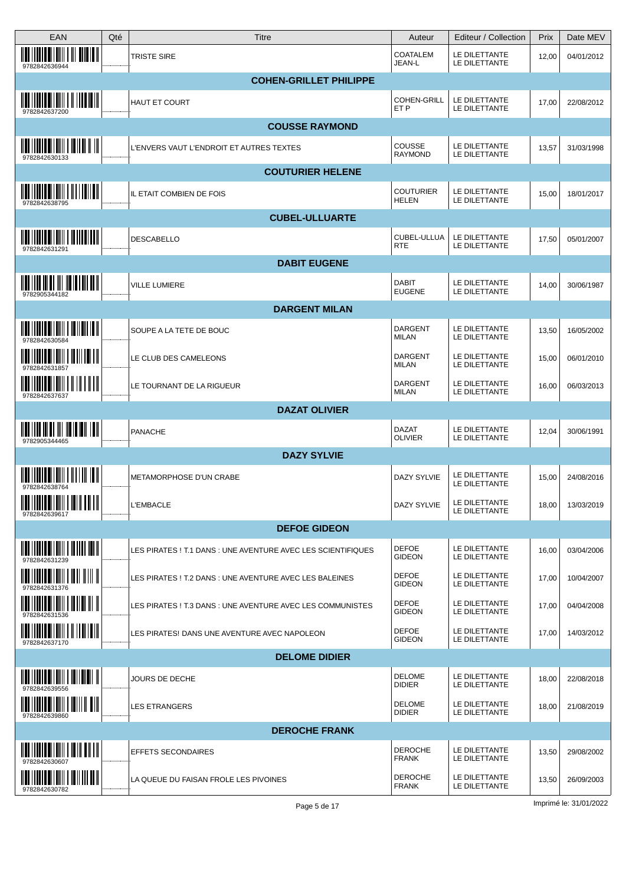| <b>EAN</b>                                                                                                                                                                                                                                                                                                                           | Qté | Titre                                                        | Auteur                           | Editeur / Collection           | Prix  | Date MEV   |
|--------------------------------------------------------------------------------------------------------------------------------------------------------------------------------------------------------------------------------------------------------------------------------------------------------------------------------------|-----|--------------------------------------------------------------|----------------------------------|--------------------------------|-------|------------|
| <u> IIII I IIIII IIIIIIII I III IIIIIII</u><br>9782842636944                                                                                                                                                                                                                                                                         |     | <b>TRISTE SIRE</b>                                           | <b>COATALEM</b><br>JEAN-L        | LE DILETTANTE<br>LE DILETTANTE | 12,00 | 04/01/2012 |
|                                                                                                                                                                                                                                                                                                                                      |     | <b>COHEN-GRILLET PHILIPPE</b>                                |                                  |                                |       |            |
| <u> IIII    IIII    IIII    III    III   </u><br>9782842637200                                                                                                                                                                                                                                                                       |     | <b>HAUT ET COURT</b>                                         | <b>COHEN-GRILL</b><br>ET P       | LE DILETTANTE<br>LE DILETTANTE | 17,00 | 22/08/2012 |
|                                                                                                                                                                                                                                                                                                                                      |     | <b>COUSSE RAYMOND</b>                                        |                                  |                                |       |            |
| $\frac{1}{2}$ $\frac{1}{2}$ $\frac{1}{2}$ $\frac{1}{2}$ $\frac{1}{2}$ $\frac{1}{2}$ $\frac{1}{2}$ $\frac{1}{2}$ $\frac{1}{2}$ $\frac{1}{2}$ $\frac{1}{2}$ $\frac{1}{2}$ $\frac{1}{2}$<br>9782842630133                                                                                                                               |     | L'ENVERS VAUT L'ENDROIT ET AUTRES TEXTES                     | <b>COUSSE</b><br><b>RAYMOND</b>  | LE DILETTANTE<br>LE DILETTANTE | 13,57 | 31/03/1998 |
|                                                                                                                                                                                                                                                                                                                                      |     | <b>COUTURIER HELENE</b>                                      |                                  |                                |       |            |
| $\frac{1}{2}$ $\frac{1}{2}$ $\frac{1}{2}$ $\frac{1}{2}$ $\frac{1}{2}$ $\frac{1}{2}$ $\frac{1}{2}$ $\frac{1}{2}$ $\frac{1}{2}$ $\frac{1}{2}$ $\frac{1}{2}$ $\frac{1}{2}$ $\frac{1}{2}$ $\frac{1}{2}$ $\frac{1}{2}$ $\frac{1}{2}$ $\frac{1}{2}$ $\frac{1}{2}$ $\frac{1}{2}$ $\frac{1}{2}$ $\frac{1}{2}$ $\frac{1}{2}$<br>9782842638795 |     | IL ETAIT COMBIEN DE FOIS                                     | <b>COUTURIER</b><br><b>HELEN</b> | LE DILETTANTE<br>LE DILETTANTE | 15,00 | 18/01/2017 |
|                                                                                                                                                                                                                                                                                                                                      |     | <b>CUBEL-ULLUARTE</b>                                        |                                  |                                |       |            |
| <u> IIII    IIII    IIIII    IIIII    III</u><br>9782842631291                                                                                                                                                                                                                                                                       |     | DESCABELLO                                                   | CUBEL-ULLUA<br><b>RTE</b>        | LE DILETTANTE<br>LE DILETTANTE | 17,50 | 05/01/2007 |
|                                                                                                                                                                                                                                                                                                                                      |     | <b>DABIT EUGENE</b>                                          |                                  |                                |       |            |
| <u> IIII   III III III III III III III   </u><br>9782905344182                                                                                                                                                                                                                                                                       |     | VILLE LUMIERE                                                | DABIT<br><b>EUGENE</b>           | LE DILETTANTE<br>LE DILETTANTE | 14,00 | 30/06/1987 |
|                                                                                                                                                                                                                                                                                                                                      |     | <b>DARGENT MILAN</b>                                         |                                  |                                |       |            |
|                                                                                                                                                                                                                                                                                                                                      |     | SOUPE A LA TETE DE BOUC                                      | <b>DARGENT</b><br><b>MILAN</b>   | LE DILETTANTE<br>LE DILETTANTE | 13,50 | 16/05/2002 |
| <u> IIII    IIII III IIII   IIII    II</u><br>9782842631857                                                                                                                                                                                                                                                                          |     | LE CLUB DES CAMELEONS                                        | <b>DARGENT</b><br>MILAN          | LE DILETTANTE<br>LE DILETTANTE | 15,00 | 06/01/2010 |
| $\frac{1}{2}$ $\frac{1}{2}$ $\frac{1}{2}$ $\frac{1}{2}$ $\frac{1}{2}$ $\frac{1}{2}$ $\frac{1}{2}$ $\frac{1}{2}$ $\frac{1}{2}$ $\frac{1}{2}$ $\frac{1}{2}$ $\frac{1}{2}$ $\frac{1}{2}$ $\frac{1}{2}$ $\frac{1}{2}$ $\frac{1}{2}$ $\frac{1}{2}$ $\frac{1}{2}$ $\frac{1}{2}$ $\frac{1}{2}$ $\frac{1}{2}$ $\frac{1}{2}$<br>9782842637637 |     | LE TOURNANT DE LA RIGUEUR                                    | <b>DARGENT</b><br><b>MILAN</b>   | LE DILETTANTE<br>LE DILETTANTE | 16,00 | 06/03/2013 |
|                                                                                                                                                                                                                                                                                                                                      |     | <b>DAZAT OLIVIER</b>                                         |                                  |                                |       |            |
| <u> IIII IIII III III III III III II III III</u><br>9782905344465                                                                                                                                                                                                                                                                    |     | PANACHE                                                      | <b>DAZAT</b><br><b>OLIVIER</b>   | LE DILETTANTE<br>LE DILETTANTE | 12,04 | 30/06/1991 |
|                                                                                                                                                                                                                                                                                                                                      |     | <b>DAZY SYLVIE</b>                                           |                                  |                                |       |            |
| <u> IIII   IIII III IIII    III    III</u><br>9782842638764                                                                                                                                                                                                                                                                          |     | METAMORPHOSE D'UN CRABE                                      | <b>DAZY SYLVIE</b>               | LE DILETTANTE<br>LE DILETTANTE | 15,00 | 24/08/2016 |
| $\frac{1}{2}$ $\frac{1}{2}$ $\frac{1}{2}$ $\frac{1}{2}$ $\frac{1}{2}$ $\frac{1}{2}$ $\frac{1}{2}$ $\frac{1}{2}$ $\frac{1}{2}$ $\frac{1}{2}$ $\frac{1}{2}$ $\frac{1}{2}$ $\frac{1}{2}$ $\frac{1}{2}$ $\frac{1}{2}$ $\frac{1}{2}$ $\frac{1}{2}$ $\frac{1}{2}$ $\frac{1}{2}$ $\frac{1}{2}$ $\frac{1}{2}$ $\frac{1}{2}$<br>9782842639617 |     | <b>L'EMBACLE</b>                                             | DAZY SYLVIE                      | LE DILETTANTE<br>LE DILETTANTE | 18,00 | 13/03/2019 |
|                                                                                                                                                                                                                                                                                                                                      |     | <b>DEFOE GIDEON</b>                                          |                                  |                                |       |            |
| <u> IIII    IIII    IIIII    IIII    III</u>                                                                                                                                                                                                                                                                                         |     | LES PIRATES ! T.1 DANS : UNE AVENTURE AVEC LES SCIENTIFIQUES | <b>DEFOE</b><br><b>GIDEON</b>    | LE DILETTANTE<br>LE DILETTANTE | 16,00 | 03/04/2006 |
| $\frac{1}{2}$ $\frac{1}{2}$ $\frac{1}{2}$ $\frac{1}{2}$ $\frac{1}{2}$ $\frac{1}{2}$ $\frac{1}{2}$ $\frac{1}{2}$ $\frac{1}{2}$ $\frac{1}{2}$ $\frac{1}{2}$ $\frac{1}{2}$ $\frac{1}{2}$ $\frac{1}{2}$ $\frac{1}{2}$ $\frac{1}{2}$ $\frac{1}{2}$ $\frac{1}{2}$ $\frac{1}{2}$ $\frac{1}{2}$ $\frac{1}{2}$ $\frac{1}{2}$<br>9782842631376 |     | LES PIRATES ! T.2 DANS : UNE AVENTURE AVEC LES BALEINES      | <b>DEFOE</b><br><b>GIDEON</b>    | LE DILETTANTE<br>LE DILETTANTE | 17,00 | 10/04/2007 |
| $\frac{1}{2}$ $\frac{1}{2}$ $\frac{1}{2}$ $\frac{1}{2}$ $\frac{1}{2}$ $\frac{1}{2}$ $\frac{1}{2}$ $\frac{1}{2}$ $\frac{1}{2}$ $\frac{1}{2}$ $\frac{1}{2}$ $\frac{1}{2}$ $\frac{1}{2}$ $\frac{1}{2}$ $\frac{1}{2}$ $\frac{1}{2}$ $\frac{1}{2}$ $\frac{1}{2}$ $\frac{1}{2}$ $\frac{1}{2}$ $\frac{1}{2}$ $\frac{1}{2}$<br>9782842631536 |     | LES PIRATES ! T.3 DANS : UNE AVENTURE AVEC LES COMMUNISTES   | <b>DEFOE</b><br><b>GIDEON</b>    | LE DILETTANTE<br>LE DILETTANTE | 17,00 | 04/04/2008 |
| <u> IIII    IIII    IIIII    III    III</u><br>9782842637170                                                                                                                                                                                                                                                                         |     | LES PIRATES! DANS UNE AVENTURE AVEC NAPOLEON                 | DEFOE<br><b>GIDEON</b>           | LE DILETTANTE<br>LE DILETTANTE | 17,00 | 14/03/2012 |
|                                                                                                                                                                                                                                                                                                                                      |     | <b>DELOME DIDIER</b>                                         |                                  |                                |       |            |
| $\frac{1}{2}$ $\frac{1}{2}$ $\frac{1}{2}$ $\frac{1}{2}$ $\frac{1}{2}$ $\frac{1}{2}$ $\frac{1}{2}$ $\frac{1}{2}$ $\frac{1}{2}$ $\frac{1}{2}$ $\frac{1}{2}$ $\frac{1}{2}$ $\frac{1}{2}$ $\frac{1}{2}$ $\frac{1}{2}$ $\frac{1}{2}$ $\frac{1}{2}$ $\frac{1}{2}$ $\frac{1}{2}$ $\frac{1}{2}$ $\frac{1}{2}$ $\frac{1}{2}$                  |     | JOURS DE DECHE                                               | <b>DELOME</b><br><b>DIDIER</b>   | LE DILETTANTE<br>LE DILETTANTE | 18,00 | 22/08/2018 |
| <u> IIII I IIIII DI IIIII I IIIII II DIII</u><br>9782842639860                                                                                                                                                                                                                                                                       |     | <b>LES ETRANGERS</b>                                         | <b>DELOME</b><br><b>DIDIER</b>   | LE DILETTANTE<br>LE DILETTANTE | 18,00 | 21/08/2019 |
|                                                                                                                                                                                                                                                                                                                                      |     | <b>DEROCHE FRANK</b>                                         |                                  |                                |       |            |
| $\mathop{\mathtt{min}}\limits_{} \mathop{\mathtt{min}}\limits_{} \mathop{\mathtt{min}}\limits_{} \mathop{\mathtt{min}}\limits_{} \mathop{\mathtt{min}}\limits_{} \mathop{\mathtt{min}}\limits_{}$                                                                                                                                    |     | <b>EFFETS SECONDAIRES</b>                                    | <b>DEROCHE</b><br><b>FRANK</b>   | LE DILETTANTE<br>LE DILETTANTE | 13,50 | 29/08/2002 |
| <u> IIII    IIII    IIIII    III    II</u><br>9782842630782                                                                                                                                                                                                                                                                          |     | LA QUEUE DU FAISAN FROLE LES PIVOINES                        | <b>DEROCHE</b><br><b>FRANK</b>   | LE DILETTANTE<br>LE DILETTANTE | 13,50 | 26/09/2003 |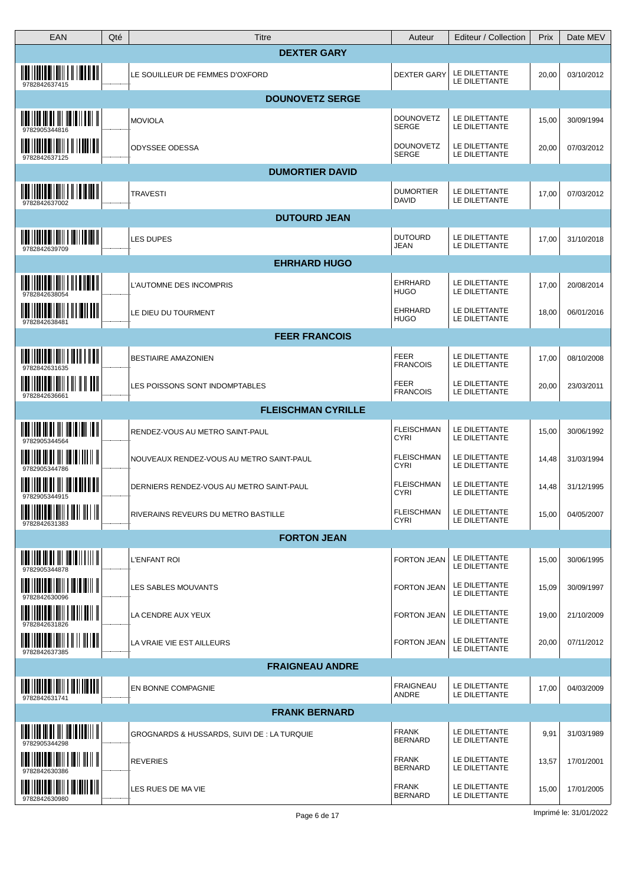| EAN                                                                                                                                                                                                                                                                                                                                  | Qté | <b>Titre</b>                                | Auteur                           | Editeur / Collection           | Prix  | Date MEV   |
|--------------------------------------------------------------------------------------------------------------------------------------------------------------------------------------------------------------------------------------------------------------------------------------------------------------------------------------|-----|---------------------------------------------|----------------------------------|--------------------------------|-------|------------|
|                                                                                                                                                                                                                                                                                                                                      |     | <b>DEXTER GARY</b>                          |                                  |                                |       |            |
| 9782842637415                                                                                                                                                                                                                                                                                                                        |     | LE SOUILLEUR DE FEMMES D'OXFORD             | <b>DEXTER GARY</b>               | LE DILETTANTE<br>LE DILETTANTE | 20,00 | 03/10/2012 |
|                                                                                                                                                                                                                                                                                                                                      |     | <b>DOUNOVETZ SERGE</b>                      |                                  |                                |       |            |
| 9782905344816                                                                                                                                                                                                                                                                                                                        |     | <b>MOVIOLA</b>                              | <b>DOUNOVETZ</b><br>SERGE        | LE DILETTANTE<br>LE DILETTANTE | 15,00 | 30/09/1994 |
| 9782842637125                                                                                                                                                                                                                                                                                                                        |     | ODYSSEE ODESSA                              | <b>DOUNOVETZ</b><br>SERGE        | LE DILETTANTE<br>LE DILETTANTE | 20,00 | 07/03/2012 |
|                                                                                                                                                                                                                                                                                                                                      |     | <b>DUMORTIER DAVID</b>                      |                                  |                                |       |            |
| <u> IIII IIIIII IIIIIII II IIIIIIII</u><br>9782842637002                                                                                                                                                                                                                                                                             |     | <b>TRAVESTI</b>                             | <b>DUMORTIER</b><br><b>DAVID</b> | LE DILETTANTE<br>LE DILETTANTE | 17,00 | 07/03/2012 |
|                                                                                                                                                                                                                                                                                                                                      |     | <b>DUTOURD JEAN</b>                         |                                  |                                |       |            |
| 9782842639709                                                                                                                                                                                                                                                                                                                        |     | <b>LES DUPES</b>                            | <b>DUTOURD</b><br>JEAN           | LE DILETTANTE<br>LE DILETTANTE | 17,00 | 31/10/2018 |
|                                                                                                                                                                                                                                                                                                                                      |     | <b>EHRHARD HUGO</b>                         |                                  |                                |       |            |
| <u> IIII IIIIIII IIIIIIII I III IIIIIIII</u><br>9782842638054                                                                                                                                                                                                                                                                        |     | L'AUTOMNE DES INCOMPRIS                     | <b>EHRHARD</b><br><b>HUGO</b>    | LE DILETTANTE<br>LE DILETTANTE | 17,00 | 20/08/2014 |
| <u> IIII I IIIII IIIIIII I III IIII III</u><br>978284263848                                                                                                                                                                                                                                                                          |     | LE DIEU DU TOURMENT                         | EHRHARD<br><b>HUGO</b>           | LE DILETTANTE<br>LE DILETTANTE | 18,00 | 06/01/2016 |
|                                                                                                                                                                                                                                                                                                                                      |     | <b>FEER FRANCOIS</b>                        |                                  |                                |       |            |
| 9782842631635                                                                                                                                                                                                                                                                                                                        |     | <b>BESTIAIRE AMAZONIEN</b>                  | <b>FEER</b><br><b>FRANCOIS</b>   | LE DILETTANTE<br>LE DILETTANTE | 17,00 | 08/10/2008 |
| <u> IIII    IIII    IIIII    III    III</u><br>9782842636661                                                                                                                                                                                                                                                                         |     | LES POISSONS SONT INDOMPTABLES              | FEER<br><b>FRANCOIS</b>          | LE DILETTANTE<br>LE DILETTANTE | 20,00 | 23/03/2011 |
|                                                                                                                                                                                                                                                                                                                                      |     | <b>FLEISCHMAN CYRILLE</b>                   |                                  |                                |       |            |
| $\overline{\mathbf{u}}$ , $\overline{\mathbf{u}}$ , $\overline{\mathbf{u}}$ , $\overline{\mathbf{u}}$ , $\overline{\mathbf{u}}$ , $\overline{\mathbf{u}}$ , $\overline{\mathbf{u}}$ , $\overline{\mathbf{u}}$ , $\overline{\mathbf{u}}$ , $\overline{\mathbf{u}}$                                                                    |     | RENDEZ-VOUS AU METRO SAINT-PAUL             | <b>FLEISCHMAN</b><br><b>CYRI</b> | LE DILETTANTE<br>LE DILETTANTE | 15,00 | 30/06/1992 |
| 9782905344786                                                                                                                                                                                                                                                                                                                        |     | NOUVEAUX RENDEZ-VOUS AU METRO SAINT-PAUL    | <b>FLEISCHMAN</b><br><b>CYRI</b> | LE DILETTANTE<br>LE DILETTANTE | 14,48 | 31/03/1994 |
| <u> IIII    III III III III III III II III III</u><br>9782905344915                                                                                                                                                                                                                                                                  |     | DERNIERS RENDEZ-VOUS AU METRO SAINT-PAUL    | <b>FLEISCHMAN</b><br><b>CYRI</b> | LE DILETTANTE<br>LE DILETTANTE | 14,48 | 31/12/1995 |
| 9782842631383                                                                                                                                                                                                                                                                                                                        |     | <b>RIVERAINS REVEURS DU METRO BASTILLE</b>  | <b>FLEISCHMAN</b><br><b>CYRI</b> | LE DILETTANTE<br>LE DILETTANTE | 15,00 | 04/05/2007 |
|                                                                                                                                                                                                                                                                                                                                      |     | <b>FORTON JEAN</b>                          |                                  |                                |       |            |
| $\frac{1}{2}$ $\frac{1}{2}$ $\frac{1}{2}$ $\frac{1}{2}$ $\frac{1}{2}$ $\frac{1}{2}$ $\frac{1}{2}$ $\frac{1}{2}$ $\frac{1}{2}$ $\frac{1}{2}$ $\frac{1}{2}$ $\frac{1}{2}$ $\frac{1}{2}$ $\frac{1}{2}$ $\frac{1}{2}$ $\frac{1}{2}$ $\frac{1}{2}$ $\frac{1}{2}$ $\frac{1}{2}$ $\frac{1}{2}$ $\frac{1}{2}$ $\frac{1}{2}$<br>9782905344878 |     | <b>L'ENFANT ROI</b>                         | FORTON JEAN                      | LE DILETTANTE<br>LE DILETTANTE | 15,00 | 30/06/1995 |
| $\begin{tabular}{c c c c} \hline \quad \quad \quad & \quad \quad & \quad \quad & \quad \quad & \quad \quad & \quad \quad \\ \hline \quad \quad & \quad \quad & \quad \quad & \quad \quad & \quad \quad \\ \hline 9782842630096 & & & & \quad \quad \\ \hline \end{tabular}$                                                          |     | LES SABLES MOUVANTS                         | <b>FORTON JEAN</b>               | LE DILETTANTE<br>LE DILETTANTE | 15,09 | 30/09/1997 |
| $\frac{1}{2}$ $\frac{1}{2}$ $\frac{1}{2}$ $\frac{1}{2}$ $\frac{1}{2}$ $\frac{1}{2}$ $\frac{1}{2}$ $\frac{1}{2}$ $\frac{1}{2}$ $\frac{1}{2}$ $\frac{1}{2}$ $\frac{1}{2}$ $\frac{1}{2}$ $\frac{1}{2}$ $\frac{1}{2}$ $\frac{1}{2}$ $\frac{1}{2}$ $\frac{1}{2}$ $\frac{1}{2}$ $\frac{1}{2}$ $\frac{1}{2}$ $\frac{1}{2}$                  |     | LA CENDRE AUX YEUX                          | FORTON JEAN                      | LE DILETTANTE<br>LE DILETTANTE | 19,00 | 21/10/2009 |
| <u> IIII    IIII III IIII               </u><br>9782842637385                                                                                                                                                                                                                                                                        |     | LA VRAIE VIE EST AILLEURS                   | <b>FORTON JEAN</b>               | LE DILETTANTE<br>LE DILETTANTE | 20,00 | 07/11/2012 |
|                                                                                                                                                                                                                                                                                                                                      |     | <b>FRAIGNEAU ANDRE</b>                      |                                  |                                |       |            |
| <u> III IIIIIIIIIIIIIIIIIIIIIII</u><br>9782842631741                                                                                                                                                                                                                                                                                 |     | EN BONNE COMPAGNIE                          | <b>FRAIGNEAU</b><br>ANDRE        | LE DILETTANTE<br>LE DILETTANTE | 17,00 | 04/03/2009 |
|                                                                                                                                                                                                                                                                                                                                      |     | <b>FRANK BERNARD</b>                        |                                  |                                |       |            |
| $\frac{1}{2}$ , $\frac{1}{2}$ , $\frac{1}{2}$ , $\frac{1}{2}$ , $\frac{1}{2}$ , $\frac{1}{2}$ , $\frac{1}{2}$ , $\frac{1}{2}$ , $\frac{1}{2}$ , $\frac{1}{2}$ , $\frac{1}{2}$<br>9782905344298                                                                                                                                       |     | GROGNARDS & HUSSARDS, SUIVI DE : LA TURQUIE | <b>FRANK</b><br><b>BERNARD</b>   | LE DILETTANTE<br>LE DILETTANTE | 9,91  | 31/03/1989 |
| <u> IIII IIIIII IIIIIII I III II II II</u><br>9782842630386                                                                                                                                                                                                                                                                          |     | <b>REVERIES</b>                             | <b>FRANK</b><br><b>BERNARD</b>   | LE DILETTANTE<br>LE DILETTANTE | 13,57 | 17/01/2001 |
| HULLIUM ALIMI   ILIUM AII<br>9782842630980                                                                                                                                                                                                                                                                                           |     | LES RUES DE MA VIE                          | <b>FRANK</b><br><b>BERNARD</b>   | LE DILETTANTE<br>LE DILETTANTE | 15,00 | 17/01/2005 |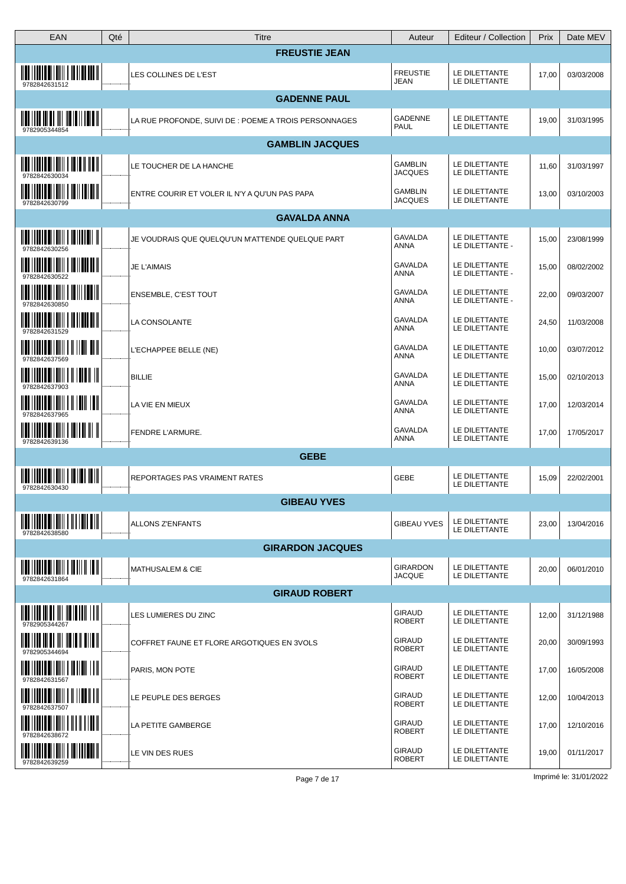| EAN                                                                                                                                                                                                                                                                                                                                  | Qté | Titre                                                 | Auteur                           | Editeur / Collection             | Prix  | Date MEV   |
|--------------------------------------------------------------------------------------------------------------------------------------------------------------------------------------------------------------------------------------------------------------------------------------------------------------------------------------|-----|-------------------------------------------------------|----------------------------------|----------------------------------|-------|------------|
|                                                                                                                                                                                                                                                                                                                                      |     | <b>FREUSTIE JEAN</b>                                  |                                  |                                  |       |            |
| <u> IIII IIIIII IIIIIII I IIIIIIIIII</u><br>9782842631512                                                                                                                                                                                                                                                                            |     | LES COLLINES DE L'EST                                 | <b>FREUSTIE</b><br>JEAN          | LE DILETTANTE<br>LE DILETTANTE   | 17,00 | 03/03/2008 |
|                                                                                                                                                                                                                                                                                                                                      |     | <b>GADENNE PAUL</b>                                   |                                  |                                  |       |            |
| 9782905344854                                                                                                                                                                                                                                                                                                                        |     | LA RUE PROFONDE, SUIVI DE : POEME A TROIS PERSONNAGES | GADENNE<br>PAUL                  | LE DILETTANTE<br>LE DILETTANTE   | 19,00 | 31/03/1995 |
|                                                                                                                                                                                                                                                                                                                                      |     | <b>GAMBLIN JACQUES</b>                                |                                  |                                  |       |            |
| 9782842630034                                                                                                                                                                                                                                                                                                                        |     | LE TOUCHER DE LA HANCHE                               | <b>GAMBLIN</b><br><b>JACQUES</b> | LE DILETTANTE<br>LE DILETTANTE   | 11,60 | 31/03/1997 |
| <u> IIII IIIIII AIIIIII I IIIIIIIIII</u><br>9782842630799                                                                                                                                                                                                                                                                            |     | ENTRE COURIR ET VOLER IL N'Y A QU'UN PAS PAPA         | <b>GAMBLIN</b><br>JACQUES        | LE DILETTANTE<br>LE DILETTANTE   | 13,00 | 03/10/2003 |
|                                                                                                                                                                                                                                                                                                                                      |     | <b>GAVALDA ANNA</b>                                   |                                  |                                  |       |            |
| 9782842630256                                                                                                                                                                                                                                                                                                                        |     | JE VOUDRAIS QUE QUELQU'UN M'ATTENDE QUELQUE PART      | <b>GAVALDA</b><br>ANNA           | LE DILETTANTE<br>LE DILETTANTE - | 15,00 | 23/08/1999 |
| <u> IIII   IIIII III   IIII</u><br>9782842630522                                                                                                                                                                                                                                                                                     |     | <b>JE L'AIMAIS</b>                                    | <b>GAVALDA</b><br>ANNA           | LE DILETTANTE<br>LE DILETTANTE - | 15,00 | 08/02/2002 |
| <u>HIIIIIIIII</u><br>9782842630850                                                                                                                                                                                                                                                                                                   |     | ENSEMBLE, C'EST TOUT                                  | <b>GAVALDA</b><br>ANNA           | LE DILETTANTE<br>LE DILETTANTE - | 22,00 | 09/03/2007 |
| <u> IIII IIIIII IIIIIII I IIIIIII IIII</u><br>9782842631529                                                                                                                                                                                                                                                                          |     | LA CONSOLANTE                                         | GAVALDA<br>ANNA                  | LE DILETTANTE<br>LE DILETTANTE   | 24,50 | 11/03/2008 |
| 9782842637569                                                                                                                                                                                                                                                                                                                        |     | L'ECHAPPEE BELLE (NE)                                 | <b>GAVALDA</b><br>ANNA           | LE DILETTANTE<br>LE DILETTANTE   | 10,00 | 03/07/2012 |
| $\overline{\mathbf{u}}$ , $\overline{\mathbf{u}}$ , $\overline{\mathbf{u}}$ , $\overline{\mathbf{u}}$ , $\overline{\mathbf{u}}$ , $\overline{\mathbf{u}}$ , $\overline{\mathbf{u}}$ , $\overline{\mathbf{u}}$ , $\overline{\mathbf{u}}$ , $\overline{\mathbf{u}}$<br>9782842637903                                                   |     | <b>BILLIE</b>                                         | GAVALDA<br>ANNA                  | LE DILETTANTE<br>LE DILETTANTE   | 15,00 | 02/10/2013 |
| <b>THE REAL PROPERTY</b><br>9782842637965                                                                                                                                                                                                                                                                                            |     | LA VIE EN MIEUX                                       | <b>GAVALDA</b><br>ANNA           | LE DILETTANTE<br>LE DILETTANTE   | 17,00 | 12/03/2014 |
| <u>                 </u><br><u> IIII I IIIII IIIIII</u><br>9782842639136                                                                                                                                                                                                                                                             |     | FENDRE L'ARMURE.                                      | GAVALDA<br>ANNA                  | LE DILETTANTE<br>LE DILETTANTE   | 17,00 | 17/05/2017 |
|                                                                                                                                                                                                                                                                                                                                      |     | <b>GEBE</b>                                           |                                  |                                  |       |            |
| <u> IIII    IIII    IIIII    III         </u><br>9782842630430                                                                                                                                                                                                                                                                       |     | REPORTAGES PAS VRAIMENT RATES                         | GEBE                             | LE DILETTANTE<br>LE DILETTANTE   | 15,09 | 22/02/2001 |
|                                                                                                                                                                                                                                                                                                                                      |     | <b>GIBEAU YVES</b>                                    |                                  |                                  |       |            |
| <u> IIII   IIIII   IIIII</u><br>9782842638580                                                                                                                                                                                                                                                                                        |     | <b>ALLONS Z'ENFANTS</b>                               | <b>GIBEAU YVES</b>               | LE DILETTANTE<br>LE DILETTANTE   | 23,00 | 13/04/2016 |
|                                                                                                                                                                                                                                                                                                                                      |     | <b>GIRARDON JACQUES</b>                               |                                  |                                  |       |            |
| 9782842631864                                                                                                                                                                                                                                                                                                                        |     | <b>MATHUSALEM &amp; CIE</b>                           | <b>GIRARDON</b><br><b>JACQUE</b> | LE DILETTANTE<br>LE DILETTANTE   | 20,00 | 06/01/2010 |
|                                                                                                                                                                                                                                                                                                                                      |     | <b>GIRAUD ROBERT</b>                                  |                                  |                                  |       |            |
| $\frac{1}{2}$ $\frac{1}{2}$ $\frac{1}{2}$ $\frac{1}{2}$ $\frac{1}{2}$ $\frac{1}{2}$ $\frac{1}{2}$ $\frac{1}{2}$ $\frac{1}{2}$ $\frac{1}{2}$ $\frac{1}{2}$ $\frac{1}{2}$ $\frac{1}{2}$ $\frac{1}{2}$ $\frac{1}{2}$ $\frac{1}{2}$ $\frac{1}{2}$ $\frac{1}{2}$ $\frac{1}{2}$ $\frac{1}{2}$ $\frac{1}{2}$ $\frac{1}{2}$<br>9782905344267 |     | LES LUMIERES DU ZINC                                  | <b>GIRAUD</b><br><b>ROBERT</b>   | LE DILETTANTE<br>LE DILETTANTE   | 12,00 | 31/12/1988 |
| <u> IIII IIII III III III IIII III II III</u><br>9782905344694                                                                                                                                                                                                                                                                       |     | COFFRET FAUNE ET FLORE ARGOTIQUES EN 3VOLS            | <b>GIRAUD</b><br><b>ROBERT</b>   | LE DILETTANTE<br>LE DILETTANTE   | 20,00 | 30/09/1993 |
| <u>                     </u><br>9782842631567                                                                                                                                                                                                                                                                                        |     | PARIS, MON POTE                                       | <b>GIRAUD</b><br><b>ROBERT</b>   | LE DILETTANTE<br>LE DILETTANTE   | 17,00 | 16/05/2008 |
| 9782842637507                                                                                                                                                                                                                                                                                                                        |     | LE PEUPLE DES BERGES                                  | <b>GIRAUD</b><br><b>ROBERT</b>   | LE DILETTANTE<br>LE DILETTANTE   | 12,00 | 10/04/2013 |
|                                                                                                                                                                                                                                                                                                                                      |     | LA PETITE GAMBERGE                                    | <b>GIRAUD</b><br><b>ROBERT</b>   | LE DILETTANTE<br>LE DILETTANTE   | 17,00 | 12/10/2016 |
| $\frac{1}{2}$ $\frac{1}{2}$ $\frac{1}{2}$ $\frac{1}{2}$ $\frac{1}{2}$ $\frac{1}{2}$ $\frac{1}{2}$ $\frac{1}{2}$ $\frac{1}{2}$ $\frac{1}{2}$ $\frac{1}{2}$ $\frac{1}{2}$ $\frac{1}{2}$ $\frac{1}{2}$ $\frac{1}{2}$ $\frac{1}{2}$ $\frac{1}{2}$ $\frac{1}{2}$ $\frac{1}{2}$ $\frac{1}{2}$ $\frac{1}{2}$ $\frac{1}{2}$<br>9782842639259 |     | LE VIN DES RUES                                       | <b>GIRAUD</b><br><b>ROBERT</b>   | LE DILETTANTE<br>LE DILETTANTE   | 19,00 | 01/11/2017 |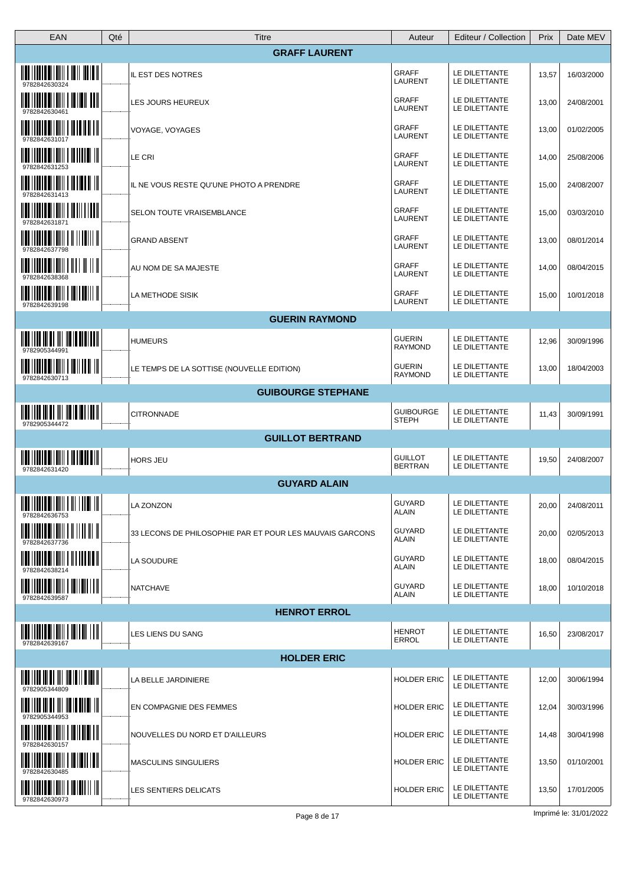| EAN                                                                                                                                                                                                                                                                                                                                  | Qté<br><b>Titre</b>                                      | Auteur                           | Editeur / Collection           | Prix  | Date MEV   |
|--------------------------------------------------------------------------------------------------------------------------------------------------------------------------------------------------------------------------------------------------------------------------------------------------------------------------------------|----------------------------------------------------------|----------------------------------|--------------------------------|-------|------------|
|                                                                                                                                                                                                                                                                                                                                      | <b>GRAFF LAURENT</b>                                     |                                  |                                |       |            |
| $\frac{1}{2}$ , $\frac{1}{2}$ , $\frac{1}{2}$ , $\frac{1}{2}$ , $\frac{1}{2}$ , $\frac{1}{2}$ , $\frac{1}{2}$ , $\frac{1}{2}$ , $\frac{1}{2}$ , $\frac{1}{2}$ , $\frac{1}{2}$                                                                                                                                                        | IL EST DES NOTRES                                        | GRAFF<br>LAURENT                 | LE DILETTANTE<br>LE DILETTANTE | 13,57 | 16/03/2000 |
| 978284263046                                                                                                                                                                                                                                                                                                                         | LES JOURS HEUREUX                                        | <b>GRAFF</b><br>LAURENT          | LE DILETTANTE<br>LE DILETTANTE | 13,00 | 24/08/2001 |
|                                                                                                                                                                                                                                                                                                                                      | VOYAGE, VOYAGES                                          | <b>GRAFF</b><br>LAURENT          | LE DILETTANTE<br>LE DILETTANTE | 13,00 | 01/02/2005 |
| <u> IIII    IIII    IIIII    IIIII   </u>                                                                                                                                                                                                                                                                                            | LE CRI                                                   | <b>GRAFF</b><br>LAURENT          | LE DILETTANTE<br>LE DILETTANTE | 14,00 | 25/08/2006 |
| <u> IIII   IIII IIIIIII   IIIIIII   </u><br>9782842631413                                                                                                                                                                                                                                                                            | IL NE VOUS RESTE QU'UNE PHOTO A PRENDRE                  | <b>GRAFF</b><br>LAURENT          | LE DILETTANTE<br>LE DILETTANTE | 15,00 | 24/08/2007 |
| IIIIII<br>9782842631871                                                                                                                                                                                                                                                                                                              | SELON TOUTE VRAISEMBLANCE                                | <b>GRAFF</b><br>LAURENT          | LE DILETTANTE<br>LE DILETTANTE | 15,00 | 03/03/2010 |
| 9782842637798                                                                                                                                                                                                                                                                                                                        | <b>GRAND ABSENT</b>                                      | <b>GRAFF</b><br>LAURENT          | LE DILETTANTE<br>LE DILETTANTE | 13,00 | 08/01/2014 |
|                                                                                                                                                                                                                                                                                                                                      | AU NOM DE SA MAJESTE                                     | <b>GRAFF</b><br>LAURENT          | LE DILETTANTE<br>LE DILETTANTE | 14,00 | 08/04/2015 |
| $\frac{1}{2}$ $\frac{1}{2}$ $\frac{1}{2}$ $\frac{1}{2}$ $\frac{1}{2}$ $\frac{1}{2}$ $\frac{1}{2}$ $\frac{1}{2}$ $\frac{1}{2}$ $\frac{1}{2}$ $\frac{1}{2}$ $\frac{1}{2}$ $\frac{1}{2}$ $\frac{1}{2}$ $\frac{1}{2}$ $\frac{1}{2}$ $\frac{1}{2}$ $\frac{1}{2}$ $\frac{1}{2}$ $\frac{1}{2}$ $\frac{1}{2}$ $\frac{1}{2}$<br>9782842639198 | LA METHODE SISIK                                         | <b>GRAFF</b><br>LAURENT          | LE DILETTANTE<br>LE DILETTANTE | 15,00 | 10/01/2018 |
|                                                                                                                                                                                                                                                                                                                                      | <b>GUERIN RAYMOND</b>                                    |                                  |                                |       |            |
| <u> 1100   1110   111   111   111   111   111   111   111   111   111   111   111   111   111   111   1</u><br>9782905344991                                                                                                                                                                                                         | <b>HUMEURS</b>                                           | <b>GUERIN</b><br><b>RAYMOND</b>  | LE DILETTANTE<br>LE DILETTANTE | 12,96 | 30/09/1996 |
| <u> 1100    11110    1111111    111    111    111</u><br>9782842630713                                                                                                                                                                                                                                                               | LE TEMPS DE LA SOTTISE (NOUVELLE EDITION)                | <b>GUERIN</b><br><b>RAYMOND</b>  | LE DILETTANTE<br>LE DILETTANTE | 13,00 | 18/04/2003 |
|                                                                                                                                                                                                                                                                                                                                      | <b>GUIBOURGE STEPHANE</b>                                |                                  |                                |       |            |
| 9782905344472                                                                                                                                                                                                                                                                                                                        | <b>CITRONNADE</b>                                        | <b>GUIBOURGE</b><br><b>STEPH</b> | LE DILETTANTE<br>LE DILETTANTE | 11,43 | 30/09/1991 |
|                                                                                                                                                                                                                                                                                                                                      | <b>GUILLOT BERTRAND</b>                                  |                                  |                                |       |            |
| $\frac{1}{2}$ $\frac{1}{2}$ $\frac{1}{2}$ $\frac{1}{2}$ $\frac{1}{2}$ $\frac{1}{2}$ $\frac{1}{2}$ $\frac{1}{2}$ $\frac{1}{2}$ $\frac{1}{2}$ $\frac{1}{2}$ $\frac{1}{2}$ $\frac{1}{2}$ $\frac{1}{2}$ $\frac{1}{2}$ $\frac{1}{2}$ $\frac{1}{2}$ $\frac{1}{2}$ $\frac{1}{2}$ $\frac{1}{2}$ $\frac{1}{2}$ $\frac{1}{2}$<br>9782842631420 | HORS JEU                                                 | <b>GUILLOT</b><br><b>BERTRAN</b> | LE DILETTANTE<br>LE DILETTANTE | 19,50 | 24/08/2007 |
|                                                                                                                                                                                                                                                                                                                                      | <b>GUYARD ALAIN</b>                                      |                                  |                                |       |            |
| $\frac{1}{2}$ $\frac{1}{2}$ $\frac{1}{2}$ $\frac{1}{2}$ $\frac{1}{2}$ $\frac{1}{2}$ $\frac{1}{2}$ $\frac{1}{2}$ $\frac{1}{2}$ $\frac{1}{2}$ $\frac{1}{2}$ $\frac{1}{2}$ $\frac{1}{2}$ $\frac{1}{2}$ $\frac{1}{2}$ $\frac{1}{2}$ $\frac{1}{2}$ $\frac{1}{2}$ $\frac{1}{2}$ $\frac{1}{2}$ $\frac{1}{2}$ $\frac{1}{2}$<br>9782842636753 | LA ZONZON                                                | GUYARD<br><b>ALAIN</b>           | LE DILETTANTE<br>LE DILETTANTE | 20,00 | 24/08/2011 |
| <u> IIII    IIII    IIIII               </u><br>9782842637736                                                                                                                                                                                                                                                                        | 33 LECONS DE PHILOSOPHIE PAR ET POUR LES MAUVAIS GARCONS | GUYARD<br><b>ALAIN</b>           | LE DILETTANTE<br>LE DILETTANTE | 20,00 | 02/05/2013 |
| <u> IIII   IIIII IIIIIIII   III IIIIIIII</u><br>9782842638214                                                                                                                                                                                                                                                                        | LA SOUDURE                                               | GUYARD<br><b>ALAIN</b>           | LE DILETTANTE<br>LE DILETTANTE | 18,00 | 08/04/2015 |
| 9782842639587                                                                                                                                                                                                                                                                                                                        | <b>NATCHAVE</b>                                          | GUYARD<br><b>ALAIN</b>           | LE DILETTANTE<br>LE DILETTANTE | 18,00 | 10/10/2018 |
|                                                                                                                                                                                                                                                                                                                                      | <b>HENROT ERROL</b>                                      |                                  |                                |       |            |
| <u> IIII    IIIII    IIIIII    IIIIII    III</u><br>9782842639167                                                                                                                                                                                                                                                                    | LES LIENS DU SANG                                        | <b>HENROT</b><br><b>ERROL</b>    | LE DILETTANTE<br>LE DILETTANTE | 16,50 | 23/08/2017 |
|                                                                                                                                                                                                                                                                                                                                      | <b>HOLDER ERIC</b>                                       |                                  |                                |       |            |
| $\frac{1}{2}$ $\frac{1}{2}$ $\frac{1}{2}$ $\frac{1}{2}$ $\frac{1}{2}$ $\frac{1}{2}$ $\frac{1}{2}$ $\frac{1}{2}$ $\frac{1}{2}$ $\frac{1}{2}$ $\frac{1}{2}$ $\frac{1}{2}$ $\frac{1}{2}$ $\frac{1}{2}$ $\frac{1}{2}$ $\frac{1}{2}$ $\frac{1}{2}$ $\frac{1}{2}$ $\frac{1}{2}$ $\frac{1}{2}$ $\frac{1}{2}$ $\frac{1}{2}$                  | LA BELLE JARDINIERE                                      | <b>HOLDER ERIC</b>               | LE DILETTANTE<br>LE DILETTANTE | 12,00 | 30/06/1994 |
| <u> 1100    111    111    111    111    111   </u><br>9782905344953                                                                                                                                                                                                                                                                  | EN COMPAGNIE DES FEMMES                                  | <b>HOLDER ERIC</b>               | LE DILETTANTE<br>LE DILETTANTE | 12,04 | 30/03/1996 |
| $\frac{1}{2}$ $\frac{1}{2}$ $\frac{1}{2}$ $\frac{1}{2}$ $\frac{1}{2}$ $\frac{1}{2}$ $\frac{1}{2}$ $\frac{1}{2}$ $\frac{1}{2}$ $\frac{1}{2}$ $\frac{1}{2}$ $\frac{1}{2}$ $\frac{1}{2}$ $\frac{1}{2}$ $\frac{1}{2}$ $\frac{1}{2}$ $\frac{1}{2}$ $\frac{1}{2}$ $\frac{1}{2}$ $\frac{1}{2}$ $\frac{1}{2}$ $\frac{1}{2}$<br>9782842630157 | NOUVELLES DU NORD ET D'AILLEURS                          | <b>HOLDER ERIC</b>               | LE DILETTANTE<br>LE DILETTANTE | 14,48 | 30/04/1998 |
| 9782842630485                                                                                                                                                                                                                                                                                                                        | <b>MASCULINS SINGULIERS</b>                              | <b>HOLDER ERIC</b>               | LE DILETTANTE<br>LE DILETTANTE | 13,50 | 01/10/2001 |
| 9782842630973                                                                                                                                                                                                                                                                                                                        | LES SENTIERS DELICATS                                    | HOLDER ERIC                      | LE DILETTANTE<br>LE DILETTANTE | 13,50 | 17/01/2005 |
|                                                                                                                                                                                                                                                                                                                                      |                                                          |                                  |                                |       |            |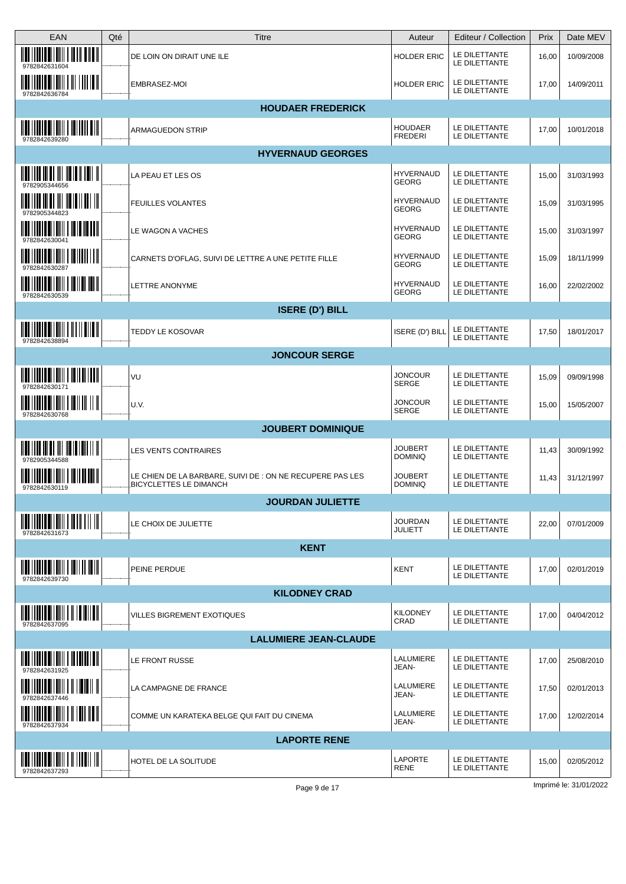| <b>EAN</b>                                                                                                                                                                                                                                                                                                                           | Qté | Titre                                                                                      | Auteur                           | Editeur / Collection           | Prix  | Date MEV   |
|--------------------------------------------------------------------------------------------------------------------------------------------------------------------------------------------------------------------------------------------------------------------------------------------------------------------------------------|-----|--------------------------------------------------------------------------------------------|----------------------------------|--------------------------------|-------|------------|
| $\frac{1}{2}$ $\frac{1}{2}$ $\frac{1}{2}$ $\frac{1}{2}$ $\frac{1}{2}$ $\frac{1}{2}$ $\frac{1}{2}$ $\frac{1}{2}$ $\frac{1}{2}$ $\frac{1}{2}$ $\frac{1}{2}$ $\frac{1}{2}$ $\frac{1}{2}$ $\frac{1}{2}$ $\frac{1}{2}$ $\frac{1}{2}$ $\frac{1}{2}$ $\frac{1}{2}$ $\frac{1}{2}$ $\frac{1}{2}$ $\frac{1}{2}$ $\frac{1}{2}$<br>9782842631604 |     | DE LOIN ON DIRAIT UNE ILE                                                                  | HOLDER ERIC                      | LE DILETTANTE<br>LE DILETTANTE | 16,00 | 10/09/2008 |
| <u> IIII    IIIII III IIII    III    III II</u><br>9782842636784                                                                                                                                                                                                                                                                     |     | EMBRASEZ-MOI                                                                               | <b>HOLDER ERIC</b>               | LE DILETTANTE<br>LE DILETTANTE | 17,00 | 14/09/2011 |
|                                                                                                                                                                                                                                                                                                                                      |     | <b>HOUDAER FREDERICK</b>                                                                   |                                  |                                |       |            |
| $\frac{1}{2}$ $\frac{1}{2}$ $\frac{1}{2}$ $\frac{1}{2}$ $\frac{1}{2}$ $\frac{1}{2}$ $\frac{1}{2}$ $\frac{1}{2}$ $\frac{1}{2}$ $\frac{1}{2}$ $\frac{1}{2}$ $\frac{1}{2}$ $\frac{1}{2}$ $\frac{1}{2}$ $\frac{1}{2}$ $\frac{1}{2}$ $\frac{1}{2}$ $\frac{1}{2}$ $\frac{1}{2}$ $\frac{1}{2}$ $\frac{1}{2}$ $\frac{1}{2}$<br>9782842639280 |     | ARMAGUEDON STRIP                                                                           | <b>HOUDAER</b><br><b>FREDERI</b> | LE DILETTANTE<br>LE DILETTANTE | 17,00 | 10/01/2018 |
|                                                                                                                                                                                                                                                                                                                                      |     | <b>HYVERNAUD GEORGES</b>                                                                   |                                  |                                |       |            |
| <u> Mai i i ni ni ni Mi Mata II i ni H</u>                                                                                                                                                                                                                                                                                           |     | LA PEAU ET LES OS                                                                          | <b>HYVERNAUD</b><br>GEORG        | LE DILETTANTE<br>LE DILETTANTE | 15,00 | 31/03/1993 |
| 9782905344823                                                                                                                                                                                                                                                                                                                        |     | <b>FEUILLES VOLANTES</b>                                                                   | <b>HYVERNAUD</b><br>GEORG        | LE DILETTANTE<br>LE DILETTANTE | 15,09 | 31/03/1995 |
| <u> IIII    IIII III IIII    III III III   </u>                                                                                                                                                                                                                                                                                      |     | LE WAGON A VACHES                                                                          | <b>HYVERNAUD</b><br>GEORG        | LE DILETTANTE<br>LE DILETTANTE | 15,00 | 31/03/1997 |
| <u> IIII IIIIII IIIIIII I IIIIIII III</u><br>9782842630287                                                                                                                                                                                                                                                                           |     | CARNETS D'OFLAG, SUIVI DE LETTRE A UNE PETITE FILLE                                        | <b>HYVERNAUD</b><br>GEORG        | LE DILETTANTE<br>LE DILETTANTE | 15,09 | 18/11/1999 |
| <u> IIII    IIII III IIIII   III III   III   </u><br>9782842630539                                                                                                                                                                                                                                                                   |     | LETTRE ANONYME                                                                             | <b>HYVERNAUD</b><br><b>GEORG</b> | LE DILETTANTE<br>LE DILETTANTE | 16,00 | 22/02/2002 |
|                                                                                                                                                                                                                                                                                                                                      |     | <b>ISERE (D') BILL</b>                                                                     |                                  |                                |       |            |
| <u> IIII    IIII    IIIII    III    III    </u><br>9782842638894                                                                                                                                                                                                                                                                     |     | TEDDY LE KOSOVAR                                                                           | ISERE (D') BILL                  | LE DILETTANTE<br>LE DILETTANTE | 17,50 | 18/01/2017 |
|                                                                                                                                                                                                                                                                                                                                      |     | <b>JONCOUR SERGE</b>                                                                       |                                  |                                |       |            |
| $\frac{1}{2}$ $\frac{1}{2}$ $\frac{1}{2}$ $\frac{1}{2}$ $\frac{1}{2}$ $\frac{1}{2}$ $\frac{1}{2}$ $\frac{1}{2}$ $\frac{1}{2}$ $\frac{1}{2}$ $\frac{1}{2}$ $\frac{1}{2}$ $\frac{1}{2}$ $\frac{1}{2}$ $\frac{1}{2}$ $\frac{1}{2}$ $\frac{1}{2}$ $\frac{1}{2}$ $\frac{1}{2}$ $\frac{1}{2}$ $\frac{1}{2}$ $\frac{1}{2}$<br>978284263017  |     | VU                                                                                         | <b>JONCOUR</b><br>SERGE          | LE DILETTANTE<br>LE DILETTANTE | 15,09 | 09/09/1998 |
| <u> IIII   IIII IIIIII    III    II   </u><br>9782842630768                                                                                                                                                                                                                                                                          |     | U.V.                                                                                       | <b>JONCOUR</b><br>SERGE          | LE DILETTANTE<br>LE DILETTANTE | 15,00 | 15/05/2007 |
|                                                                                                                                                                                                                                                                                                                                      |     | <b>JOUBERT DOMINIQUE</b>                                                                   |                                  |                                |       |            |
| 9782905344588                                                                                                                                                                                                                                                                                                                        |     | LES VENTS CONTRAIRES                                                                       | <b>JOUBERT</b><br><b>DOMINIQ</b> | LE DILETTANTE<br>LE DILETTANTE | 11,43 | 30/09/1992 |
| <u> IIII    IIII    IIIII       IIIIIIII   </u><br>9782842630119                                                                                                                                                                                                                                                                     |     | LE CHIEN DE LA BARBARE, SUIVI DE : ON NE RECUPERE PAS LES<br><b>BICYCLETTES LE DIMANCH</b> | <b>JOUBERT</b><br><b>DOMINIQ</b> | LE DILETTANTE<br>LE DILETTANTE | 11,43 | 31/12/1997 |
|                                                                                                                                                                                                                                                                                                                                      |     | <b>JOURDAN JULIETTE</b>                                                                    |                                  |                                |       |            |
| $\frac{1}{2}$ $\frac{1}{2}$ $\frac{1}{2}$ $\frac{1}{2}$ $\frac{1}{2}$ $\frac{1}{2}$ $\frac{1}{2}$ $\frac{1}{2}$ $\frac{1}{2}$ $\frac{1}{2}$ $\frac{1}{2}$ $\frac{1}{2}$ $\frac{1}{2}$<br>9782842631673                                                                                                                               |     | LE CHOIX DE JULIETTE                                                                       | <b>JOURDAN</b><br><b>JULIETT</b> | LE DILETTANTE<br>LE DILETTANTE | 22,00 | 07/01/2009 |
|                                                                                                                                                                                                                                                                                                                                      |     | <b>KENT</b>                                                                                |                                  |                                |       |            |
| $\frac{1}{2}$ $\frac{1}{2}$ $\frac{1}{2}$ $\frac{1}{2}$ $\frac{1}{2}$ $\frac{1}{2}$ $\frac{1}{2}$ $\frac{1}{2}$ $\frac{1}{2}$ $\frac{1}{2}$ $\frac{1}{2}$ $\frac{1}{2}$ $\frac{1}{2}$ $\frac{1}{2}$ $\frac{1}{2}$ $\frac{1}{2}$ $\frac{1}{2}$ $\frac{1}{2}$ $\frac{1}{2}$ $\frac{1}{2}$ $\frac{1}{2}$ $\frac{1}{2}$<br>9782842639730 |     | PEINE PERDUE                                                                               | <b>KENT</b>                      | LE DILETTANTE<br>LE DILETTANTE | 17,00 | 02/01/2019 |
|                                                                                                                                                                                                                                                                                                                                      |     | <b>KILODNEY CRAD</b>                                                                       |                                  |                                |       |            |
| 9782842637095                                                                                                                                                                                                                                                                                                                        |     | VILLES BIGREMENT EXOTIQUES                                                                 | <b>KILODNEY</b><br>CRAD          | LE DILETTANTE<br>LE DILETTANTE | 17,00 | 04/04/2012 |
|                                                                                                                                                                                                                                                                                                                                      |     | <b>LALUMIERE JEAN-CLAUDE</b>                                                               |                                  |                                |       |            |
| $\frac{1}{2}$ $\frac{1}{2}$ $\frac{1}{2}$ $\frac{1}{2}$ $\frac{1}{2}$ $\frac{1}{2}$ $\frac{1}{2}$ $\frac{1}{2}$ $\frac{1}{2}$ $\frac{1}{2}$ $\frac{1}{2}$ $\frac{1}{2}$ $\frac{1}{2}$ $\frac{1}{2}$ $\frac{1}{2}$ $\frac{1}{2}$ $\frac{1}{2}$ $\frac{1}{2}$ $\frac{1}{2}$ $\frac{1}{2}$ $\frac{1}{2}$ $\frac{1}{2}$<br>9782842631925 |     | LE FRONT RUSSE                                                                             | LALUMIERE<br>JEAN-               | LE DILETTANTE<br>LE DILETTANTE | 17,00 | 25/08/2010 |
| <u> Martin Millim III Millim II</u><br>9782842637446                                                                                                                                                                                                                                                                                 |     | LA CAMPAGNE DE FRANCE                                                                      | LALUMIERE<br>JEAN-               | LE DILETTANTE<br>LE DILETTANTE | 17,50 | 02/01/2013 |
| <u> IIII    IIII    IIIII    IIII    III</u><br>9782842637934                                                                                                                                                                                                                                                                        |     | COMME UN KARATEKA BELGE QUI FAIT DU CINEMA                                                 | LALUMIERE<br>JEAN-               | LE DILETTANTE<br>LE DILETTANTE | 17,00 | 12/02/2014 |
|                                                                                                                                                                                                                                                                                                                                      |     | <b>LAPORTE RENE</b>                                                                        |                                  |                                |       |            |
| <u> IIII IIIIII IIIIIII II IIIIII II</u><br>9782842637293                                                                                                                                                                                                                                                                            |     | HOTEL DE LA SOLITUDE                                                                       | LAPORTE<br>RENE                  | LE DILETTANTE<br>LE DILETTANTE | 15,00 | 02/05/2012 |
|                                                                                                                                                                                                                                                                                                                                      |     |                                                                                            |                                  |                                |       |            |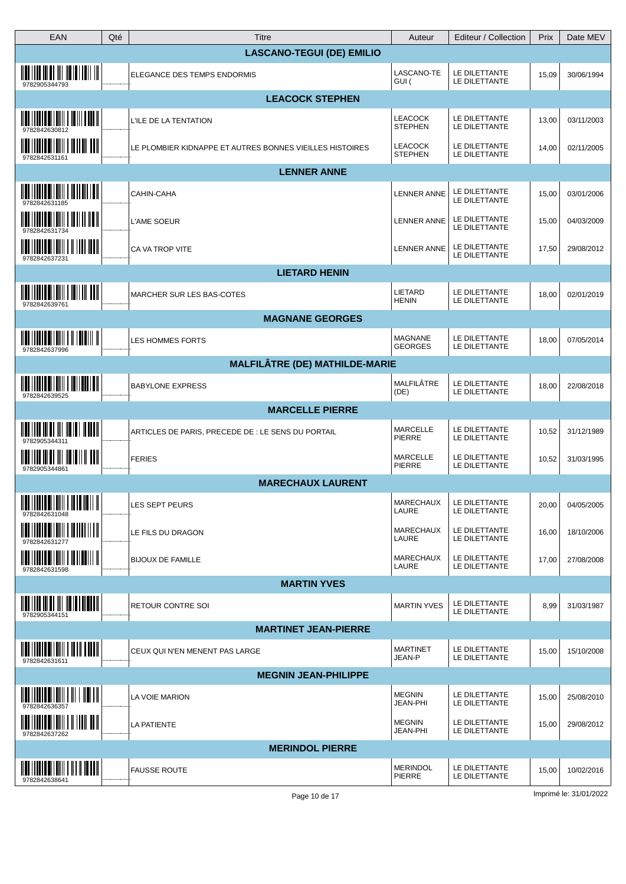| EAN                                                                                                                                                                                                                                                                                                                                  | Qté | Titre                                                    | Auteur                           | Editeur / Collection           | Prix  | Date MEV   |  |
|--------------------------------------------------------------------------------------------------------------------------------------------------------------------------------------------------------------------------------------------------------------------------------------------------------------------------------------|-----|----------------------------------------------------------|----------------------------------|--------------------------------|-------|------------|--|
|                                                                                                                                                                                                                                                                                                                                      |     | <b>LASCANO-TEGUI (DE) EMILIO</b>                         |                                  |                                |       |            |  |
| <u> IIII    III III III III III III    III   </u><br>9782905344793                                                                                                                                                                                                                                                                   |     | <b>ELEGANCE DES TEMPS ENDORMIS</b>                       | LASCANO-TE<br>GUI (              | LE DILETTANTE<br>LE DILETTANTE | 15,09 | 30/06/1994 |  |
| <b>LEACOCK STEPHEN</b>                                                                                                                                                                                                                                                                                                               |     |                                                          |                                  |                                |       |            |  |
| <u> IIII    IIII III IIIII   III II IIIII  </u><br>9782842630812                                                                                                                                                                                                                                                                     |     | L'ILE DE LA TENTATION                                    | LEACOCK<br><b>STEPHEN</b>        | LE DILETTANTE<br>LE DILETTANTE | 13,00 | 03/11/2003 |  |
| <u> IIII    IIII III IIII   II IIII   III</u><br>9782842631161                                                                                                                                                                                                                                                                       |     | LE PLOMBIER KIDNAPPE ET AUTRES BONNES VIEILLES HISTOIRES | LEACOCK<br><b>STEPHEN</b>        | LE DILETTANTE<br>LE DILETTANTE | 14,00 | 02/11/2005 |  |
|                                                                                                                                                                                                                                                                                                                                      |     | <b>LENNER ANNE</b>                                       |                                  |                                |       |            |  |
| $\mathop{\mathtt{min}}\limits_{}$ in the set of the set of $\mathop{\mathtt{min}}\limits_{}$ is the set of $\mathop{\mathtt{min}}\limits_{}$<br>9782842631185                                                                                                                                                                        |     | CAHIN-CAHA                                               | LENNER ANNE                      | LE DILETTANTE<br>LE DILETTANTE | 15,00 | 03/01/2006 |  |
| $\frac{1}{2}$ $\frac{1}{2}$ $\frac{1}{2}$ $\frac{1}{2}$ $\frac{1}{2}$ $\frac{1}{2}$ $\frac{1}{2}$ $\frac{1}{2}$ $\frac{1}{2}$ $\frac{1}{2}$ $\frac{1}{2}$ $\frac{1}{2}$ $\frac{1}{2}$ $\frac{1}{2}$ $\frac{1}{2}$ $\frac{1}{2}$ $\frac{1}{2}$ $\frac{1}{2}$ $\frac{1}{2}$ $\frac{1}{2}$ $\frac{1}{2}$ $\frac{1}{2}$<br>9782842631734 |     | L'AME SOEUR                                              | <b>LENNER ANNE</b>               | LE DILETTANTE<br>LE DILETTANTE | 15,00 | 04/03/2009 |  |
| 978284263723                                                                                                                                                                                                                                                                                                                         |     | CA VA TROP VITE                                          | <b>LENNER ANNE</b>               | LE DILETTANTE<br>LE DILETTANTE | 17,50 | 29/08/2012 |  |
|                                                                                                                                                                                                                                                                                                                                      |     | <b>LIETARD HENIN</b>                                     |                                  |                                |       |            |  |
| <u> IIII    IIIII OIIIIII   IIII    IIII</u><br>9782842639761                                                                                                                                                                                                                                                                        |     | MARCHER SUR LES BAS-COTES                                | LIETARD<br><b>HENIN</b>          | LE DILETTANTE<br>LE DILETTANTE | 18,00 | 02/01/2019 |  |
|                                                                                                                                                                                                                                                                                                                                      |     | <b>MAGNANE GEORGES</b>                                   |                                  |                                |       |            |  |
| $\frac{1}{2}$ $\frac{1}{2}$ $\frac{1}{2}$ $\frac{1}{2}$ $\frac{1}{2}$ $\frac{1}{2}$ $\frac{1}{2}$ $\frac{1}{2}$ $\frac{1}{2}$ $\frac{1}{2}$ $\frac{1}{2}$ $\frac{1}{2}$ $\frac{1}{2}$ $\frac{1}{2}$ $\frac{1}{2}$ $\frac{1}{2}$ $\frac{1}{2}$ $\frac{1}{2}$ $\frac{1}{2}$ $\frac{1}{2}$ $\frac{1}{2}$ $\frac{1}{2}$<br>9782842637996 |     | <b>LES HOMMES FORTS</b>                                  | MAGNANE<br><b>GEORGES</b>        | LE DILETTANTE<br>LE DILETTANTE | 18,00 | 07/05/2014 |  |
|                                                                                                                                                                                                                                                                                                                                      |     | <b>MALFILÂTRE (DE) MATHILDE-MARIE</b>                    |                                  |                                |       |            |  |
| $\parallel$ . The contract of the contract of $\parallel$<br>9782842639525                                                                                                                                                                                                                                                           |     | <b>BABYLONE EXPRESS</b>                                  | MALFILÂTRE<br>(DE)               | LE DILETTANTE<br>LE DILETTANTE | 18,00 | 22/08/2018 |  |
|                                                                                                                                                                                                                                                                                                                                      |     | <b>MARCELLE PIERRE</b>                                   |                                  |                                |       |            |  |
| <u> IIII    III III III III    III II    III III</u><br>9782905344311                                                                                                                                                                                                                                                                |     | ARTICLES DE PARIS, PRECEDE DE : LE SENS DU PORTAIL       | MARCELLE<br>PIERRE               | LE DILETTANTE<br>LE DILETTANTE | 10,52 | 31/12/1989 |  |
| 9782905344861                                                                                                                                                                                                                                                                                                                        |     | FERIES                                                   | MARCELLE<br><b>PIERRE</b>        | LE DILETTANTE<br>LE DILETTANTE | 10,52 | 31/03/1995 |  |
|                                                                                                                                                                                                                                                                                                                                      |     | <b>MARECHAUX LAURENT</b>                                 |                                  |                                |       |            |  |
| 9782842631048                                                                                                                                                                                                                                                                                                                        |     | <b>LES SEPT PEURS</b>                                    | MARECHAUX<br>LAURE               | LE DILETTANTE<br>LE DILETTANTE | 20,00 | 04/05/2005 |  |
| 9782842631277                                                                                                                                                                                                                                                                                                                        |     | LE FILS DU DRAGON                                        | MARECHAUX<br>LAURE               | LE DILETTANTE<br>LE DILETTANTE | 16,00 | 18/10/2006 |  |
| 9782842631598                                                                                                                                                                                                                                                                                                                        |     | <b>BIJOUX DE FAMILLE</b>                                 | MARECHAUX<br>LAURE               | LE DILETTANTE<br>LE DILETTANTE | 17,00 | 27/08/2008 |  |
|                                                                                                                                                                                                                                                                                                                                      |     | <b>MARTIN YVES</b>                                       |                                  |                                |       |            |  |
| 9782905344151                                                                                                                                                                                                                                                                                                                        |     | <b>RETOUR CONTRE SOI</b>                                 | <b>MARTIN YVES</b>               | LE DILETTANTE<br>LE DILETTANTE | 8,99  | 31/03/1987 |  |
|                                                                                                                                                                                                                                                                                                                                      |     | <b>MARTINET JEAN-PIERRE</b>                              |                                  |                                |       |            |  |
| $\frac{1}{2}$ , $\frac{1}{2}$ , $\frac{1}{2}$ , $\frac{1}{2}$ , $\frac{1}{2}$ , $\frac{1}{2}$ , $\frac{1}{2}$ , $\frac{1}{2}$ , $\frac{1}{2}$ , $\frac{1}{2}$ , $\frac{1}{2}$<br>9782842631611                                                                                                                                       |     | CEUX QUI N'EN MENENT PAS LARGE                           | <b>MARTINET</b><br>JEAN-P        | LE DILETTANTE<br>LE DILETTANTE | 15,00 | 15/10/2008 |  |
|                                                                                                                                                                                                                                                                                                                                      |     | <b>MEGNIN JEAN-PHILIPPE</b>                              |                                  |                                |       |            |  |
| <u> IIII    IIII III IIII             </u><br>9782842636357                                                                                                                                                                                                                                                                          |     | LA VOIE MARION                                           | <b>MEGNIN</b><br><b>JEAN-PHI</b> | LE DILETTANTE<br>LE DILETTANTE | 15,00 | 25/08/2010 |  |
| 9782842637262                                                                                                                                                                                                                                                                                                                        |     | LA PATIENTE                                              | <b>MEGNIN</b><br>JEAN-PHI        | LE DILETTANTE<br>LE DILETTANTE | 15,00 | 29/08/2012 |  |
|                                                                                                                                                                                                                                                                                                                                      |     | <b>MERINDOL PIERRE</b>                                   |                                  |                                |       |            |  |
| <b>IN THE REAL PROPERTY OF A PARTY</b><br>978284263864                                                                                                                                                                                                                                                                               |     | <b>FAUSSE ROUTE</b>                                      | <b>MERINDOL</b><br>PIERRE        | LE DILETTANTE<br>LE DILETTANTE | 15,00 | 10/02/2016 |  |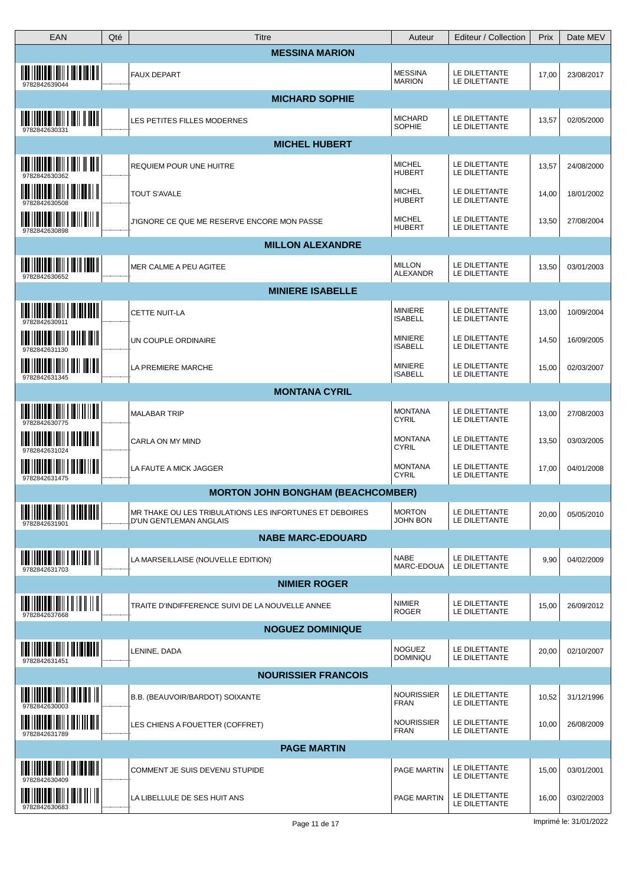| <b>EAN</b>                                                                                                                                                                                                                                                                                                                           | Qté | Titre                                                                                    | Auteur                           | Editeur / Collection           | Prix  | Date MEV   |
|--------------------------------------------------------------------------------------------------------------------------------------------------------------------------------------------------------------------------------------------------------------------------------------------------------------------------------------|-----|------------------------------------------------------------------------------------------|----------------------------------|--------------------------------|-------|------------|
|                                                                                                                                                                                                                                                                                                                                      |     | <b>MESSINA MARION</b>                                                                    |                                  |                                |       |            |
| <u> IIII IIIIII IIIIIIII IIIIIIIIII</u><br>9782842639044                                                                                                                                                                                                                                                                             |     | <b>FAUX DEPART</b>                                                                       | <b>MESSINA</b><br><b>MARION</b>  | LE DILETTANTE<br>LE DILETTANTE | 17,00 | 23/08/2017 |
|                                                                                                                                                                                                                                                                                                                                      |     | <b>MICHARD SOPHIE</b>                                                                    |                                  |                                |       |            |
| $\overline{\mathbf{u}}$ in the control of $\overline{\mathbf{u}}$<br>9782842630331                                                                                                                                                                                                                                                   |     | LES PETITES FILLES MODERNES                                                              | <b>MICHARD</b><br>SOPHIE         | LE DILETTANTE<br>LE DILETTANTE | 13,57 | 02/05/2000 |
|                                                                                                                                                                                                                                                                                                                                      |     | <b>MICHEL HUBERT</b>                                                                     |                                  |                                |       |            |
| 9782842630362                                                                                                                                                                                                                                                                                                                        |     | <b>REQUIEM POUR UNE HUITRE</b>                                                           | <b>MICHEL</b><br><b>HUBERT</b>   | LE DILETTANTE<br>LE DILETTANTE | 13,57 | 24/08/2000 |
| 978284263050                                                                                                                                                                                                                                                                                                                         |     | TOUT S'AVALE                                                                             | <b>MICHEL</b><br><b>HUBERT</b>   | LE DILETTANTE<br>LE DILETTANTE | 14,00 | 18/01/2002 |
| 9782842630898                                                                                                                                                                                                                                                                                                                        |     | J'IGNORE CE QUE ME RESERVE ENCORE MON PASSE                                              | <b>MICHEL</b><br><b>HUBERT</b>   | LE DILETTANTE<br>LE DILETTANTE | 13,50 | 27/08/2004 |
|                                                                                                                                                                                                                                                                                                                                      |     | <b>MILLON ALEXANDRE</b>                                                                  |                                  |                                |       |            |
| $\overline{\mathbf{u}}$ in the direction of $\overline{\mathbf{u}}$ in $\overline{\mathbf{u}}$ and $\overline{\mathbf{u}}$<br>9782842630652                                                                                                                                                                                          |     | MER CALME A PEU AGITEE                                                                   | <b>MILLON</b><br>ALEXANDR        | LE DILETTANTE<br>LE DILETTANTE | 13,50 | 03/01/2003 |
|                                                                                                                                                                                                                                                                                                                                      |     | <b>MINIERE ISABELLE</b>                                                                  |                                  |                                |       |            |
| $\  \  \ $ ) ) and all the second $\  \cdot \ $                                                                                                                                                                                                                                                                                      |     | <b>CETTE NUIT-LA</b>                                                                     | <b>MINIERE</b><br><b>ISABELL</b> | LE DILETTANTE<br>LE DILETTANTE | 13,00 | 10/09/2004 |
|                                                                                                                                                                                                                                                                                                                                      |     | UN COUPLE ORDINAIRE                                                                      | <b>MINIERE</b><br><b>ISABELL</b> | LE DILETTANTE<br>LE DILETTANTE | 14,50 | 16/09/2005 |
| $\frac{1}{2}$ $\frac{1}{2}$ $\frac{1}{2}$ $\frac{1}{2}$ $\frac{1}{2}$ $\frac{1}{2}$ $\frac{1}{2}$ $\frac{1}{2}$ $\frac{1}{2}$ $\frac{1}{2}$ $\frac{1}{2}$ $\frac{1}{2}$ $\frac{1}{2}$ $\frac{1}{2}$ $\frac{1}{2}$ $\frac{1}{2}$ $\frac{1}{2}$ $\frac{1}{2}$ $\frac{1}{2}$ $\frac{1}{2}$ $\frac{1}{2}$ $\frac{1}{2}$<br>9782842631345 |     | LA PREMIERE MARCHE                                                                       | <b>MINIERE</b><br><b>ISABELL</b> | LE DILETTANTE<br>LE DILETTANTE | 15,00 | 02/03/2007 |
|                                                                                                                                                                                                                                                                                                                                      |     | <b>MONTANA CYRIL</b>                                                                     |                                  |                                |       |            |
|                                                                                                                                                                                                                                                                                                                                      |     | <b>MALABAR TRIP</b>                                                                      | <b>MONTANA</b><br><b>CYRIL</b>   | LE DILETTANTE<br>LE DILETTANTE | 13,00 | 27/08/2003 |
| 9782842631024                                                                                                                                                                                                                                                                                                                        |     | CARLA ON MY MIND                                                                         | <b>MONTANA</b><br><b>CYRIL</b>   | LE DILETTANTE<br>LE DILETTANTE | 13,50 | 03/03/2005 |
| 9782842631475                                                                                                                                                                                                                                                                                                                        |     | LA FAUTE A MICK JAGGER                                                                   | <b>MONTANA</b><br><b>CYRIL</b>   | LE DILETTANTE<br>LE DILETTANTE | 17,00 | 04/01/2008 |
|                                                                                                                                                                                                                                                                                                                                      |     | <b>MORTON JOHN BONGHAM (BEACHCOMBER)</b>                                                 |                                  |                                |       |            |
| <b>INI IIIIII IIIIIII IIIIIIII</b><br>978284263190                                                                                                                                                                                                                                                                                   |     | MR THAKE OU LES TRIBULATIONS LES INFORTUNES ET DEBOIRES<br><b>D'UN GENTLEMAN ANGLAIS</b> | <b>MORTON</b><br><b>JOHN BON</b> | LE DILETTANTE<br>LE DILETTANTE | 20,00 | 05/05/2010 |
|                                                                                                                                                                                                                                                                                                                                      |     | <b>NABE MARC-EDOUARD</b>                                                                 |                                  |                                |       |            |
| $\frac{1}{2}$ $\frac{1}{2}$ $\frac{1}{2}$ $\frac{1}{2}$ $\frac{1}{2}$ $\frac{1}{2}$ $\frac{1}{2}$ $\frac{1}{2}$ $\frac{1}{2}$ $\frac{1}{2}$ $\frac{1}{2}$ $\frac{1}{2}$ $\frac{1}{2}$ $\frac{1}{2}$ $\frac{1}{2}$ $\frac{1}{2}$ $\frac{1}{2}$ $\frac{1}{2}$ $\frac{1}{2}$ $\frac{1}{2}$ $\frac{1}{2}$ $\frac{1}{2}$<br>9782842631703 |     | LA MARSEILLAISE (NOUVELLE EDITION)                                                       | <b>NABE</b><br>MARC-EDOUA        | LE DILETTANTE<br>LE DILETTANTE | 9,90  | 04/02/2009 |
|                                                                                                                                                                                                                                                                                                                                      |     | <b>NIMIER ROGER</b>                                                                      |                                  |                                |       |            |
| $\frac{1}{2}$ , $\frac{1}{2}$ , $\frac{1}{2}$ , $\frac{1}{2}$ , $\frac{1}{2}$ , $\frac{1}{2}$ , $\frac{1}{2}$ , $\frac{1}{2}$ , $\frac{1}{2}$ , $\frac{1}{2}$ , $\frac{1}{2}$<br>9782842637668                                                                                                                                       |     | TRAITE D'INDIFFERENCE SUIVI DE LA NOUVELLE ANNEE                                         | <b>NIMIER</b><br><b>ROGER</b>    | LE DILETTANTE<br>LE DILETTANTE | 15,00 | 26/09/2012 |
|                                                                                                                                                                                                                                                                                                                                      |     | <b>NOGUEZ DOMINIQUE</b>                                                                  |                                  |                                |       |            |
| <u> IIII    IIIII    IIIIII    III    III    III</u><br>9782842631451                                                                                                                                                                                                                                                                |     | LENINE, DADA                                                                             | <b>NOGUEZ</b><br><b>DOMINIQU</b> | LE DILETTANTE<br>LE DILETTANTE | 20,00 | 02/10/2007 |
|                                                                                                                                                                                                                                                                                                                                      |     | <b>NOURISSIER FRANCOIS</b>                                                               |                                  |                                |       |            |
| <u> IIII    IIII II   IIII   III IIII   III</u>                                                                                                                                                                                                                                                                                      |     | B.B. (BEAUVOIR/BARDOT) SOIXANTE                                                          | <b>NOURISSIER</b><br><b>FRAN</b> | LE DILETTANTE<br>LE DILETTANTE | 10,52 | 31/12/1996 |
| 9782842631789                                                                                                                                                                                                                                                                                                                        |     | LES CHIENS A FOUETTER (COFFRET)                                                          | <b>NOURISSIER</b><br><b>FRAN</b> | LE DILETTANTE<br>LE DILETTANTE | 10,00 | 26/08/2009 |
|                                                                                                                                                                                                                                                                                                                                      |     | <b>PAGE MARTIN</b>                                                                       |                                  |                                |       |            |
| 9782842630409                                                                                                                                                                                                                                                                                                                        |     | COMMENT JE SUIS DEVENU STUPIDE                                                           | PAGE MARTIN                      | LE DILETTANTE<br>LE DILETTANTE | 15,00 | 03/01/2001 |
| <u> IIII   IIII IIIIII    III III      </u><br>9782842630683                                                                                                                                                                                                                                                                         |     | LA LIBELLULE DE SES HUIT ANS                                                             | PAGE MARTIN                      | LE DILETTANTE<br>LE DILETTANTE | 16,00 | 03/02/2003 |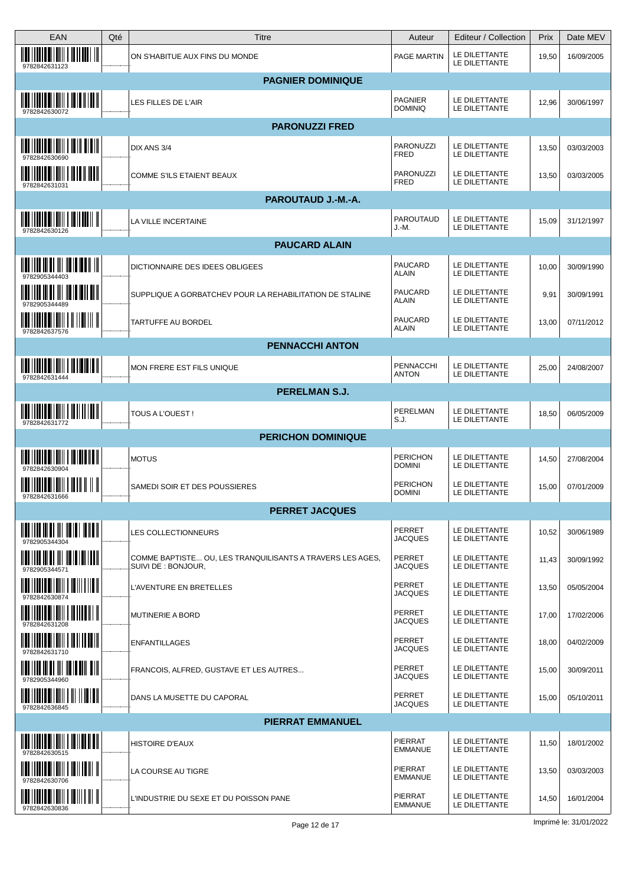| EAN                                                                                                                                                                                                                                                                                                                                  | Qté | <b>Titre</b>                                                                     | Auteur                               | Editeur / Collection           | Prix  | Date MEV   |
|--------------------------------------------------------------------------------------------------------------------------------------------------------------------------------------------------------------------------------------------------------------------------------------------------------------------------------------|-----|----------------------------------------------------------------------------------|--------------------------------------|--------------------------------|-------|------------|
| <u> IIII    IIII III IIII    II II III   </u><br>9782842631123                                                                                                                                                                                                                                                                       |     | ON S'HABITUE AUX FINS DU MONDE                                                   | PAGE MARTIN                          | LE DILETTANTE<br>LE DILETTANTE | 19,50 | 16/09/2005 |
|                                                                                                                                                                                                                                                                                                                                      |     | <b>PAGNIER DOMINIQUE</b>                                                         |                                      |                                |       |            |
| <u> IIII    IIII    IIIII    IIII    III</u><br>9782842630072                                                                                                                                                                                                                                                                        |     | LES FILLES DE L'AIR                                                              | <b>PAGNIER</b><br><b>DOMINIQ</b>     | LE DILETTANTE<br>LE DILETTANTE | 12,96 | 30/06/1997 |
|                                                                                                                                                                                                                                                                                                                                      |     | <b>PARONUZZI FRED</b>                                                            |                                      |                                |       |            |
| 9782842630690                                                                                                                                                                                                                                                                                                                        |     | DIX ANS 3/4                                                                      | PARONUZZ<br><b>FRED</b>              | LE DILETTANTE<br>LE DILETTANTE | 13,50 | 03/03/2003 |
| $\frac{1}{2}$ and $\frac{1}{2}$ and $\frac{1}{2}$ and $\frac{1}{2}$ and $\frac{1}{2}$ and $\frac{1}{2}$<br>978284263103                                                                                                                                                                                                              |     | COMME S'ILS ETAIENT BEAUX                                                        | PARONUZZI<br><b>FRED</b>             | LE DILETTANTE<br>LE DILETTANTE | 13,50 | 03/03/2005 |
|                                                                                                                                                                                                                                                                                                                                      |     | PAROUTAUD J.-M.-A.                                                               |                                      |                                |       |            |
| <u> IIII    IIII II   IIII   II IIIII    II</u><br>9782842630126                                                                                                                                                                                                                                                                     |     | LA VILLE INCERTAINE                                                              | PAROUTAUD<br>J.-M.                   | LE DILETTANTE<br>LE DILETTANTE | 15,09 | 31/12/1997 |
|                                                                                                                                                                                                                                                                                                                                      |     | <b>PAUCARD ALAIN</b>                                                             |                                      |                                |       |            |
| 9782905344403                                                                                                                                                                                                                                                                                                                        |     | <b>DICTIONNAIRE DES IDEES OBLIGEES</b>                                           | <b>PAUCARD</b><br><b>ALAIN</b>       | LE DILETTANTE<br>LE DILETTANTE | 10,00 | 30/09/1990 |
| $\frac{1}{2}$ and $\frac{1}{2}$ and $\frac{1}{2}$ and $\frac{1}{2}$ and $\frac{1}{2}$ and $\frac{1}{2}$ and $\frac{1}{2}$                                                                                                                                                                                                            |     | SUPPLIQUE A GORBATCHEV POUR LA REHABILITATION DE STALINE                         | PAUCARD<br><b>ALAIN</b>              | LE DILETTANTE<br>LE DILETTANTE | 9,91  | 30/09/1991 |
| 9782842637576                                                                                                                                                                                                                                                                                                                        |     | <b>TARTUFFE AU BORDEL</b>                                                        | PAUCARD<br><b>ALAIN</b>              | LE DILETTANTE<br>LE DILETTANTE | 13,00 | 07/11/2012 |
|                                                                                                                                                                                                                                                                                                                                      |     | <b>PENNACCHI ANTON</b>                                                           |                                      |                                |       |            |
| <u> IIII    IIII    IIIII    III    III</u><br>9782842631444                                                                                                                                                                                                                                                                         |     | MON FRERE EST FILS UNIQUE                                                        | PENNACCHI<br>ANTON                   | LE DILETTANTE<br>LE DILETTANTE | 25,00 | 24/08/2007 |
|                                                                                                                                                                                                                                                                                                                                      |     | <b>PERELMAN S.J.</b>                                                             |                                      |                                |       |            |
| $\overline{\mathbf{u}}$ in the set of $\overline{\mathbf{u}}$ in $\overline{\mathbf{u}}$ in $\overline{\mathbf{u}}$ in $\overline{\mathbf{u}}$<br>9782842631772                                                                                                                                                                      |     | <b>TOUS A L'OUEST!</b>                                                           | PERELMAN<br>$\mathsf{S}.\mathsf{J}.$ | LE DILETTANTE<br>LE DILETTANTE | 18,50 | 06/05/2009 |
|                                                                                                                                                                                                                                                                                                                                      |     | <b>PERICHON DOMINIQUE</b>                                                        |                                      |                                |       |            |
| <u> IIII IIIIIII IIIIIIIII IIIIIIIIII</u>                                                                                                                                                                                                                                                                                            |     | <b>MOTUS</b>                                                                     | <b>PERICHON</b><br><b>DOMINI</b>     | LE DILETTANTE<br>LE DILETTANTE | 14,50 | 27/08/2004 |
| <u> IIII   IIII IIIIII    IIII         </u><br>9782842631666                                                                                                                                                                                                                                                                         |     | SAMEDI SOIR ET DES POUSSIERES                                                    | <b>PERICHON</b><br><b>DOMINI</b>     | LE DILETTANTE<br>LE DILETTANTE | 15,00 | 07/01/2009 |
|                                                                                                                                                                                                                                                                                                                                      |     | <b>PERRET JACQUES</b>                                                            |                                      |                                |       |            |
| <u> Malin Muhammad Muham</u><br>9782905344304                                                                                                                                                                                                                                                                                        |     | LES COLLECTIONNEURS                                                              | PERRET<br><b>JACQUES</b>             | LE DILETTANTE<br>LE DILETTANTE | 10,52 | 30/06/1989 |
| <u> IIII    III III III III    III II    III  </u>                                                                                                                                                                                                                                                                                   |     | COMME BAPTISTE OU, LES TRANQUILISANTS A TRAVERS LES AGES,<br>SUIVI DE : BONJOUR, | PERRET<br><b>JACQUES</b>             | LE DILETTANTE<br>LE DILETTANTE | 11,43 | 30/09/1992 |
| $\begin{array}{c} 0 \\ 0 \\ 0 \\ 0 \\ 0 \\ 0 \\ \end{array}$                                                                                                                                                                                                                                                                         |     | L'AVENTURE EN BRETELLES                                                          | <b>PERRET</b><br><b>JACQUES</b>      | LE DILETTANTE<br>LE DILETTANTE | 13,50 | 05/05/2004 |
|                                                                                                                                                                                                                                                                                                                                      |     | <b>MUTINERIE A BORD</b>                                                          | <b>PERRET</b><br><b>JACQUES</b>      | LE DILETTANTE<br>LE DILETTANTE | 17,00 | 17/02/2006 |
| $\frac{1}{2}$ $\frac{1}{2}$ $\frac{1}{2}$ $\frac{1}{2}$ $\frac{1}{2}$ $\frac{1}{2}$ $\frac{1}{2}$ $\frac{1}{2}$ $\frac{1}{2}$ $\frac{1}{2}$ $\frac{1}{2}$ $\frac{1}{2}$ $\frac{1}{2}$ $\frac{1}{2}$ $\frac{1}{2}$ $\frac{1}{2}$ $\frac{1}{2}$ $\frac{1}{2}$ $\frac{1}{2}$ $\frac{1}{2}$ $\frac{1}{2}$ $\frac{1}{2}$<br>9782842631710 |     | <b>ENFANTILLAGES</b>                                                             | PERRET<br><b>JACQUES</b>             | LE DILETTANTE<br>LE DILETTANTE | 18,00 | 04/02/2009 |
| 9782905344960                                                                                                                                                                                                                                                                                                                        |     | FRANCOIS, ALFRED, GUSTAVE ET LES AUTRES                                          | <b>PERRET</b><br><b>JACQUES</b>      | LE DILETTANTE<br>LE DILETTANTE | 15,00 | 30/09/2011 |
| <u> IIII    IIII III IIII    III    III    </u><br>9782842636845                                                                                                                                                                                                                                                                     |     | DANS LA MUSETTE DU CAPORAL                                                       | <b>PERRET</b><br><b>JACQUES</b>      | LE DILETTANTE<br>LE DILETTANTE | 15,00 | 05/10/2011 |
|                                                                                                                                                                                                                                                                                                                                      |     | <b>PIERRAT EMMANUEL</b>                                                          |                                      |                                |       |            |
| $\frac{1}{2}$ $\frac{1}{2}$ $\frac{1}{2}$ $\frac{1}{2}$ $\frac{1}{2}$ $\frac{1}{2}$ $\frac{1}{2}$ $\frac{1}{2}$ $\frac{1}{2}$ $\frac{1}{2}$ $\frac{1}{2}$ $\frac{1}{2}$ $\frac{1}{2}$ $\frac{1}{2}$ $\frac{1}{2}$ $\frac{1}{2}$ $\frac{1}{2}$ $\frac{1}{2}$ $\frac{1}{2}$ $\frac{1}{2}$ $\frac{1}{2}$ $\frac{1}{2}$<br>978284263051  |     | <b>HISTOIRE D'EAUX</b>                                                           | <b>PIERRAT</b><br><b>EMMANUE</b>     | LE DILETTANTE<br>LE DILETTANTE | 11,50 | 18/01/2002 |
| <u> IIII   IIIII   IIIIII   III   III</u><br>9782842630706                                                                                                                                                                                                                                                                           |     | LA COURSE AU TIGRE                                                               | <b>PIERRAT</b><br><b>EMMANUE</b>     | LE DILETTANTE<br>LE DILETTANTE | 13,50 | 03/03/2003 |
| <u> IIII I IIIII IIIIIIII I IIIII III II</u><br>9782842630836                                                                                                                                                                                                                                                                        |     | L'INDUSTRIE DU SEXE ET DU POISSON PANE                                           | PIERRAT<br><b>EMMANUE</b>            | LE DILETTANTE<br>LE DILETTANTE | 14,50 | 16/01/2004 |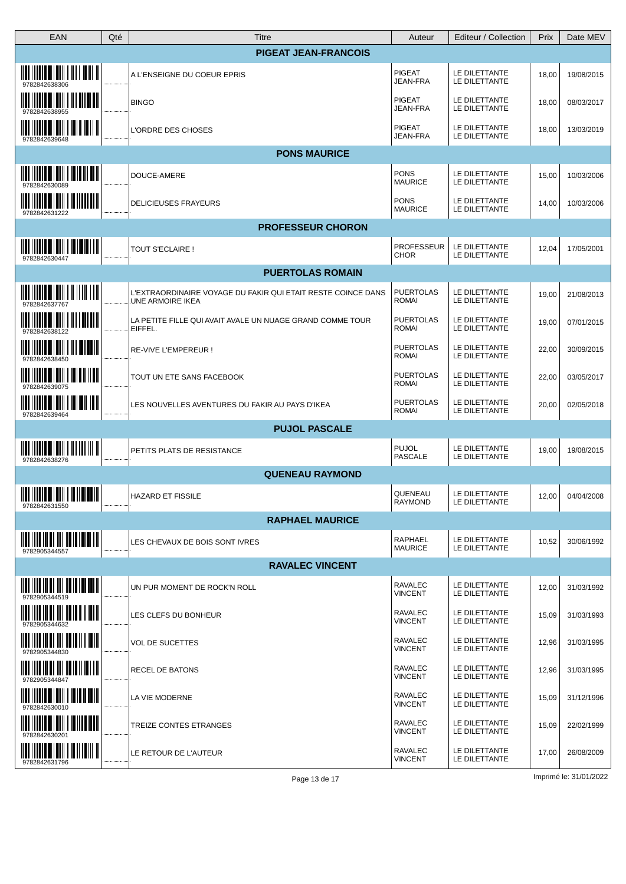| <b>EAN</b>                                                                                                                                                                                                                                                                                                                           | Qté | <b>Titre</b>                                                                            | Auteur                           | Editeur / Collection           | Prix  | Date MEV   |
|--------------------------------------------------------------------------------------------------------------------------------------------------------------------------------------------------------------------------------------------------------------------------------------------------------------------------------------|-----|-----------------------------------------------------------------------------------------|----------------------------------|--------------------------------|-------|------------|
|                                                                                                                                                                                                                                                                                                                                      |     | <b>PIGEAT JEAN-FRANCOIS</b>                                                             |                                  |                                |       |            |
| <u> Mili i i mili bi i mili i mili i mili il</u>                                                                                                                                                                                                                                                                                     |     | A L'ENSEIGNE DU COEUR EPRIS                                                             | <b>PIGEAT</b><br>JEAN-FRA        | LE DILETTANTE<br>LE DILETTANTE | 18,00 | 19/08/2015 |
|                                                                                                                                                                                                                                                                                                                                      |     | <b>BINGO</b>                                                                            | <b>PIGEAT</b><br>JEAN-FRA        | LE DILETTANTE<br>LE DILETTANTE | 18,00 | 08/03/2017 |
| $\frac{1}{2}$ $\frac{1}{2}$ $\frac{1}{2}$ $\frac{1}{2}$ $\frac{1}{2}$ $\frac{1}{2}$ $\frac{1}{2}$ $\frac{1}{2}$ $\frac{1}{2}$ $\frac{1}{2}$ $\frac{1}{2}$ $\frac{1}{2}$ $\frac{1}{2}$<br>9782842639648                                                                                                                               |     | L'ORDRE DES CHOSES                                                                      | <b>PIGEAT</b><br>JEAN-FRA        | LE DILETTANTE<br>LE DILETTANTE | 18,00 | 13/03/2019 |
|                                                                                                                                                                                                                                                                                                                                      |     | <b>PONS MAURICE</b>                                                                     |                                  |                                |       |            |
| <u> Mili I i boli bi i bili i bi ibili bili</u>                                                                                                                                                                                                                                                                                      |     | DOUCE-AMERE                                                                             | <b>PONS</b><br><b>MAURICE</b>    | LE DILETTANTE<br>LE DILETTANTE | 15,00 | 10/03/2006 |
| 9782842631222                                                                                                                                                                                                                                                                                                                        |     | <b>DELICIEUSES FRAYEURS</b>                                                             | <b>PONS</b><br><b>MAURICE</b>    | LE DILETTANTE<br>LE DILETTANTE | 14,00 | 10/03/2006 |
|                                                                                                                                                                                                                                                                                                                                      |     | <b>PROFESSEUR CHORON</b>                                                                |                                  |                                |       |            |
| <u> III   IIII   IIII   III   III   II</u><br>9782842630447                                                                                                                                                                                                                                                                          |     | <b>TOUT S'ECLAIRE!</b>                                                                  | <b>PROFESSEUR</b><br><b>CHOR</b> | LE DILETTANTE<br>LE DILETTANTE | 12,04 | 17/05/2001 |
|                                                                                                                                                                                                                                                                                                                                      |     | <b>PUERTOLAS ROMAIN</b>                                                                 |                                  |                                |       |            |
| <u> IIII    IIII    IIIII    III    III</u><br>9782842637767                                                                                                                                                                                                                                                                         |     | L'EXTRAORDINAIRE VOYAGE DU FAKIR QUI ETAIT RESTE COINCE DANS<br><b>UNE ARMOIRE IKEA</b> | <b>PUERTOLAS</b><br><b>ROMAI</b> | LE DILETTANTE<br>LE DILETTANTE | 19,00 | 21/08/2013 |
| $\overline{\mathbf{u}}$ , $\overline{\mathbf{u}}$ , $\overline{\mathbf{u}}$ , $\overline{\mathbf{u}}$ , $\overline{\mathbf{u}}$ , $\overline{\mathbf{u}}$ , $\overline{\mathbf{u}}$ , $\overline{\mathbf{u}}$ , $\overline{\mathbf{u}}$<br>9782842638122                                                                             |     | LA PETITE FILLE QUI AVAIT AVALE UN NUAGE GRAND COMME TOUR<br>EIFFEL.                    | <b>PUERTOLAS</b><br><b>ROMAI</b> | LE DILETTANTE<br>LE DILETTANTE | 19,00 | 07/01/2015 |
| $\frac{1}{2}$ , $\frac{1}{2}$ , $\frac{1}{2}$ , $\frac{1}{2}$ , $\frac{1}{2}$ , $\frac{1}{2}$ , $\frac{1}{2}$ , $\frac{1}{2}$ , $\frac{1}{2}$ , $\frac{1}{2}$ , $\frac{1}{2}$<br>9782842638450                                                                                                                                       |     | RE-VIVE L'EMPEREUR !                                                                    | <b>PUERTOLAS</b><br><b>ROMAI</b> | LE DILETTANTE<br>LE DILETTANTE | 22,00 | 30/09/2015 |
| 9782842639075                                                                                                                                                                                                                                                                                                                        |     | TOUT UN ETE SANS FACEBOOK                                                               | <b>PUERTOLAS</b><br><b>ROMAI</b> | LE DILETTANTE<br>LE DILETTANTE | 22,00 | 03/05/2017 |
| <u> IIII IIIIII IIIIIII I IIIIII III</u><br>9782842639464                                                                                                                                                                                                                                                                            |     | LES NOUVELLES AVENTURES DU FAKIR AU PAYS D'IKEA                                         | <b>PUERTOLAS</b><br>ROMAI        | LE DILETTANTE<br>LE DILETTANTE | 20,00 | 02/05/2018 |
|                                                                                                                                                                                                                                                                                                                                      |     | <b>PUJOL PASCALE</b>                                                                    |                                  |                                |       |            |
| <u> IIII    IIII III   III              </u><br>9782842638276                                                                                                                                                                                                                                                                        |     | PETITS PLATS DE RESISTANCE                                                              | <b>PUJOL</b><br>PASCALE          | LE DILETTANTE<br>LE DILETTANTE | 19,00 | 19/08/2015 |
|                                                                                                                                                                                                                                                                                                                                      |     | <b>QUENEAU RAYMOND</b>                                                                  |                                  |                                |       |            |
| $\frac{1}{2}$ $\frac{1}{2}$ $\frac{1}{2}$ $\frac{1}{2}$ $\frac{1}{2}$ $\frac{1}{2}$ $\frac{1}{2}$ $\frac{1}{2}$ $\frac{1}{2}$ $\frac{1}{2}$ $\frac{1}{2}$ $\frac{1}{2}$ $\frac{1}{2}$ $\frac{1}{2}$ $\frac{1}{2}$ $\frac{1}{2}$ $\frac{1}{2}$ $\frac{1}{2}$ $\frac{1}{2}$ $\frac{1}{2}$ $\frac{1}{2}$ $\frac{1}{2}$<br>9782842631550 |     | <b>HAZARD ET FISSILE</b>                                                                | QUENEAU<br><b>RAYMOND</b>        | LE DILETTANTE<br>LE DILETTANTE | 12,00 | 04/04/2008 |
|                                                                                                                                                                                                                                                                                                                                      |     | <b>RAPHAEL MAURICE</b>                                                                  |                                  |                                |       |            |
| 9782905344557                                                                                                                                                                                                                                                                                                                        |     | LES CHEVAUX DE BOIS SONT IVRES                                                          | RAPHAEL<br><b>MAURICE</b>        | LE DILETTANTE<br>LE DILETTANTE | 10,52 | 30/06/1992 |
|                                                                                                                                                                                                                                                                                                                                      |     | <b>RAVALEC VINCENT</b>                                                                  |                                  |                                |       |            |
| <u> IIII    III III III III    III II    III   </u><br>9782905344519                                                                                                                                                                                                                                                                 |     | UN PUR MOMENT DE ROCK'N ROLL                                                            | RAVALEC<br><b>VINCENT</b>        | LE DILETTANTE<br>LE DILETTANTE | 12,00 | 31/03/1992 |
| <u> Mili i i di di mi mi mili i i mili </u><br>9782905344632                                                                                                                                                                                                                                                                         |     | LES CLEFS DU BONHEUR                                                                    | <b>RAVALEC</b><br><b>VINCENT</b> | LE DILETTANTE<br>LE DILETTANTE | 15,09 | 31/03/1993 |
| <u> IIII IIII III III III III III II III</u><br>9782905344830                                                                                                                                                                                                                                                                        |     | <b>VOL DE SUCETTES</b>                                                                  | RAVALEC<br><b>VINCENT</b>        | LE DILETTANTE<br>LE DILETTANTE | 12,96 | 31/03/1995 |
| $\frac{1}{2}$ , $\frac{1}{2}$ , $\frac{1}{2}$ , $\frac{1}{2}$ , $\frac{1}{2}$ , $\frac{1}{2}$ , $\frac{1}{2}$ , $\frac{1}{2}$ , $\frac{1}{2}$ , $\frac{1}{2}$ , $\frac{1}{2}$<br>9782905344847                                                                                                                                       |     | RECEL DE BATONS                                                                         | <b>RAVALEC</b><br><b>VINCENT</b> | LE DILETTANTE<br>LE DILETTANTE | 12,96 | 31/03/1995 |
| <u> IIII I IIIII IIIIII I IIIIIIII</u><br>9782842630010                                                                                                                                                                                                                                                                              |     | LA VIE MODERNE                                                                          | RAVALEC<br><b>VINCENT</b>        | LE DILETTANTE<br>LE DILETTANTE | 15,09 | 31/12/1996 |
| $\frac{1}{2}$ , $\frac{1}{2}$ , $\frac{1}{2}$ , $\frac{1}{2}$ , $\frac{1}{2}$ , $\frac{1}{2}$ , $\frac{1}{2}$ , $\frac{1}{2}$ , $\frac{1}{2}$ , $\frac{1}{2}$ , $\frac{1}{2}$<br>9782842630201                                                                                                                                       |     | TREIZE CONTES ETRANGES                                                                  | <b>RAVALEC</b><br><b>VINCENT</b> | LE DILETTANTE<br>LE DILETTANTE | 15,09 | 22/02/1999 |
| 9782842631796                                                                                                                                                                                                                                                                                                                        |     | LE RETOUR DE L'AUTEUR                                                                   | RAVALEC<br><b>VINCENT</b>        | LE DILETTANTE<br>LE DILETTANTE | 17,00 | 26/08/2009 |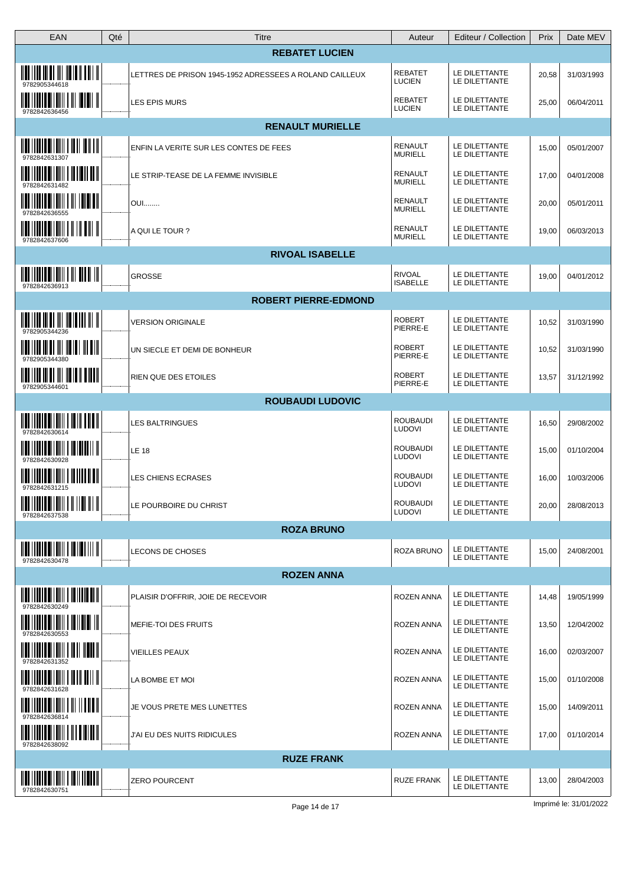| EAN                                                                                                                                                                                                                                                                                                                                  | Qté | Titre                                                   | Auteur                           | Editeur / Collection           | Prix  | Date MEV   |
|--------------------------------------------------------------------------------------------------------------------------------------------------------------------------------------------------------------------------------------------------------------------------------------------------------------------------------------|-----|---------------------------------------------------------|----------------------------------|--------------------------------|-------|------------|
|                                                                                                                                                                                                                                                                                                                                      |     | <b>REBATET LUCIEN</b>                                   |                                  |                                |       |            |
| <u> HAT I III III AT III HEITH II TIII II</u><br>9782905344618                                                                                                                                                                                                                                                                       |     | LETTRES DE PRISON 1945-1952 ADRESSEES A ROLAND CAILLEUX | <b>REBATET</b><br><b>LUCIEN</b>  | LE DILETTANTE<br>LE DILETTANTE | 20,58 | 31/03/1993 |
| <u> IIII   IIII III IIII   III III   </u><br>9782842636456                                                                                                                                                                                                                                                                           |     | LES EPIS MURS                                           | <b>REBATET</b><br><b>LUCIEN</b>  | LE DILETTANTE<br>LE DILETTANTE | 25,00 | 06/04/2011 |
|                                                                                                                                                                                                                                                                                                                                      |     | <b>RENAULT MURIELLE</b>                                 |                                  |                                |       |            |
| $\frac{1}{2}$ $\frac{1}{2}$ $\frac{1}{2}$ $\frac{1}{2}$ $\frac{1}{2}$ $\frac{1}{2}$ $\frac{1}{2}$ $\frac{1}{2}$ $\frac{1}{2}$ $\frac{1}{2}$ $\frac{1}{2}$ $\frac{1}{2}$ $\frac{1}{2}$<br>9782842631307                                                                                                                               |     | ENFIN LA VERITE SUR LES CONTES DE FEES                  | <b>RENAULT</b><br><b>MURIELL</b> | LE DILETTANTE<br>LE DILETTANTE | 15,00 | 05/01/2007 |
| 9782842631482                                                                                                                                                                                                                                                                                                                        |     | LE STRIP-TEASE DE LA FEMME INVISIBLE                    | <b>RENAULT</b><br><b>MURIELL</b> | LE DILETTANTE<br>LE DILETTANTE | 17,00 | 04/01/2008 |
| 9782842636555                                                                                                                                                                                                                                                                                                                        |     | <b>OUI</b>                                              | RENAULT<br><b>MURIELL</b>        | LE DILETTANTE<br>LE DILETTANTE | 20,00 | 05/01/2011 |
| <u> IIII IIIIIII IIIIIIII I II III IIII I</u><br>9782842637606                                                                                                                                                                                                                                                                       |     | A QUI LE TOUR ?                                         | RENAULT<br><b>MURIELL</b>        | LE DILETTANTE<br>LE DILETTANTE | 19,00 | 06/03/2013 |
|                                                                                                                                                                                                                                                                                                                                      |     | <b>RIVOAL ISABELLE</b>                                  |                                  |                                |       |            |
| 9782842636913                                                                                                                                                                                                                                                                                                                        |     | <b>GROSSE</b>                                           | <b>RIVOAL</b><br><b>ISABELLE</b> | LE DILETTANTE<br>LE DILETTANTE | 19,00 | 04/01/2012 |
|                                                                                                                                                                                                                                                                                                                                      |     | <b>ROBERT PIERRE-EDMOND</b>                             |                                  |                                |       |            |
| 9782905344236                                                                                                                                                                                                                                                                                                                        |     | <b>VERSION ORIGINALE</b>                                | <b>ROBERT</b><br>PIERRE-E        | LE DILETTANTE<br>LE DILETTANTE | 10,52 | 31/03/1990 |
| <u> IIII    III III III III III III   III III</u><br>9782905344380                                                                                                                                                                                                                                                                   |     | UN SIECLE ET DEMI DE BONHEUR                            | <b>ROBERT</b><br>PIERRE-E        | LE DILETTANTE<br>LE DILETTANTE | 10,52 | 31/03/1990 |
| <u> IIII   III III III III III II II IIII </u><br>9782905344601                                                                                                                                                                                                                                                                      |     | <b>RIEN QUE DES ETOILES</b>                             | <b>ROBERT</b><br>PIERRE-E        | LE DILETTANTE<br>LE DILETTANTE | 13,57 | 31/12/1992 |
|                                                                                                                                                                                                                                                                                                                                      |     | <b>ROUBAUDI LUDOVIC</b>                                 |                                  |                                |       |            |
| $\overline{\mathbf{u}}$ in the set of $\overline{\mathbf{u}}$ in $\overline{\mathbf{u}}$ in the set of $\overline{\mathbf{u}}$<br>9782842630614                                                                                                                                                                                      |     | <b>LES BALTRINGUES</b>                                  | <b>ROUBAUDI</b><br><b>LUDOVI</b> | LE DILETTANTE<br>LE DILETTANTE | 16,50 | 29/08/2002 |
| 9782842630928                                                                                                                                                                                                                                                                                                                        |     | <b>LE 18</b>                                            | <b>ROUBAUDI</b><br><b>LUDOVI</b> | LE DILETTANTE<br>LE DILETTANTE | 15,00 | 01/10/2004 |
| <u>HIIIIIII</u><br><u> IIII   IIIII III   IIII</u><br>9782842631215                                                                                                                                                                                                                                                                  |     | LES CHIENS ECRASES                                      | <b>ROUBAUDI</b><br><b>LUDOVI</b> | LE DILETTANTE<br>LE DILETTANTE | 16,00 | 10/03/2006 |
| $\frac{1}{2}$ $\frac{1}{2}$ $\frac{1}{2}$ $\frac{1}{2}$ $\frac{1}{2}$ $\frac{1}{2}$ $\frac{1}{2}$ $\frac{1}{2}$ $\frac{1}{2}$ $\frac{1}{2}$ $\frac{1}{2}$ $\frac{1}{2}$ $\frac{1}{2}$ $\frac{1}{2}$ $\frac{1}{2}$ $\frac{1}{2}$ $\frac{1}{2}$ $\frac{1}{2}$ $\frac{1}{2}$ $\frac{1}{2}$ $\frac{1}{2}$ $\frac{1}{2}$<br>9782842637538 |     | LE POURBOIRE DU CHRIST                                  | ROUBAUDI<br><b>LUDOVI</b>        | LE DILETTANTE<br>LE DILETTANTE | 20,00 | 28/08/2013 |
|                                                                                                                                                                                                                                                                                                                                      |     | <b>ROZA BRUNO</b>                                       |                                  |                                |       |            |
| $\frac{1}{2}$ $\frac{1}{2}$ $\frac{1}{2}$ $\frac{1}{2}$ $\frac{1}{2}$ $\frac{1}{2}$ $\frac{1}{2}$ $\frac{1}{2}$ $\frac{1}{2}$ $\frac{1}{2}$ $\frac{1}{2}$ $\frac{1}{2}$ $\frac{1}{2}$ $\frac{1}{2}$ $\frac{1}{2}$ $\frac{1}{2}$ $\frac{1}{2}$ $\frac{1}{2}$ $\frac{1}{2}$ $\frac{1}{2}$ $\frac{1}{2}$ $\frac{1}{2}$<br>9782842630478 |     | <b>LECONS DE CHOSES</b>                                 | ROZA BRUNO                       | LE DILETTANTE<br>LE DILETTANTE | 15,00 | 24/08/2001 |
|                                                                                                                                                                                                                                                                                                                                      |     | <b>ROZEN ANNA</b>                                       |                                  |                                |       |            |
| 9782842630249                                                                                                                                                                                                                                                                                                                        |     | PLAISIR D'OFFRIR, JOIE DE RECEVOIR                      | ROZEN ANNA                       | LE DILETTANTE<br>LE DILETTANTE | 14,48 | 19/05/1999 |
| 9782842630553                                                                                                                                                                                                                                                                                                                        |     | MEFIE-TOI DES FRUITS                                    | ROZEN ANNA                       | LE DILETTANTE<br>LE DILETTANTE | 13,50 | 12/04/2002 |
| <u> Mai i i mai ali mini i mai mani i </u><br>9782842631352                                                                                                                                                                                                                                                                          |     | <b>VIEILLES PEAUX</b>                                   | ROZEN ANNA                       | LE DILETTANTE<br>LE DILETTANTE | 16,00 | 02/03/2007 |
| <u> IIII IIIIII IIIIIII I IIII IIIII I</u><br>9782842631628                                                                                                                                                                                                                                                                          |     | LA BOMBE ET MOI                                         | <b>ROZEN ANNA</b>                | LE DILETTANTE<br>LE DILETTANTE | 15,00 | 01/10/2008 |
| <u> IIII    IIII    IIIII    III    IIIIII</u><br>9782842636814                                                                                                                                                                                                                                                                      |     | JE VOUS PRETE MES LUNETTES                              | ROZEN ANNA                       | LE DILETTANTE<br>LE DILETTANTE | 15,00 | 14/09/2011 |
| 9782842638092                                                                                                                                                                                                                                                                                                                        |     | J'AI EU DES NUITS RIDICULES                             | <b>ROZEN ANNA</b>                | LE DILETTANTE<br>LE DILETTANTE | 17,00 | 01/10/2014 |
|                                                                                                                                                                                                                                                                                                                                      |     | <b>RUZE FRANK</b>                                       |                                  |                                |       |            |
| <u> IIII    IIII    IIIII    III    III</u><br>9782842630751                                                                                                                                                                                                                                                                         |     | <b>ZERO POURCENT</b>                                    | <b>RUZE FRANK</b>                | LE DILETTANTE<br>LE DILETTANTE | 13,00 | 28/04/2003 |
|                                                                                                                                                                                                                                                                                                                                      |     |                                                         |                                  |                                |       |            |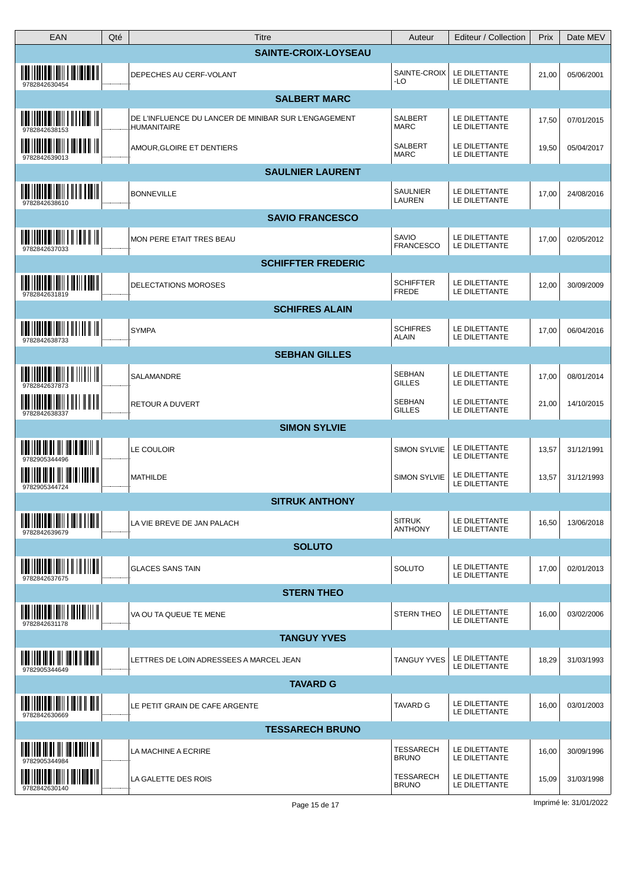| EAN                                                                                                                                                                                                                                                                                                                                  | Qté | Titre                                                               |                             | Auteur                           | Editeur / Collection           | Prix  | Date MEV   |
|--------------------------------------------------------------------------------------------------------------------------------------------------------------------------------------------------------------------------------------------------------------------------------------------------------------------------------------|-----|---------------------------------------------------------------------|-----------------------------|----------------------------------|--------------------------------|-------|------------|
|                                                                                                                                                                                                                                                                                                                                      |     |                                                                     | <b>SAINTE-CROIX-LOYSEAU</b> |                                  |                                |       |            |
| <u> IIII IIIIII IIIIIII I IIIIIII</u><br>9782842630454                                                                                                                                                                                                                                                                               |     | <b>DEPECHES AU CERF-VOLANT</b>                                      |                             | SAINTE-CROIX<br>-LO              | LE DILETTANTE<br>LE DILETTANTE | 21,00 | 05/06/2001 |
|                                                                                                                                                                                                                                                                                                                                      |     |                                                                     | <b>SALBERT MARC</b>         |                                  |                                |       |            |
| <u> IIII I IIII</u> I<br>9782842638153                                                                                                                                                                                                                                                                                               |     | DE L'INFLUENCE DU LANCER DE MINIBAR SUR L'ENGAGEMENT<br>HUMANITAIRE |                             | SALBERT<br><b>MARC</b>           | LE DILETTANTE<br>LE DILETTANTE | 17,50 | 07/01/2015 |
| <b>ANII I ANII ANII AN</b><br><u> IIII   IIII  </u><br>9782842639013                                                                                                                                                                                                                                                                 |     | AMOUR, GLOIRE ET DENTIERS                                           |                             | <b>SALBERT</b><br><b>MARC</b>    | LE DILETTANTE<br>LE DILETTANTE | 19,50 | 05/04/2017 |
|                                                                                                                                                                                                                                                                                                                                      |     |                                                                     | <b>SAULNIER LAURENT</b>     |                                  |                                |       |            |
| <u> HELITINE BITHII I HI H TEKI</u><br>9782842638610                                                                                                                                                                                                                                                                                 |     | <b>BONNEVILLE</b>                                                   |                             | <b>SAULNIER</b><br>LAUREN        | LE DILETTANTE<br>LE DILETTANTE | 17,00 | 24/08/2016 |
|                                                                                                                                                                                                                                                                                                                                      |     |                                                                     | <b>SAVIO FRANCESCO</b>      |                                  |                                |       |            |
| $\frac{1}{2}$ $\frac{1}{2}$ $\frac{1}{2}$ $\frac{1}{2}$ $\frac{1}{2}$ $\frac{1}{2}$ $\frac{1}{2}$ $\frac{1}{2}$ $\frac{1}{2}$ $\frac{1}{2}$ $\frac{1}{2}$ $\frac{1}{2}$ $\frac{1}{2}$<br>9782842637033                                                                                                                               |     | MON PERE ETAIT TRES BEAU                                            |                             | SAVIO<br><b>FRANCESCO</b>        | LE DILETTANTE<br>LE DILETTANTE | 17,00 | 02/05/2012 |
|                                                                                                                                                                                                                                                                                                                                      |     |                                                                     | <b>SCHIFFTER FREDERIC</b>   |                                  |                                |       |            |
| $\frac{1}{2}$ $\frac{1}{2}$ $\frac{1}{2}$ $\frac{1}{2}$ $\frac{1}{2}$ $\frac{1}{2}$ $\frac{1}{2}$ $\frac{1}{2}$ $\frac{1}{2}$ $\frac{1}{2}$ $\frac{1}{2}$ $\frac{1}{2}$ $\frac{1}{2}$ $\frac{1}{2}$ $\frac{1}{2}$ $\frac{1}{2}$ $\frac{1}{2}$ $\frac{1}{2}$ $\frac{1}{2}$ $\frac{1}{2}$ $\frac{1}{2}$ $\frac{1}{2}$<br>9782842631819 |     | <b>DELECTATIONS MOROSES</b>                                         |                             | <b>SCHIFFTER</b><br>FREDE        | LE DILETTANTE<br>LE DILETTANTE | 12,00 | 30/09/2009 |
|                                                                                                                                                                                                                                                                                                                                      |     |                                                                     | <b>SCHIFRES ALAIN</b>       |                                  |                                |       |            |
| <u> IIII    IIII    IIIII    III    II</u><br>9782842638733                                                                                                                                                                                                                                                                          |     | SYMPA                                                               |                             | <b>SCHIFRES</b><br>ALAIN         | LE DILETTANTE<br>LE DILETTANTE | 17,00 | 06/04/2016 |
|                                                                                                                                                                                                                                                                                                                                      |     |                                                                     | <b>SEBHAN GILLES</b>        |                                  |                                |       |            |
| 9782842637873                                                                                                                                                                                                                                                                                                                        |     | SALAMANDRE                                                          |                             | <b>SEBHAN</b><br><b>GILLES</b>   | LE DILETTANTE<br>LE DILETTANTE | 17,00 | 08/01/2014 |
| $\frac{1}{2}$ $\frac{1}{2}$ $\frac{1}{2}$ $\frac{1}{2}$ $\frac{1}{2}$ $\frac{1}{2}$ $\frac{1}{2}$ $\frac{1}{2}$ $\frac{1}{2}$ $\frac{1}{2}$ $\frac{1}{2}$ $\frac{1}{2}$ $\frac{1}{2}$ $\frac{1}{2}$ $\frac{1}{2}$<br>9782842638337                                                                                                   |     | <b>RETOUR A DUVERT</b>                                              |                             | <b>SEBHAN</b><br><b>GILLES</b>   | LE DILETTANTE<br>LE DILETTANTE | 21,00 | 14/10/2015 |
|                                                                                                                                                                                                                                                                                                                                      |     |                                                                     | <b>SIMON SYLVIE</b>         |                                  |                                |       |            |
| <u> HUI I I II III III III III II II II I</u><br>978290534449                                                                                                                                                                                                                                                                        |     | LE COULOIR                                                          |                             | SIMON SYLVIE                     | LE DILETTANTE<br>LE DILETTANTE | 13,57 | 31/12/1991 |
| 9782905344724                                                                                                                                                                                                                                                                                                                        |     | MATHILDE                                                            |                             | <b>SIMON SYLVIE</b>              | LE DILETTANTE<br>LE DILETTANTE | 13,57 | 31/12/1993 |
|                                                                                                                                                                                                                                                                                                                                      |     |                                                                     | <b>SITRUK ANTHONY</b>       |                                  |                                |       |            |
| <u> IIII    IIII    IIIII    IIII    IIII</u><br>9782842639679                                                                                                                                                                                                                                                                       |     | LA VIE BREVE DE JAN PALACH                                          |                             | <b>SITRUK</b><br><b>ANTHONY</b>  | LE DILETTANTE<br>LE DILETTANTE | 16,50 | 13/06/2018 |
|                                                                                                                                                                                                                                                                                                                                      |     |                                                                     | <b>SOLUTO</b>               |                                  |                                |       |            |
| $\overline{\mathbf{u}}$ in the control of $\overline{\mathbf{u}}$ in the control of $\overline{\mathbf{u}}$<br>9782842637675                                                                                                                                                                                                         |     | <b>GLACES SANS TAIN</b>                                             |                             | SOLUTO                           | LE DILETTANTE<br>LE DILETTANTE | 17,00 | 02/01/2013 |
|                                                                                                                                                                                                                                                                                                                                      |     |                                                                     | <b>STERN THEO</b>           |                                  |                                |       |            |
| $\frac{1}{2}$ $\frac{1}{2}$ $\frac{1}{2}$ $\frac{1}{2}$ $\frac{1}{2}$ $\frac{1}{2}$ $\frac{1}{2}$ $\frac{1}{2}$ $\frac{1}{2}$ $\frac{1}{2}$ $\frac{1}{2}$ $\frac{1}{2}$ $\frac{1}{2}$<br>9782842631178                                                                                                                               |     | VA OU TA QUEUE TE MENE                                              |                             | STERN THEO                       | LE DILETTANTE<br>LE DILETTANTE | 16,00 | 03/02/2006 |
|                                                                                                                                                                                                                                                                                                                                      |     |                                                                     | <b>TANGUY YVES</b>          |                                  |                                |       |            |
| 9782905344649                                                                                                                                                                                                                                                                                                                        |     | LETTRES DE LOIN ADRESSEES A MARCEL JEAN                             |                             | TANGUY YVES                      | LE DILETTANTE<br>LE DILETTANTE | 18,29 | 31/03/1993 |
|                                                                                                                                                                                                                                                                                                                                      |     |                                                                     | <b>TAVARD G</b>             |                                  |                                |       |            |
| $\frac{1}{2}$ $\frac{1}{2}$ $\frac{1}{2}$ $\frac{1}{2}$ $\frac{1}{2}$ $\frac{1}{2}$ $\frac{1}{2}$ $\frac{1}{2}$ $\frac{1}{2}$ $\frac{1}{2}$ $\frac{1}{2}$ $\frac{1}{2}$ $\frac{1}{2}$ $\frac{1}{2}$ $\frac{1}{2}$ $\frac{1}{2}$ $\frac{1}{2}$ $\frac{1}{2}$ $\frac{1}{2}$ $\frac{1}{2}$ $\frac{1}{2}$ $\frac{1}{2}$<br>9782842630669 |     | LE PETIT GRAIN DE CAFE ARGENTE                                      |                             | <b>TAVARD G</b>                  | LE DILETTANTE<br>LE DILETTANTE | 16,00 | 03/01/2003 |
|                                                                                                                                                                                                                                                                                                                                      |     |                                                                     | <b>TESSARECH BRUNO</b>      |                                  |                                |       |            |
| <u> Martin di Milita di Mil</u>                                                                                                                                                                                                                                                                                                      |     | LA MACHINE A ECRIRE                                                 |                             | <b>TESSARECH</b><br><b>BRUNO</b> | LE DILETTANTE<br>LE DILETTANTE | 16,00 | 30/09/1996 |
| <u> IIII    IIII    IIIII    III    III</u><br>9782842630140                                                                                                                                                                                                                                                                         |     | LA GALETTE DES ROIS                                                 |                             | <b>TESSARECH</b><br><b>BRUNO</b> | LE DILETTANTE<br>LE DILETTANTE | 15,09 | 31/03/1998 |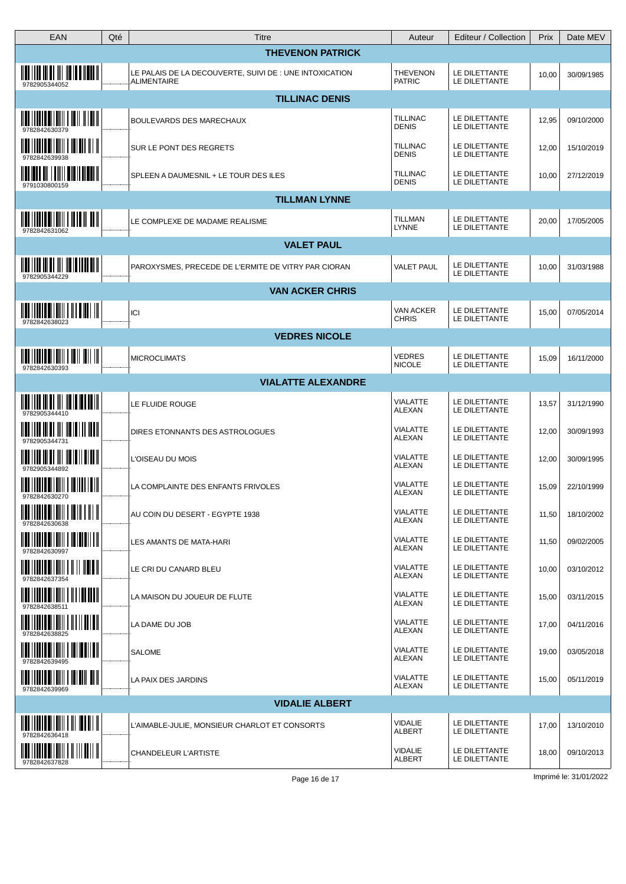| EAN                                                                                                                                                                                                                                                                                                                                  | Qté | Titre                                                                         | Auteur                           | Editeur / Collection           | Prix  | Date MEV   |
|--------------------------------------------------------------------------------------------------------------------------------------------------------------------------------------------------------------------------------------------------------------------------------------------------------------------------------------|-----|-------------------------------------------------------------------------------|----------------------------------|--------------------------------|-------|------------|
|                                                                                                                                                                                                                                                                                                                                      |     | <b>THEVENON PATRICK</b>                                                       |                                  |                                |       |            |
| <u> IIII IIII III III III IIII III IIIIII </u><br>9782905344052                                                                                                                                                                                                                                                                      |     | LE PALAIS DE LA DECOUVERTE, SUIVI DE : UNE INTOXICATION<br><b>ALIMENTAIRE</b> | <b>THEVENON</b><br><b>PATRIC</b> | LE DILETTANTE<br>LE DILETTANTE | 10,00 | 30/09/1985 |
|                                                                                                                                                                                                                                                                                                                                      |     | <b>TILLINAC DENIS</b>                                                         |                                  |                                |       |            |
| 9782842630379                                                                                                                                                                                                                                                                                                                        |     | <b>BOULEVARDS DES MARECHAUX</b>                                               | <b>TILLINAC</b><br><b>DENIS</b>  | LE DILETTANTE<br>LE DILETTANTE | 12,95 | 09/10/2000 |
| <u> IIII    IIII    IIIII       IIII      </u>                                                                                                                                                                                                                                                                                       |     | SUR LE PONT DES REGRETS                                                       | <b>TILLINAC</b><br><b>DENIS</b>  | LE DILETTANTE<br>LE DILETTANTE | 12,00 | 15/10/2019 |
| <u> Maliai di Lamila di Malai I</u><br>9791030800159                                                                                                                                                                                                                                                                                 |     | SPLEEN A DAUMESNIL + LE TOUR DES ILES                                         | <b>TILLINAC</b><br><b>DENIS</b>  | LE DILETTANTE<br>LE DILETTANTE | 10,00 | 27/12/2019 |
|                                                                                                                                                                                                                                                                                                                                      |     | <b>TILLMAN LYNNE</b>                                                          |                                  |                                |       |            |
| $\frac{1}{2}$ $\frac{1}{2}$ $\frac{1}{2}$ $\frac{1}{2}$ $\frac{1}{2}$ $\frac{1}{2}$ $\frac{1}{2}$ $\frac{1}{2}$ $\frac{1}{2}$ $\frac{1}{2}$ $\frac{1}{2}$ $\frac{1}{2}$ $\frac{1}{2}$ $\frac{1}{2}$ $\frac{1}{2}$ $\frac{1}{2}$ $\frac{1}{2}$ $\frac{1}{2}$ $\frac{1}{2}$ $\frac{1}{2}$ $\frac{1}{2}$ $\frac{1}{2}$<br>9782842631062 |     | LE COMPLEXE DE MADAME REALISME                                                | <b>TILLMAN</b><br><b>LYNNE</b>   | LE DILETTANTE<br>LE DILETTANTE | 20,00 | 17/05/2005 |
|                                                                                                                                                                                                                                                                                                                                      |     | <b>VALET PAUL</b>                                                             |                                  |                                |       |            |
| $\frac{1}{2}$ , $\frac{1}{2}$ , $\frac{1}{2}$ , $\frac{1}{2}$ , $\frac{1}{2}$ , $\frac{1}{2}$ , $\frac{1}{2}$ , $\frac{1}{2}$ , $\frac{1}{2}$ , $\frac{1}{2}$ , $\frac{1}{2}$<br>9782905344229                                                                                                                                       |     | PAROXYSMES, PRECEDE DE L'ERMITE DE VITRY PAR CIORAN                           | <b>VALET PAUL</b>                | LE DILETTANTE<br>LE DILETTANTE | 10,00 | 31/03/1988 |
|                                                                                                                                                                                                                                                                                                                                      |     | <b>VAN ACKER CHRIS</b>                                                        |                                  |                                |       |            |
| $\overline{\mathbf{u}}$ in the set of $\mathbf{u}$ in the set of $\mathbf{u}$<br>9782842638023                                                                                                                                                                                                                                       |     | ICI                                                                           | VAN ACKER<br><b>CHRIS</b>        | LE DILETTANTE<br>LE DILETTANTE | 15,00 | 07/05/2014 |
|                                                                                                                                                                                                                                                                                                                                      |     | <b>VEDRES NICOLE</b>                                                          |                                  |                                |       |            |
| $\frac{1}{2}$ $\frac{1}{2}$ $\frac{1}{2}$ $\frac{1}{2}$ $\frac{1}{2}$ $\frac{1}{2}$ $\frac{1}{2}$ $\frac{1}{2}$ $\frac{1}{2}$ $\frac{1}{2}$ $\frac{1}{2}$ $\frac{1}{2}$ $\frac{1}{2}$ $\frac{1}{2}$ $\frac{1}{2}$ $\frac{1}{2}$ $\frac{1}{2}$ $\frac{1}{2}$ $\frac{1}{2}$ $\frac{1}{2}$ $\frac{1}{2}$ $\frac{1}{2}$<br>9782842630393 |     | <b>MICROCLIMATS</b>                                                           | <b>VEDRES</b><br><b>NICOLE</b>   | LE DILETTANTE<br>LE DILETTANTE | 15,09 | 16/11/2000 |
|                                                                                                                                                                                                                                                                                                                                      |     | <b>VIALATTE ALEXANDRE</b>                                                     |                                  |                                |       |            |
|                                                                                                                                                                                                                                                                                                                                      |     | LE FLUIDE ROUGE                                                               | VIALATTE<br>ALEXAN               | LE DILETTANTE<br>LE DILETTANTE | 13,57 | 31/12/1990 |
| <u> IIII IIII III III III III III II III III</u>                                                                                                                                                                                                                                                                                     |     | DIRES ETONNANTS DES ASTROLOGUES                                               | <b>VIALATTE</b><br>ALEXAN        | LE DILETTANTE<br>LE DILETTANTE | 12,00 | 30/09/1993 |
| <u> 1100   1110   111   111   111   111   11   11   11</u><br>9782905344892                                                                                                                                                                                                                                                          |     | L'OISEAU DU MOIS                                                              | VIALATTE<br>ALEXAN               | LE DILETTANTE<br>LE DILETTANTE | 12,00 | 30/09/1995 |
| <u> IIII    IIIII    IIIII    III III    III</u>                                                                                                                                                                                                                                                                                     |     | LA COMPLAINTE DES ENFANTS FRIVOLES                                            | VIALATTE<br>ALEXAN               | LE DILETTANTE<br>LE DILETTANTE | 15,09 | 22/10/1999 |
| $\frac{1}{2}$ , $\frac{1}{2}$ , $\frac{1}{2}$ , $\frac{1}{2}$ , $\frac{1}{2}$ , $\frac{1}{2}$ , $\frac{1}{2}$ , $\frac{1}{2}$ , $\frac{1}{2}$ , $\frac{1}{2}$ , $\frac{1}{2}$                                                                                                                                                        |     | AU COIN DU DESERT - EGYPTE 1938                                               | <b>VIALATTE</b><br>ALEXAN        | LE DILETTANTE<br>LE DILETTANTE | 11,50 | 18/10/2002 |
| 9782842630997                                                                                                                                                                                                                                                                                                                        |     | LES AMANTS DE MATA-HARI                                                       | <b>VIALATTE</b><br>ALEXAN        | LE DILETTANTE<br>LE DILETTANTE | 11,50 | 09/02/2005 |
| 9782842637354                                                                                                                                                                                                                                                                                                                        |     | LE CRI DU CANARD BLEU                                                         | <b>VIALATTE</b><br>ALEXAN        | LE DILETTANTE<br>LE DILETTANTE | 10,00 | 03/10/2012 |
| 9782842638511                                                                                                                                                                                                                                                                                                                        |     | LA MAISON DU JOUEUR DE FLUTE                                                  | <b>VIALATTE</b><br>ALEXAN        | LE DILETTANTE<br>LE DILETTANTE | 15,00 | 03/11/2015 |
| 9782842638825                                                                                                                                                                                                                                                                                                                        |     | LA DAME DU JOB                                                                | <b>VIALATTE</b><br>ALEXAN        | LE DILETTANTE<br>LE DILETTANTE | 17,00 | 04/11/2016 |
| <u> IIII   IIII IIIIIII    IIIIII    III</u>                                                                                                                                                                                                                                                                                         |     | <b>SALOME</b>                                                                 | <b>VIALATTE</b><br>ALEXAN        | LE DILETTANTE<br>LE DILETTANTE | 19,00 | 03/05/2018 |
| 9782842639969                                                                                                                                                                                                                                                                                                                        |     | LA PAIX DES JARDINS                                                           | <b>VIALATTE</b><br>ALEXAN        | LE DILETTANTE<br>LE DILETTANTE | 15,00 | 05/11/2019 |
|                                                                                                                                                                                                                                                                                                                                      |     | <b>VIDALIE ALBERT</b>                                                         |                                  |                                |       |            |
| <b>IN THE REAL PROPERTY OF A POST</b><br>9782842636418                                                                                                                                                                                                                                                                               |     | L'AIMABLE-JULIE, MONSIEUR CHARLOT ET CONSORTS                                 | VIDALIE<br><b>ALBERT</b>         | LE DILETTANTE<br>LE DILETTANTE | 17,00 | 13/10/2010 |
| 9782842637828                                                                                                                                                                                                                                                                                                                        |     | CHANDELEUR L'ARTISTE                                                          | VIDALIE<br><b>ALBERT</b>         | LE DILETTANTE<br>LE DILETTANTE | 18,00 | 09/10/2013 |
|                                                                                                                                                                                                                                                                                                                                      |     |                                                                               |                                  |                                |       |            |